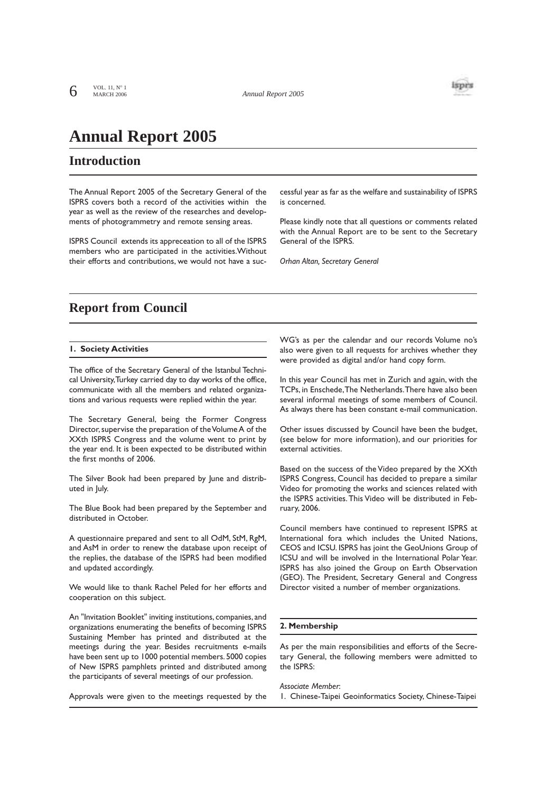

# **Annual Report 2005**

# **Introduction**

The Annual Report 2005 of the Secretary General of the ISPRS covers both a record of the activities within the year as well as the review of the researches and developments of photogrammetry and remote sensing areas.

ISPRS Council extends its appreceation to all of the ISPRS members who are participated in the activities.Without their efforts and contributions, we would not have a successful year as far as the welfare and sustainability of ISPRS is concerned.

Please kindly note that all questions or comments related with the Annual Report are to be sent to the Secretary General of the ISPRS.

*Orhan Altan, Secretary General*

# **Report from Council**

# **1. Society Activities**

The office of the Secretary General of the Istanbul Technical University,Turkey carried day to day works of the office, communicate with all the members and related organizations and various requests were replied within the year.

The Secretary General, being the Former Congress Director, supervise the preparation of the Volume A of the XXth ISPRS Congress and the volume went to print by the year end. It is been expected to be distributed within the first months of 2006.

The Silver Book had been prepared by June and distributed in July.

The Blue Book had been prepared by the September and distributed in October.

A questionnaire prepared and sent to all OdM, StM, RgM, and AsM in order to renew the database upon receipt of the replies, the database of the ISPRS had been modified and updated accordingly.

We would like to thank Rachel Peled for her efforts and cooperation on this subject.

An "Invitation Booklet" inviting institutions, companies, and organizations enumerating the benefits of becoming ISPRS Sustaining Member has printed and distributed at the meetings during the year. Besides recruitments e-mails have been sent up to 1000 potential members.5000 copies of New ISPRS pamphlets printed and distributed among the participants of several meetings of our profession.

Approvals were given to the meetings requested by the

WG's as per the calendar and our records Volume no's also were given to all requests for archives whether they were provided as digital and/or hand copy form.

In this year Council has met in Zurich and again, with the TCPs, in Enschede,The Netherlands.There have also been several informal meetings of some members of Council. As always there has been constant e-mail communication.

Other issues discussed by Council have been the budget, (see below for more information), and our priorities for external activities.

Based on the success of the Video prepared by the XXth ISPRS Congress, Council has decided to prepare a similar Video for promoting the works and sciences related with the ISPRS activities.This Video will be distributed in February, 2006.

Council members have continued to represent ISPRS at International fora which includes the United Nations, CEOS and ICSU. ISPRS has joint the GeoUnions Group of ICSU and will be involved in the International Polar Year. ISPRS has also joined the Group on Earth Observation (GEO). The President, Secretary General and Congress Director visited a number of member organizations.

### **2. Membership**

As per the main responsibilities and efforts of the Secretary General, the following members were admitted to the ISPRS:

*Associate Member*:

1. Chinese-Taipei Geoinformatics Society, Chinese-Taipei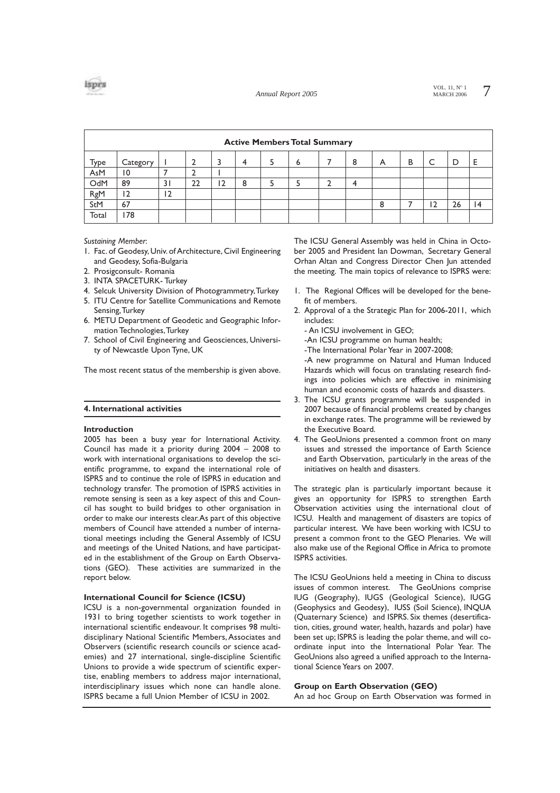

VOL. 11,  $N^{\circ}$  1 7<br>MARCH 2006 7



| <b>Active Members Total Summary</b> |          |    |    |    |   |  |   |  |   |   |   |    |    |                 |
|-------------------------------------|----------|----|----|----|---|--|---|--|---|---|---|----|----|-----------------|
| Type                                | Category |    |    | 3  | 4 |  | 6 |  | 8 | A | в |    | D  |                 |
| AsM                                 | 10       |    |    |    |   |  |   |  |   |   |   |    |    |                 |
| OdM                                 | 89       | 31 | 22 | 12 | 8 |  |   |  |   |   |   |    |    |                 |
| RgM                                 | 12       | 12 |    |    |   |  |   |  |   |   |   |    |    |                 |
| StM                                 | 67       |    |    |    |   |  |   |  |   | 8 |   | 12 | 26 | $\overline{14}$ |
| Total                               | 78       |    |    |    |   |  |   |  |   |   |   |    |    |                 |

*Sustaining Member*:

- 1. Fac. of Geodesy, Univ. of Architecture, Civil Engineering and Geodesy, Sofia-Bulgaria
- 2. Prosigconsult- Romania
- 3. INTA SPACETURK- Turkey
- 4. Selcuk University Division of Photogrammetry,Turkey
- 5. ITU Centre for Satellite Communications and Remote Sensing,Turkey
- 6. METU Department of Geodetic and Geographic Information Technologies,Turkey
- 7. School of Civil Engineering and Geosciences, University of Newcastle Upon Tyne, UK

The most recent status of the membership is given above.

#### **4. International activities**

#### **Introduction**

2005 has been a busy year for International Activity. Council has made it a priority during 2004 – 2008 to work with international organisations to develop the scientific programme, to expand the international role of ISPRS and to continue the role of ISPRS in education and technology transfer. The promotion of ISPRS activities in remote sensing is seen as a key aspect of this and Council has sought to build bridges to other organisation in order to make our interests clear.As part of this objective members of Council have attended a number of international meetings including the General Assembly of ICSU and meetings of the United Nations, and have participated in the establishment of the Group on Earth Observations (GEO). These activities are summarized in the report below.

#### **International Council for Science (ICSU)**

ICSU is a non-governmental organization founded in 1931 to bring together scientists to work together in international scientific endeavour. It comprises 98 multidisciplinary National Scientific Members, Associates and Observers (scientific research councils or science academies) and 27 international, single-discipline Scientific Unions to provide a wide spectrum of scientific expertise, enabling members to address major international, interdisciplinary issues which none can handle alone. ISPRS became a full Union Member of ICSU in 2002.

The ICSU General Assembly was held in China in October 2005 and President Ian Dowman, Secretary General Orhan Altan and Congress Director Chen Jun attended the meeting. The main topics of relevance to ISPRS were:

- 1. The Regional Offices will be developed for the benefit of members.
- 2. Approval of a the Strategic Plan for 2006-2011, which includes:
	- An ICSU involvement in GEO;

-An ICSU programme on human health;

-The International Polar Year in 2007-2008;

-A new programme on Natural and Human Induced Hazards which will focus on translating research findings into policies which are effective in minimising human and economic costs of hazards and disasters.

- 3. The ICSU grants programme will be suspended in 2007 because of financial problems created by changes in exchange rates. The programme will be reviewed by the Executive Board.
- 4. The GeoUnions presented a common front on many issues and stressed the importance of Earth Science and Earth Observation, particularly in the areas of the initiatives on health and disasters.

The strategic plan is particularly important because it gives an opportunity for ISPRS to strengthen Earth Observation activities using the international clout of ICSU. Health and management of disasters are topics of particular interest. We have been working with ICSU to present a common front to the GEO Plenaries. We will also make use of the Regional Office in Africa to promote ISPRS activities.

The ICSU GeoUnions held a meeting in China to discuss issues of common interest. The GeoUnions comprise IUG (Geography), IUGS (Geological Science), IUGG (Geophysics and Geodesy), IUSS (Soil Science), INQUA (Quaternary Science) and ISPRS. Six themes (desertification, cities, ground water, health, hazards and polar) have been set up; ISPRS is leading the polar theme, and will coordinate input into the International Polar Year. The GeoUnions also agreed a unified approach to the International Science Years on 2007.

### **Group on Earth Observation (GEO)**

An ad hoc Group on Earth Observation was formed in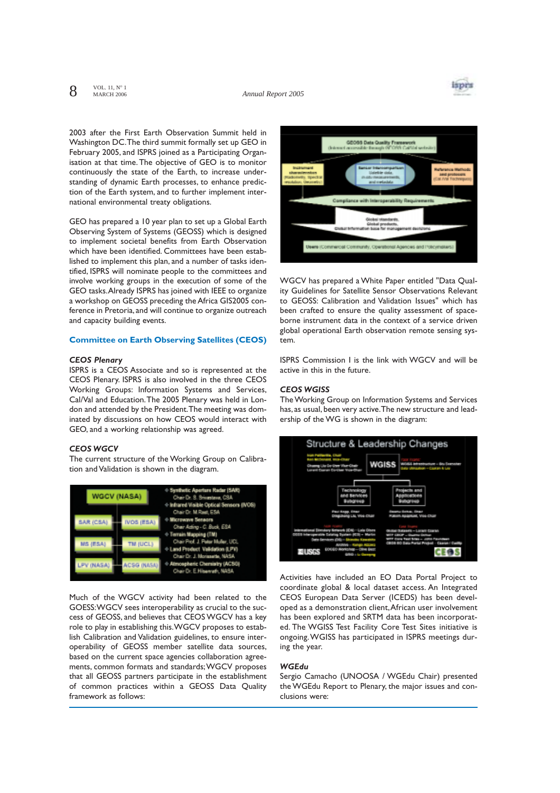$8^{VOL. 11, N°1}$ MARCH 2006



2003 after the First Earth Observation Summit held in Washington DC.The third summit formally set up GEO in February 2005, and ISPRS joined as a Participating Organisation at that time.The objective of GEO is to monitor continuously the state of the Earth, to increase understanding of dynamic Earth processes, to enhance prediction of the Earth system, and to further implement international environmental treaty obligations.

GEO has prepared a 10 year plan to set up a Global Earth Observing System of Systems (GEOSS) which is designed to implement societal benefits from Earth Observation which have been identified. Committees have been established to implement this plan, and a number of tasks identified, ISPRS will nominate people to the committees and involve working groups in the execution of some of the GEO tasks.Already ISPRS has joined with IEEE to organize a workshop on GEOSS preceding the Africa GIS2005 conference in Pretoria, and will continue to organize outreach and capacity building events.

#### **Committee on Earth Observing Satellites (CEOS)**

# *CEOS Plenary*

ISPRS is a CEOS Associate and so is represented at the CEOS Plenary. ISPRS is also involved in the three CEOS Working Groups: Information Systems and Services, Cal/Val and Education.The 2005 Plenary was held in London and attended by the President.The meeting was dominated by discussions on how CEOS would interact with GEO, and a working relationship was agreed.

#### *CEOS WGCV*

The current structure of the Working Group on Calibration and Validation is shown in the diagram.



Much of the WGCV activity had been related to the GOESS:WGCV sees interoperability as crucial to the success of GEOSS, and believes that CEOS WGCV has a key role to play in establishing this.WGCV proposes to establish Calibration and Validation guidelines, to ensure interoperability of GEOSS member satellite data sources, based on the current space agencies collaboration agreements, common formats and standards;WGCV proposes that all GEOSS partners participate in the establishment of common practices within a GEOSS Data Quality framework as follows:



WGCV has prepared a White Paper entitled "Data Quality Guidelines for Satellite Sensor Observations Relevant to GEOSS: Calibration and Validation Issues" which has been crafted to ensure the quality assessment of spaceborne instrument data in the context of a service driven global operational Earth observation remote sensing system.

ISPRS Commission I is the link with WGCV and will be active in this in the future.

## *CEOS WGISS*

The Working Group on Information Systems and Services has, as usual, been very active.The new structure and leadership of the WG is shown in the diagram:



Activities have included an EO Data Portal Project to coordinate global & local dataset access. An Integrated CEOS European Data Server (ICEDS) has been developed as a demonstration client,African user involvement has been explored and SRTM data has been incorporated. The WGISS Test Facility Core Test Sites initiative is ongoing.WGISS has participated in ISPRS meetings during the year.

### *WGEdu*

Sergio Camacho (UNOOSA / WGEdu Chair) presented the WGEdu Report to Plenary, the major issues and conclusions were: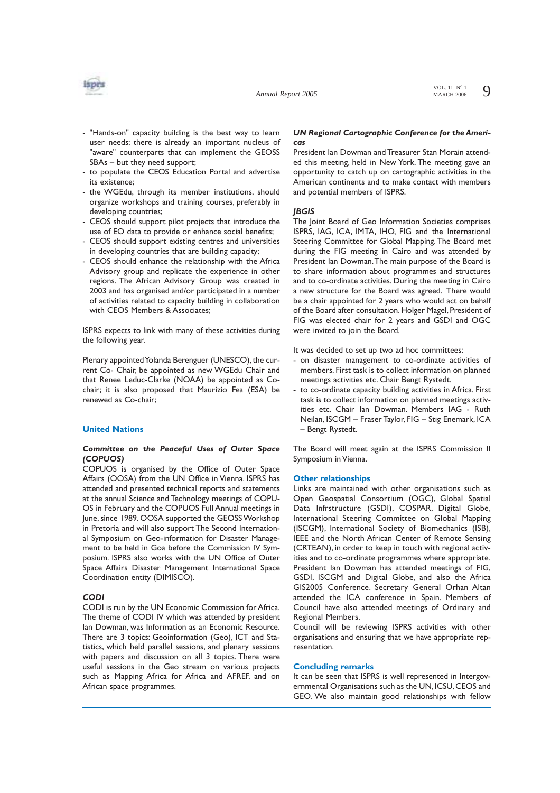

- "Hands-on" capacity building is the best way to learn user needs; there is already an important nucleus of "aware" counterparts that can implement the GEOSS SBAs – but they need support;
- to populate the CEOS Education Portal and advertise its existence;
- the WGEdu, through its member institutions, should organize workshops and training courses, preferably in developing countries;
- CEOS should support pilot projects that introduce the use of EO data to provide or enhance social benefits;
- CEOS should support existing centres and universities in developing countries that are building capacity;
- CEOS should enhance the relationship with the Africa Advisory group and replicate the experience in other regions. The African Advisory Group was created in 2003 and has organised and/or participated in a number of activities related to capacity building in collaboration with CEOS Members & Associates;

ISPRS expects to link with many of these activities during the following year.

Plenary appointed Yolanda Berenguer (UNESCO), the current Co- Chair, be appointed as new WGEdu Chair and that Renee Leduc-Clarke (NOAA) be appointed as Cochair; it is also proposed that Maurizio Fea (ESA) be renewed as Co-chair;

## **United Nations**

# *Committee on the Peaceful Uses of Outer Space (COPUOS)*

COPUOS is organised by the Office of Outer Space Affairs (OOSA) from the UN Office in Vienna. ISPRS has attended and presented technical reports and statements at the annual Science and Technology meetings of COPU-OS in February and the COPUOS Full Annual meetings in June, since 1989. OOSA supported the GEOSS Workshop in Pretoria and will also support The Second International Symposium on Geo-information for Disaster Management to be held in Goa before the Commission IV Symposium. ISPRS also works with the UN Office of Outer Space Affairs Disaster Management International Space Coordination entity (DIMISCO).

#### *CODI*

CODI is run by the UN Economic Commission for Africa. The theme of CODI IV which was attended by president Ian Dowman, was Information as an Economic Resource. There are 3 topics: Geoinformation (Geo), ICT and Statistics, which held parallel sessions, and plenary sessions with papers and discussion on all 3 topics. There were useful sessions in the Geo stream on various projects such as Mapping Africa for Africa and AFREF, and on African space programmes.

## *UN Regional Cartographic Conference for the Americas*

President Ian Dowman and Treasurer Stan Morain attended this meeting, held in New York. The meeting gave an opportunity to catch up on cartographic activities in the American continents and to make contact with members and potential members of ISPRS.

#### *JBGIS*

The Joint Board of Geo Information Societies comprises ISPRS, IAG, ICA, IMTA, IHO, FIG and the International Steering Committee for Global Mapping. The Board met during the FIG meeting in Cairo and was attended by President Ian Dowman.The main purpose of the Board is to share information about programmes and structures and to co-ordinate activities. During the meeting in Cairo a new structure for the Board was agreed. There would be a chair appointed for 2 years who would act on behalf of the Board after consultation. Holger Magel, President of FIG was elected chair for 2 years and GSDI and OGC were invited to join the Board.

It was decided to set up two ad hoc committees:

- on disaster management to co-ordinate activities of members. First task is to collect information on planned meetings activities etc. Chair Bengt Rystedt.
- to co-ordinate capacity building activities in Africa. First task is to collect information on planned meetings activities etc. Chair Ian Dowman. Members IAG - Ruth Neilan, ISCGM – Fraser Taylor, FIG – Stig Enemark, ICA – Bengt Rystedt.

The Board will meet again at the ISPRS Commission II Symposium in Vienna.

## **Other relationships**

Links are maintained with other organisations such as Open Geospatial Consortium (OGC), Global Spatial Data Infrstructure (GSDI), COSPAR, Digital Globe, International Steering Committee on Global Mapping (ISCGM), International Society of Biomechanics (ISB), IEEE and the North African Center of Remote Sensing (CRTEAN), in order to keep in touch with regional activities and to co-ordinate programmes where appropriate. President Ian Dowman has attended meetings of FIG, GSDI, ISCGM and Digital Globe, and also the Africa GIS2005 Conference. Secretary General Orhan Altan attended the ICA conference in Spain. Members of Council have also attended meetings of Ordinary and Regional Members.

Council will be reviewing ISPRS activities with other organisations and ensuring that we have appropriate representation.

# **Concluding remarks**

It can be seen that ISPRS is well represented in Intergovernmental Organisations such as the UN, ICSU, CEOS and GEO. We also maintain good relationships with fellow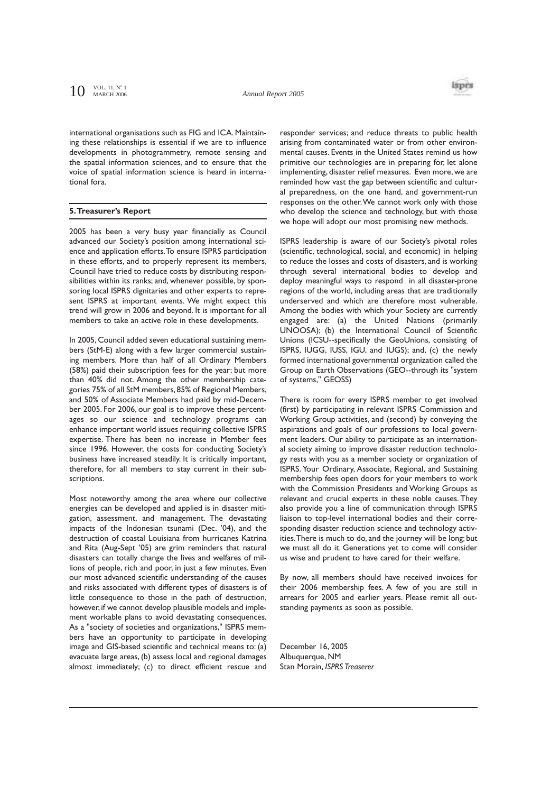

international organisations such as FIG and ICA. Maintaining these relationships is essential if we are to influence developments in photogrammetry, remote sensing and the spatial information sciences, and to ensure that the voice of spatial information science is heard in international fora.

## **5.Treasurer's Report**

2005 has been a very busy year financially as Council advanced our Society's position among international science and application efforts.To ensure ISPRS participation in these efforts, and to properly represent its members, Council have tried to reduce costs by distributing responsibilities within its ranks; and, whenever possible, by sponsoring local ISPRS dignitaries and other experts to represent ISPRS at important events. We might expect this trend will grow in 2006 and beyond. It is important for all members to take an active role in these developments.

In 2005, Council added seven educational sustaining members (StM-E) along with a few larger commercial sustaining members. More than half of all Ordinary Members (58%) paid their subscription fees for the year; but more than 40% did not. Among the other membership categories 75% of all StM members,85% of Regional Members, and 50% of Associate Members had paid by mid-December 2005. For 2006, our goal is to improve these percentages so our science and technology programs can enhance important world issues requiring collective ISPRS expertise. There has been no increase in Member fees since 1996. However, the costs for conducting Society's business have increased steadily. It is critically important, therefore, for all members to stay current in their subscriptions.

Most noteworthy among the area where our collective energies can be developed and applied is in disaster mitigation, assessment, and management. The devastating impacts of the Indonesian tsunami (Dec. '04), and the destruction of coastal Louisiana from hurricanes Katrina and Rita (Aug-Sept '05) are grim reminders that natural disasters can totally change the lives and welfares of millions of people, rich and poor, in just a few minutes. Even our most advanced scientific understanding of the causes and risks associated with different types of disasters is of little consequence to those in the path of destruction, however, if we cannot develop plausible models and implement workable plans to avoid devastating consequences. As a "society of societies and organizations," ISPRS members have an opportunity to participate in developing image and GIS-based scientific and technical means to: (a) evacuate large areas, (b) assess local and regional damages almost immediately; (c) to direct efficient rescue and

responder services; and reduce threats to public health arising from contaminated water or from other environmental causes. Events in the United States remind us how primitive our technologies are in preparing for, let alone implementing, disaster relief measures. Even more, we are reminded how vast the gap between scientific and cultural preparedness, on the one hand, and government-run responses on the other.We cannot work only with those who develop the science and technology, but with those we hope will adopt our most promising new methods.

ISPRS leadership is aware of our Society's pivotal roles (scientific, technological, social, and economic) in helping to reduce the losses and costs of disasters, and is working through several international bodies to develop and deploy meaningful ways to respond in all disaster-prone regions of the world, including areas that are traditionally underserved and which are therefore most vulnerable. Among the bodies with which your Society are currently engaged are: (a) the United Nations (primarily UNOOSA); (b) the International Council of Scientific Unions (ICSU--specifically the GeoUnions, consisting of ISPRS, IUGG, IUSS, IGU, and IUGS); and, (c) the newly formed international governmental organization called the Group on Earth Observations (GEO--through its "system of systems," GEOSS)

There is room for every ISPRS member to get involved (first) by participating in relevant ISPRS Commission and Working Group activities, and (second) by conveying the aspirations and goals of our professions to local government leaders. Our ability to participate as an international society aiming to improve disaster reduction technology rests with you as a member society or organization of ISPRS. Your Ordinary, Associate, Regional, and Sustaining membership fees open doors for your members to work with the Commission Presidents and Working Groups as relevant and crucial experts in these noble causes. They also provide you a line of communication through ISPRS liaison to top-level international bodies and their corresponding disaster reduction science and technology activities.There is much to do, and the journey will be long; but we must all do it. Generations yet to come will consider us wise and prudent to have cared for their welfare.

By now, all members should have received invoices for their 2006 membership fees. A few of you are still in arrears for 2005 and earlier years. Please remit all outstanding payments as soon as possible.

December 16, 2005 Albuquerque, NM Stan Morain, *ISPRS Treaserer*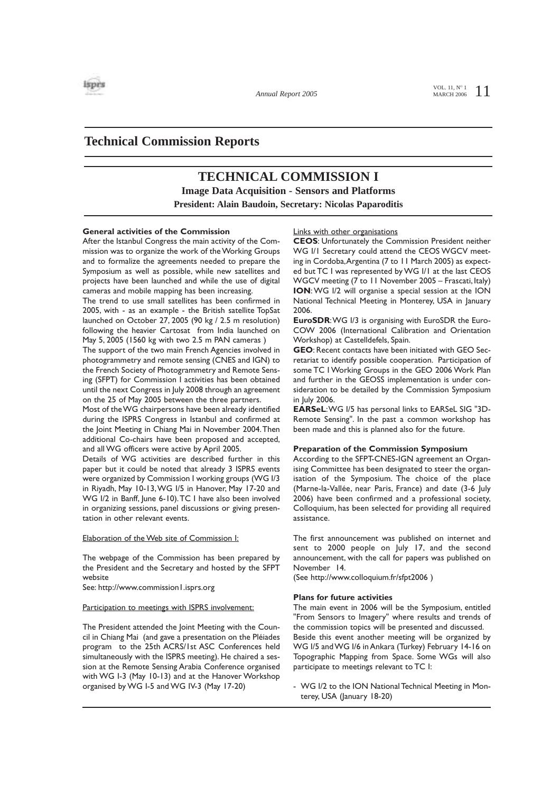

VOL. 11,  $N^{\circ}$  1 1 MARCH 2006

# **Technical Commission Reports**

# **TECHNICAL COMMISSION I**

**Image Data Acquisition - Sensors and Platforms**

**President: Alain Baudoin, Secretary: Nicolas Paparoditis**

### **General activities of the Commission**

After the Istanbul Congress the main activity of the Commission was to organize the work of the Working Groups and to formalize the agreements needed to prepare the Symposium as well as possible, while new satellites and projects have been launched and while the use of digital cameras and mobile mapping has been increasing.

The trend to use small satellites has been confirmed in 2005, with - as an example - the British satellite TopSat launched on October 27, 2005 (90 kg / 2.5 m resolution) following the heavier Cartosat from India launched on May 5, 2005 (1560 kg with two 2.5 m PAN cameras )

The support of the two main French Agencies involved in photogrammetry and remote sensing (CNES and IGN) to the French Society of Photogrammetry and Remote Sensing (SFPT) for Commission I activities has been obtained until the next Congress in July 2008 through an agreement on the 25 of May 2005 between the three partners.

Most of the WG chairpersons have been already identified during the ISPRS Congress in Istanbul and confirmed at the Joint Meeting in Chiang Mai in November 2004.Then additional Co-chairs have been proposed and accepted, and all WG officers were active by April 2005.

Details of WG activities are described further in this paper but it could be noted that already 3 ISPRS events were organized by Commission I working groups (WG I/3 in Riyadh, May 10-13,WG I/5 in Hanover, May 17-20 and WG I/2 in Banff, June 6-10).TC I have also been involved in organizing sessions, panel discussions or giving presentation in other relevant events.

### Elaboration of the Web site of Commission I:

The webpage of the Commission has been prepared by the President and the Secretary and hosted by the SFPT website

See: http://www.commission l .isprs.org

#### Participation to meetings with ISPRS involvement:

The President attended the Joint Meeting with the Council in Chiang Mai (and gave a presentation on the Pléiades program to the 25th ACRS/1st ASC Conferences held simultaneously with the ISPRS meeting). He chaired a session at the Remote Sensing Arabia Conference organised with WG I-3 (May 10-13) and at the Hanover Workshop organised by WG I-5 and WG IV-3 (May 17-20)

### Links with other organisations

**CEOS**: Unfortunately the Commission President neither WG I/I Secretary could attend the CEOS WGCV meeting in Cordoba,Argentina (7 to 11 March 2005) as expected but TC I was represented by WG I/1 at the last CEOS WGCV meeting (7 to 11 November 2005 – Frascati, Italy) **ION**: WG I/2 will organise a special session at the ION National Technical Meeting in Monterey, USA in January 2006.

**EuroSDR:** WG I/3 is organising with EuroSDR the Euro-COW 2006 (International Calibration and Orientation Workshop) at Castelldefels, Spain.

**GEO**: Recent contacts have been initiated with GEO Secretariat to identify possible cooperation. Participation of some TC I Working Groups in the GEO 2006 Work Plan and further in the GEOSS implementation is under consideration to be detailed by the Commission Symposium in July 2006.

**EARSeL**:WG I/5 has personal links to EARSeL SIG "3D-Remote Sensing". In the past a common workshop has been made and this is planned also for the future.

## **Preparation of the Commission Symposium**

According to the SFPT-CNES-IGN agreement an Organising Committee has been designated to steer the organisation of the Symposium. The choice of the place (Marne-la-Vallée, near Paris, France) and date (3-6 July 2006) have been confirmed and a professional society, Colloquium, has been selected for providing all required assistance.

The first announcement was published on internet and sent to 2000 people on July 17, and the second announcement, with the call for papers was published on November 14.

(See http://www.colloquium.fr/sfpt2006 )

### **Plans for future activities**

The main event in 2006 will be the Symposium, entitled "From Sensors to Imagery" where results and trends of the commission topics will be presented and discussed. Beside this event another meeting will be organized by WG I/5 and WG I/6 in Ankara (Turkey) February 14-16 on Topographic Mapping from Space. Some WGs will also participate to meetings relevant to TC I:

- WG I/2 to the ION National Technical Meeting in Monterey, USA (January 18-20)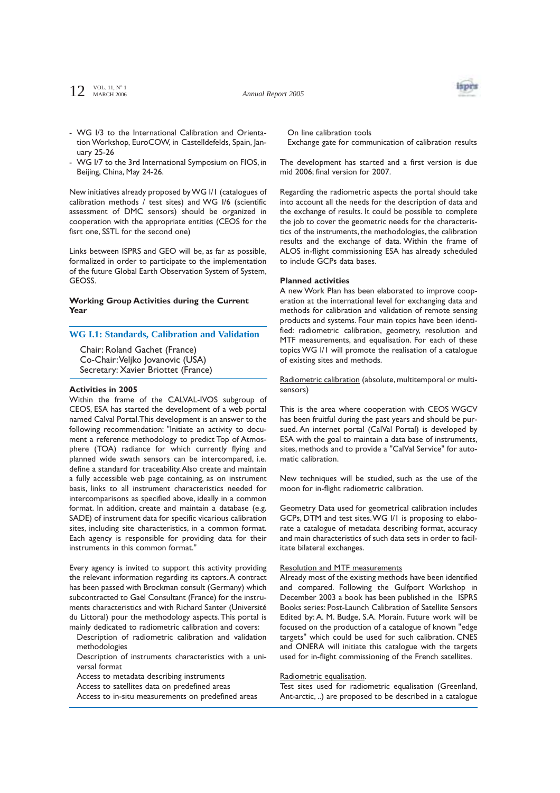$12^{VOL. 11, N^{\circ}1}$ MARCH 2006

*Annual Report 2005*



- WG I/3 to the International Calibration and Orientation Workshop, EuroCOW, in Castelldefelds, Spain, January 25-26
- WG I/7 to the 3rd International Symposium on FIOS, in Beijing, China, May 24-26.

New initiatives already proposed by WG I/1 (catalogues of calibration methods / test sites) and WG I/6 (scientific assessment of DMC sensors) should be organized in cooperation with the appropriate entities (CEOS for the fisrt one, SSTL for the second one)

Links between ISPRS and GEO will be, as far as possible, formalized in order to participate to the implementation of the future Global Earth Observation System of System, **GEOSS** 

## **Working Group Activities during the Current Year**

# **WG I.1: Standards, Calibration and Validation**

Chair: Roland Gachet (France) Co-Chair:Veljko Jovanovic (USA) Secretary: Xavier Briottet (France)

## **Activities in 2005**

Within the frame of the CALVAL-IVOS subgroup of CEOS, ESA has started the development of a web portal named Calval Portal.This development is an answer to the following recommendation: "Initiate an activity to document a reference methodology to predict Top of Atmosphere (TOA) radiance for which currently flying and planned wide swath sensors can be intercompared, i.e. define a standard for traceability.Also create and maintain a fully accessible web page containing, as on instrument basis, links to all instrument characteristics needed for intercomparisons as specified above, ideally in a common format. In addition, create and maintain a database (e.g. SADE) of instrument data for specific vicarious calibration sites, including site characteristics, in a common format. Each agency is responsible for providing data for their instruments in this common format."

Every agency is invited to support this activity providing the relevant information regarding its captors.A contract has been passed with Brockman consult (Germany) which subcontracted to Gaël Consultant (France) for the instruments characteristics and with Richard Santer (Université du Littoral) pour the methodology aspects.This portal is mainly dedicated to radiometric calibration and covers:

Description of radiometric calibration and validation methodologies

Description of instruments characteristics with a universal format

Access to metadata describing instruments

Access to satellites data on predefined areas

Access to in-situ measurements on predefined areas

On line calibration tools Exchange gate for communication of calibration results

The development has started and a first version is due mid 2006; final version for 2007.

Regarding the radiometric aspects the portal should take into account all the needs for the description of data and the exchange of results. It could be possible to complete the job to cover the geometric needs for the characteristics of the instruments, the methodologies, the calibration results and the exchange of data. Within the frame of ALOS in-flight commissioning ESA has already scheduled to include GCPs data bases.

## **Planned activities**

A new Work Plan has been elaborated to improve cooperation at the international level for exchanging data and methods for calibration and validation of remote sensing products and systems. Four main topics have been identified: radiometric calibration, geometry, resolution and MTF measurements, and equalisation. For each of these topics WG I/1 will promote the realisation of a catalogue of existing sites and methods.

Radiometric calibration (absolute, multitemporal or multisensors)

This is the area where cooperation with CEOS WGCV has been fruitful during the past years and should be pursued. An internet portal (CalVal Portal) is developed by ESA with the goal to maintain a data base of instruments, sites, methods and to provide a "CalVal Service" for automatic calibration.

New techniques will be studied, such as the use of the moon for in-flight radiometric calibration.

Geometry Data used for geometrical calibration includes GCPs, DTM and test sites.WG I/1 is proposing to elaborate a catalogue of metadata describing format, accuracy and main characteristics of such data sets in order to facilitate bilateral exchanges.

#### Resolution and MTF measurements

Already most of the existing methods have been identified and compared. Following the Gulfport Workshop in December 2003 a book has been published in the ISPRS Books series: Post-Launch Calibration of Satellite Sensors Edited by: A. M. Budge, S.A. Morain. Future work will be focused on the production of a catalogue of known "edge targets" which could be used for such calibration. CNES and ONERA will initiate this catalogue with the targets used for in-flight commissioning of the French satellites.

#### Radiometric equalisation.

Test sites used for radiometric equalisation (Greenland, Ant-arctic, ..) are proposed to be described in a catalogue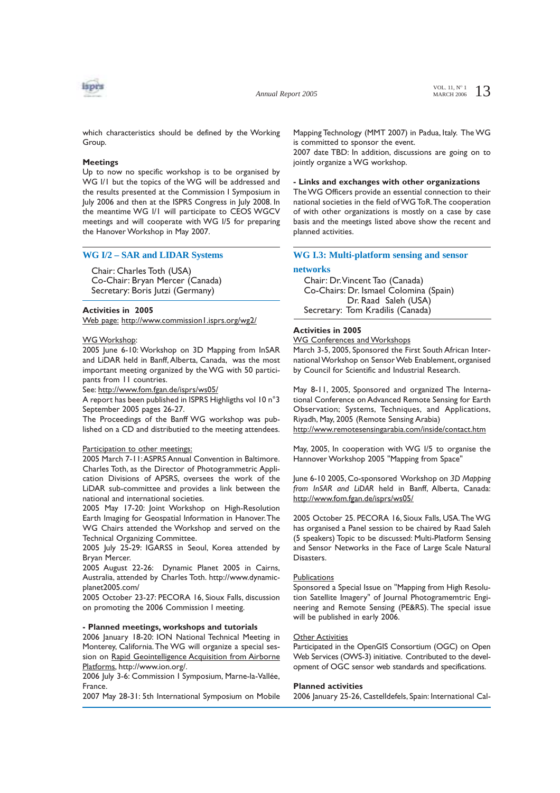

*Annual Report 2005*

VOL. 11,  $N^{\circ}$  1 3 MARCH 2006

which characteristics should be defined by the Working Group.

### **Meetings**

Up to now no specific workshop is to be organised by WG I/1 but the topics of the WG will be addressed and the results presented at the Commission I Symposium in July 2006 and then at the ISPRS Congress in July 2008. In the meantime WG I/1 will participate to CEOS WGCV meetings and will cooperate with WG I/5 for preparing the Hanover Workshop in May 2007.

### **WG I/2 – SAR and LIDAR Systems**

Chair: Charles Toth (USA) Co-Chair: Bryan Mercer (Canada) Secretary: Boris Jutzi (Germany)

# **Activities in 2005**

Web page: http://www.commission1.isprs.org/wg2/

#### WG Workshop:

2005 June 6-10: Workshop on 3D Mapping from InSAR and LiDAR held in Banff, Alberta, Canada, was the most important meeting organized by the WG with 50 participants from 11 countries.

See: http://www.fom.fgan.de/isprs/ws05/

A report has been published in ISPRS Highligths vol 10 n°3 September 2005 pages 26-27.

The Proceedings of the Banff WG workshop was published on a CD and distributied to the meeting attendees.

### Participation to other meetings:

2005 March 7-11:ASPRS Annual Convention in Baltimore. Charles Toth, as the Director of Photogrammetric Application Divisions of APSRS, oversees the work of the LiDAR sub-committee and provides a link between the national and international societies.

2005 May 17-20: Joint Workshop on High-Resolution Earth Imaging for Geospatial Information in Hanover.The WG Chairs attended the Workshop and served on the Technical Organizing Committee.

2005 July 25-29: IGARSS in Seoul, Korea attended by Bryan Mercer.

2005 August 22-26: Dynamic Planet 2005 in Cairns, Australia, attended by Charles Toth. http://www.dynamicplanet2005.com/

2005 October 23-27: PECORA 16, Sioux Falls, discussion on promoting the 2006 Commission I meeting.

#### **- Planned meetings, workshops and tutorials**

2006 January 18-20: ION National Technical Meeting in Monterey, California.The WG will organize a special session on Rapid Geointelligence Acquisition from Airborne Platforms, http://www.ion.org/.

2006 July 3-6: Commission I Symposium, Marne-la-Vallée, France.

2007 May 28-31: 5th International Symposium on Mobile

Mapping Technology (MMT 2007) in Padua, Italy. The WG is committed to sponsor the event.

2007 date TBD: In addition, discussions are going on to jointly organize a WG workshop.

## **- Links and exchanges with other organizations**

The WG Officers provide an essential connection to their national societies in the field of WG ToR.The cooperation of with other organizations is mostly on a case by case basis and the meetings listed above show the recent and planned activities.

# **WG I.3: Multi-platform sensing and sensor**

#### **networks**

Chair: Dr.Vincent Tao (Canada) Co-Chairs: Dr. Ismael Colomina (Spain) Dr. Raad Saleh (USA) Secretary: Tom Kradilis (Canada)

# **Activities in 2005**

WG Conferences and Workshops

March 3-5, 2005, Sponsored the First South African International Workshop on Sensor Web Enablement, organised by Council for Scientific and Industrial Research.

May 8-11, 2005, Sponsored and organized The International Conference on Advanced Remote Sensing for Earth Observation; Systems, Techniques, and Applications, Riyadh, May, 2005 (Remote Sensing Arabia) http://www.remotesensingarabia.com/inside/contact.htm

May, 2005, In cooperation with WG I/5 to organise the Hannover Workshop 2005 "Mapping from Space"

June 6-10 2005, Co-sponsored Workshop on *3D Mapping from InSAR and LiDAR* held in Banff, Alberta, Canada: http://www.fom.fgan.de/isprs/ws05/

2005 October 25. PECORA 16, Sioux Falls, USA.The WG has organised a Panel session to be chaired by Raad Saleh (5 speakers) Topic to be discussed: Multi-Platform Sensing and Sensor Networks in the Face of Large Scale Natural Disasters.

#### **Publications**

Sponsored a Special Issue on "Mapping from High Resolution Satellite Imagery" of Journal Photogramemtric Engineering and Remote Sensing (PE&RS). The special issue will be published in early 2006.

#### Other Activities

Participated in the OpenGIS Consortium (OGC) on Open Web Services (OWS-3) initiative. Contributed to the development of OGC sensor web standards and specifications.

#### **Planned activities**

2006 January 25-26, Castelldefels, Spain: International Cal-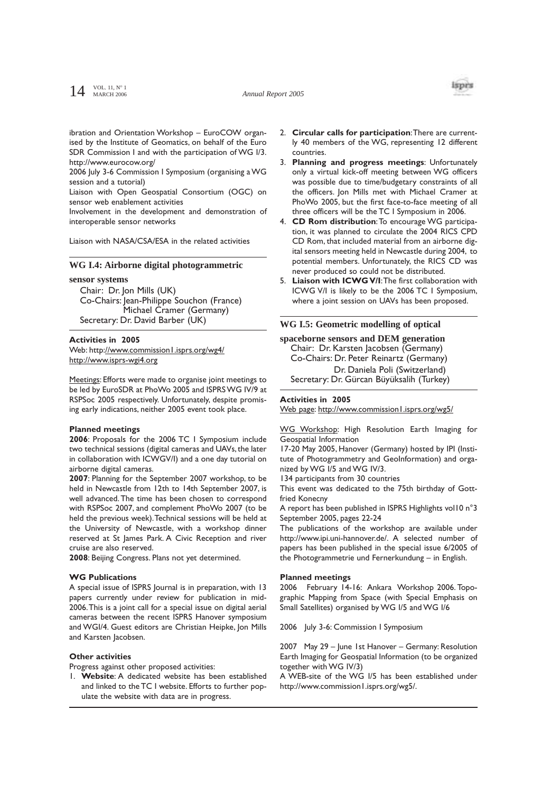

ibration and Orientation Workshop – EuroCOW organised by the Institute of Geomatics, on behalf of the Euro SDR Commission I and with the participation of WG I/3. http://www.eurocow.org/

2006 July 3-6 Commission I Symposium (organising a WG session and a tutorial)

Liaison with Open Geospatial Consortium (OGC) on sensor web enablement activities

Involvement in the development and demonstration of interoperable sensor networks

Liaison with NASA/CSA/ESA in the related activities

## **WG I.4: Airborne digital photogrammetric**

**sensor systems**

Chair: Dr. Jon Mills (UK) Co-Chairs: Jean-Philippe Souchon (France) Michael Cramer (Germany) Secretary: Dr. David Barber (UK)

#### **Activities in 2005**

Web: http://www.commission1.isprs.org/wg4/ http://www.isprs-wgi4.org

Meetings: Efforts were made to organise joint meetings to be led by EuroSDR at PhoWo 2005 and ISPRS WG IV/9 at RSPSoc 2005 respectively. Unfortunately, despite promising early indications, neither 2005 event took place.

#### **Planned meetings**

**2006**: Proposals for the 2006 TC I Symposium include two technical sessions (digital cameras and UAVs, the later in collaboration with ICWGV/I) and a one day tutorial on airborne digital cameras.

**2007**: Planning for the September 2007 workshop, to be held in Newcastle from 12th to 14th September 2007, is well advanced.The time has been chosen to correspond with RSPSoc 2007, and complement PhoWo 2007 (to be held the previous week).Technical sessions will be held at the University of Newcastle, with a workshop dinner reserved at St James Park. A Civic Reception and river cruise are also reserved.

**2008**: Beijing Congress. Plans not yet determined.

#### **WG Publications**

A special issue of ISPRS Journal is in preparation, with 13 papers currently under review for publication in mid-2006.This is a joint call for a special issue on digital aerial cameras between the recent ISPRS Hanover symposium and WGI/4. Guest editors are Christian Heipke, Jon Mills and Karsten Jacobsen.

### **Other activities**

Progress against other proposed activities:

1. **Website**: A dedicated website has been established and linked to the TC I website. Efforts to further populate the website with data are in progress.

- 2. **Circular calls for participation**:There are currently 40 members of the WG, representing 12 different countries.
- 3. **Planning and progress meetings**: Unfortunately only a virtual kick-off meeting between WG officers was possible due to time/budgetary constraints of all the officers. Jon Mills met with Michael Cramer at PhoWo 2005, but the first face-to-face meeting of all three officers will be the TC I Symposium in 2006.
- 4. **CD Rom distribution**:To encourage WG participation, it was planned to circulate the 2004 RICS CPD CD Rom, that included material from an airborne digital sensors meeting held in Newcastle during 2004, to potential members. Unfortunately, the RICS CD was never produced so could not be distributed.
- 5. **Liaison with ICWG V/I**:The first collaboration with ICWG V/I is likely to be the 2006 TC I Symposium, where a joint session on UAVs has been proposed.

## **WG I.5: Geometric modelling of optical**

**spaceborne sensors and DEM generation** Chair: Dr. Karsten Jacobsen (Germany) Co-Chairs: Dr. Peter Reinartz (Germany) Dr. Daniela Poli (Switzerland) Secretary: Dr. Gürcan Büyüksalih (Turkey)

#### **Activities in 2005**

Web page: http://www.commission1.isprs.org/wg5/

WG Workshop: High Resolution Earth Imaging for Geospatial Information

17-20 May 2005, Hanover (Germany) hosted by IPI (Institute of Photogrammetry and GeoInformation) and organized by WG I/5 and WG IV/3.

134 participants from 30 countries

This event was dedicated to the 75th birthday of Gottfried Konecny

A report has been published in ISPRS Highlights vol10 n°3 September 2005, pages 22-24

The publications of the workshop are available under http://www.ipi.uni-hannover.de/. A selected number of papers has been published in the special issue 6/2005 of the Photogrammetrie und Fernerkundung – in English.

#### **Planned meetings**

2006 February 14-16: Ankara Workshop 2006. Topographic Mapping from Space (with Special Emphasis on Small Satellites) organised by WG I/5 and WG I/6

2006 July 3-6: Commission I Symposium

2007 May 29 – June 1st Hanover – Germany: Resolution Earth Imaging for Geospatial Information (to be organized together with WG IV/3)

A WEB-site of the WG I/5 has been established under http://www.commission1.isprs.org/wg5/.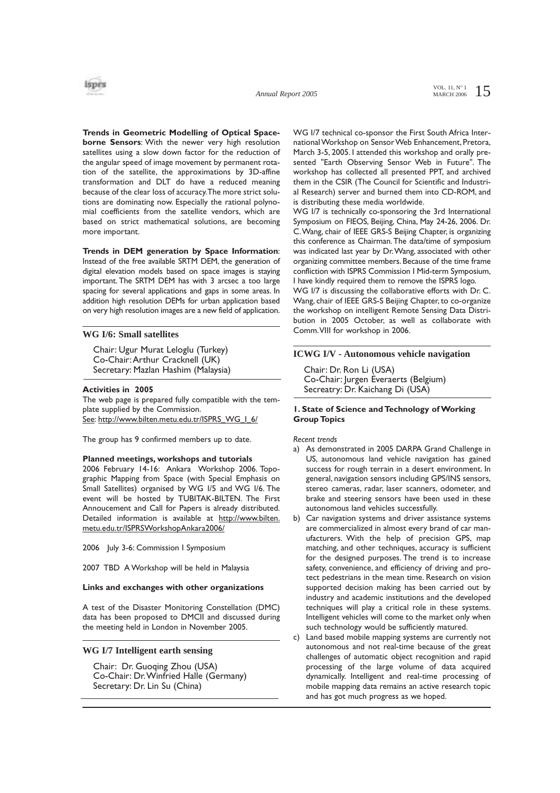

**Trends in Geometric Modelling of Optical Spaceborne Sensors**: With the newer very high resolution satellites using a slow down factor for the reduction of the angular speed of image movement by permanent rotation of the satellite, the approximations by 3D-affine transformation and DLT do have a reduced meaning because of the clear loss of accuracy.The more strict solutions are dominating now. Especially the rational polynomial coefficients from the satellite vendors, which are based on strict mathematical solutions, are becoming more important.

**Trends in DEM generation by Space Information**: Instead of the free available SRTM DEM, the generation of digital elevation models based on space images is staying important. The SRTM DEM has with 3 arcsec a too large spacing for several applications and gaps in some areas. In addition high resolution DEMs for urban application based on very high resolution images are a new field of application.

## **WG I/6: Small satellites**

Chair: Ugur Murat Leloglu (Turkey) Co-Chair:Arthur Cracknell (UK) Secretary: Mazlan Hashim (Malaysia)

#### **Activities in 2005**

The web page is prepared fully compatible with the template supplied by the Commission. See: http://www.bilten.metu.edu.tr/ISPRS\_WG\_I\_6/

The group has 9 confirmed members up to date.

#### **Planned meetings, workshops and tutorials**

2006 February 14-16: Ankara Workshop 2006. Topographic Mapping from Space (with Special Emphasis on Small Satellites) organised by WG I/5 and WG I/6. The event will be hosted by TUBITAK-BILTEN. The First Annoucement and Call for Papers is already distributed. Detailed information is available at http://www.bilten. metu.edu.tr/ISPRSWorkshopAnkara2006/

2006 July 3-6: Commission I Symposium

2007 TBD A Workshop will be held in Malaysia

## **Links and exchanges with other organizations**

A test of the Disaster Monitoring Constellation (DMC) data has been proposed to DMCII and discussed during the meeting held in London in November 2005.

## **WG I/7 Intelligent earth sensing**

Chair: Dr. Guoqing Zhou (USA) Co-Chair: Dr.Winfried Halle (Germany) Secretary: Dr. Lin Su (China)

WG I/7 technical co-sponsor the First South Africa International Workshop on Sensor Web Enhancement, Pretora, March 3-5, 2005. I attended this workshop and orally presented "Earth Observing Sensor Web in Future". The workshop has collected all presented PPT, and archived them in the CSIR (The Council for Scientific and Industrial Research) server and burned them into CD-ROM, and is distributing these media worldwide.

WG I/7 is technically co-sponsoring the 3rd International Symposium on FIEOS, Beijing, China, May 24-26, 2006. Dr. C.Wang, chair of IEEE GRS-S Beijing Chapter, is organizing this conference as Chairman.The data/time of symposium was indicated last year by Dr.Wang, associated with other organizing committee members. Because of the time frame confliction with ISPRS Commission I Mid-term Symposium, I have kindly required them to remove the ISPRS logo.

WG I/7 is discussing the collaborative efforts with Dr. C. Wang, chair of IEEE GRS-S Beijing Chapter, to co-organize the workshop on intelligent Remote Sensing Data Distribution in 2005 October, as well as collaborate with Comm.VIII for workshop in 2006.

# **ICWG I/V - Autonomous vehicle navigation**

Chair: Dr. Ron Li (USA) Co-Chair: Jurgen Everaerts (Belgium) Secreatry: Dr. Kaichang Di (USA)

## **1. State of Science and Technology of Working Group Topics**

*Recent trends*

- a) As demonstrated in 2005 DARPA Grand Challenge in US, autonomous land vehicle navigation has gained success for rough terrain in a desert environment. In general, navigation sensors including GPS/INS sensors, stereo cameras, radar, laser scanners, odometer, and brake and steering sensors have been used in these autonomous land vehicles successfully.
- b) Car navigation systems and driver assistance systems are commercialized in almost every brand of car manufacturers. With the help of precision GPS, map matching, and other techniques, accuracy is sufficient for the designed purposes. The trend is to increase safety, convenience, and efficiency of driving and protect pedestrians in the mean time. Research on vision supported decision making has been carried out by industry and academic institutions and the developed techniques will play a critical role in these systems. Intelligent vehicles will come to the market only when such technology would be sufficiently matured.
- c) Land based mobile mapping systems are currently not autonomous and not real-time because of the great challenges of automatic object recognition and rapid processing of the large volume of data acquired dynamically. Intelligent and real-time processing of mobile mapping data remains an active research topic and has got much progress as we hoped.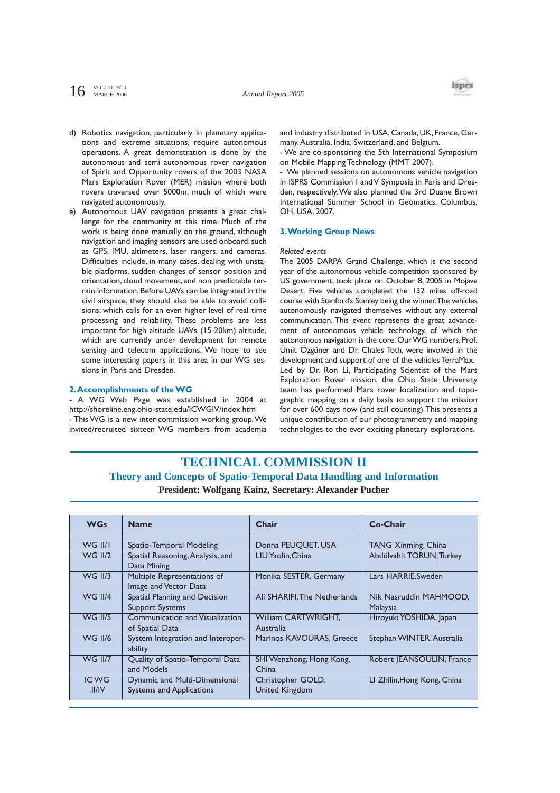$16$  VOL. 11, N° 1

*Annual Report 2005*



- d) Robotics navigation, particularly in planetary applications and extreme situations, require autonomous operations. A great demonstration is done by the autonomous and semi autonomous rover navigation of Spirit and Opportunity rovers of the 2003 NASA Mars Exploration Rover (MER) mission where both rovers traversed over 5000m, much of which were navigated autonomously.
- e) Autonomous UAV navigation presents a great challenge for the community at this time. Much of the work is being done manually on the ground, although navigation and imaging sensors are used onboard, such as GPS, IMU, altimeters, laser rangers, and cameras. Difficulties include, in many cases, dealing with unstable platforms, sudden changes of sensor position and orientation, cloud movement, and non predictable terrain information. Before UAVs can be integrated in the civil airspace, they should also be able to avoid collisions, which calls for an even higher level of real time processing and reliability. These problems are less important for high altitude UAVs (15-20km) altitude, which are currently under development for remote sensing and telecom applications. We hope to see some interesting papers in this area in our WG sessions in Paris and Dresden.

### **2.Accomplishments of the WG**

- A WG Web Page was established in 2004 at http://shoreline.eng.ohio-state.edu/ICWGIV/index.htm - This WG is a new inter-commission working group.We invited/recruited sixteen WG members from academia and industry distributed in USA, Canada, UK, France, Germany,Australia, India, Switzerland, and Belgium.

- We are co-sponsoring the 5th International Symposium on Mobile Mapping Technology (MMT 2007).

- We planned sessions on autonomous vehicle navigation in ISPRS Commission I and V Symposia in Paris and Dresden, respectively.We also planned the 3rd Duane Brown International Summer School in Geomatics, Columbus, OH, USA, 2007.

## **3.Working Group News**

### *Related events*

The 2005 DARPA Grand Challenge, which is the second year of the autonomous vehicle competition sponsored by US government, took place on October 8, 2005 in Mojave Desert. Five vehicles completed the 132 miles off-road course with Stanford's Stanley being the winner.The vehicles autonomously navigated themselves without any external communication. This event represents the great advancement of autonomous vehicle technology, of which the autonomous navigation is the core. Our WG numbers, Prof. Ümit Özgüner and Dr. Chales Toth, were involved in the development and support of one of the vehicles TerraMax. Led by Dr. Ron Li, Participating Scientist of the Mars Exploration Rover mission, the Ohio State University team has performed Mars rover localization and topographic mapping on a daily basis to support the mission for over 600 days now (and still counting).This presents a unique contribution of our photogrammetry and mapping technologies to the ever exciting planetary explorations.

# **TECHNICAL COMMISSION II Theory and Concepts of Spatio-Temporal Data Handling and Information President: Wolfgang Kainz, Secretary: Alexander Pucher**

| <b>WGs</b>           | <b>Name</b>                                                      | Chair                               | Co-Chair                           |  |  |
|----------------------|------------------------------------------------------------------|-------------------------------------|------------------------------------|--|--|
| WG II/I              | Spatio-Temporal Modeling                                         | Donna PEUQUET, USA                  | <b>TANG Xinming, China</b>         |  |  |
| <b>WG II/2</b>       | Spatial Reasoning, Analysis, and<br>Data Mining                  | LIU Yaolin,China                    | Abdülvahit TORUN, Turkey           |  |  |
| <b>WG II/3</b>       | Multiple Representations of<br>Image and Vector Data             | Monika SESTER, Germany              | Lars HARRIE.Sweden                 |  |  |
| <b>WG II/4</b>       | Spatial Planning and Decision<br><b>Support Systems</b>          | Ali SHARIFI, The Netherlands        | Nik Nasruddin MAHMOOD,<br>Malaysia |  |  |
| <b>WG II/5</b>       | Communication and Visualization<br>of Spatial Data               | William CARTWRIGHT.<br>Australia    | Hiroyuki YOSHIDA, Japan            |  |  |
| <b>WG II/6</b>       | System Integration and Interoper-<br>ability                     | Marinos KAVOURAS, Greece            | Stephan WINTER, Australia          |  |  |
| <b>WG II/7</b>       | Quality of Spatio-Temporal Data<br>and Models                    | SHI Wenzhong, Hong Kong,<br>China   | Robert JEANSOULIN, France          |  |  |
| <b>ICWG</b><br>II/IV | Dynamic and Multi-Dimensional<br><b>Systems and Applications</b> | Christopher GOLD,<br>United Kingdom | LI Zhilin, Hong Kong, China        |  |  |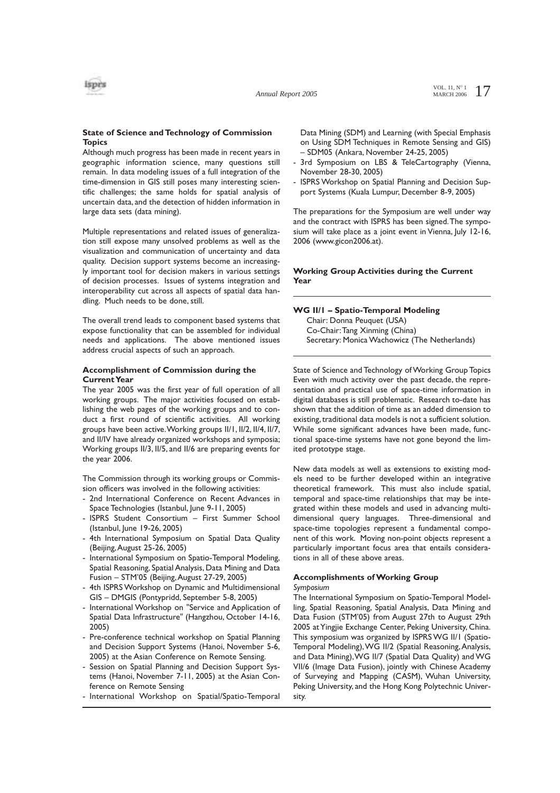

# **State of Science and Technology of Commission Topics**

Although much progress has been made in recent years in geographic information science, many questions still remain. In data modeling issues of a full integration of the time-dimension in GIS still poses many interesting scientific challenges; the same holds for spatial analysis of uncertain data, and the detection of hidden information in large data sets (data mining).

Multiple representations and related issues of generalization still expose many unsolved problems as well as the visualization and communication of uncertainty and data quality. Decision support systems become an increasingly important tool for decision makers in various settings of decision processes. Issues of systems integration and interoperability cut across all aspects of spatial data handling. Much needs to be done, still.

The overall trend leads to component based systems that expose functionality that can be assembled for individual needs and applications. The above mentioned issues address crucial aspects of such an approach.

### **Accomplishment of Commission during the Current Year**

The year 2005 was the first year of full operation of all working groups. The major activities focused on establishing the web pages of the working groups and to conduct a first round of scientific activities. All working groups have been active.Working groups II/1, II/2, II/4, II/7, and II/IV have already organized workshops and symposia; Working groups II/3, II/5, and II/6 are preparing events for the year 2006.

The Commission through its working groups or Commission officers was involved in the following activities:

- 2nd International Conference on Recent Advances in Space Technologies (Istanbul, June 9-11, 2005)
- ISPRS Student Consortium First Summer School (Istanbul, June 19-26, 2005)
- 4th International Symposium on Spatial Data Quality (Beijing,August 25-26, 2005)
- International Symposium on Spatio-Temporal Modeling, Spatial Reasoning, Spatial Analysis, Data Mining and Data Fusion – STM'05 (Beijing,August 27-29, 2005)
- 4th ISPRS Workshop on Dynamic and Multidimensional GIS – DMGIS (Pontypridd, September 5-8, 2005)
- International Workshop on "Service and Application of Spatial Data Infrastructure" (Hangzhou, October 14-16, 2005)
- Pre-conference technical workshop on Spatial Planning and Decision Support Systems (Hanoi, November 5-6, 2005) at the Asian Conference on Remote Sensing.
- Session on Spatial Planning and Decision Support Systems (Hanoi, November 7-11, 2005) at the Asian Conference on Remote Sensing
- International Workshop on Spatial/Spatio-Temporal

Data Mining (SDM) and Learning (with Special Emphasis on Using SDM Techniques in Remote Sensing and GIS) – SDM05 (Ankara, November 24-25, 2005)

- 3rd Symposium on LBS & TeleCartography (Vienna, November 28-30, 2005)
- ISPRS Workshop on Spatial Planning and Decision Support Systems (Kuala Lumpur, December 8-9, 2005)

The preparations for the Symposium are well under way and the contract with ISPRS has been signed.The symposium will take place as a joint event in Vienna, July 12-16, 2006 (www.gicon2006.at).

## **Working Group Activities during the Current Year**

#### **WG II/1 – Spatio-Temporal Modeling**

Chair: Donna Peuquet (USA) Co-Chair:Tang Xinming (China) Secretary: Monica Wachowicz (The Netherlands)

State of Science and Technology of Working Group Topics Even with much activity over the past decade, the representation and practical use of space-time information in digital databases is still problematic. Research to-date has shown that the addition of time as an added dimension to existing, traditional data models is not a sufficient solution. While some significant advances have been made, functional space-time systems have not gone beyond the limited prototype stage.

New data models as well as extensions to existing models need to be further developed within an integrative theoretical framework. This must also include spatial, temporal and space-time relationships that may be integrated within these models and used in advancing multidimensional query languages. Three-dimensional and space-time topologies represent a fundamental component of this work. Moving non-point objects represent a particularly important focus area that entails considerations in all of these above areas.

#### **Accomplishments of Working Group** *Symposium*

The International Symposium on Spatio-Temporal Modelling, Spatial Reasoning, Spatial Analysis, Data Mining and Data Fusion (STM'05) from August 27th to August 29th 2005 at Yingjie Exchange Center, Peking University, China. This symposium was organized by ISPRS WG II/1 (Spatio-Temporal Modeling), WG II/2 (Spatial Reasoning, Analysis, and Data Mining),WG II/7 (Spatial Data Quality) and WG VII/6 (Image Data Fusion), jointly with Chinese Academy of Surveying and Mapping (CASM), Wuhan University, Peking University, and the Hong Kong Polytechnic University.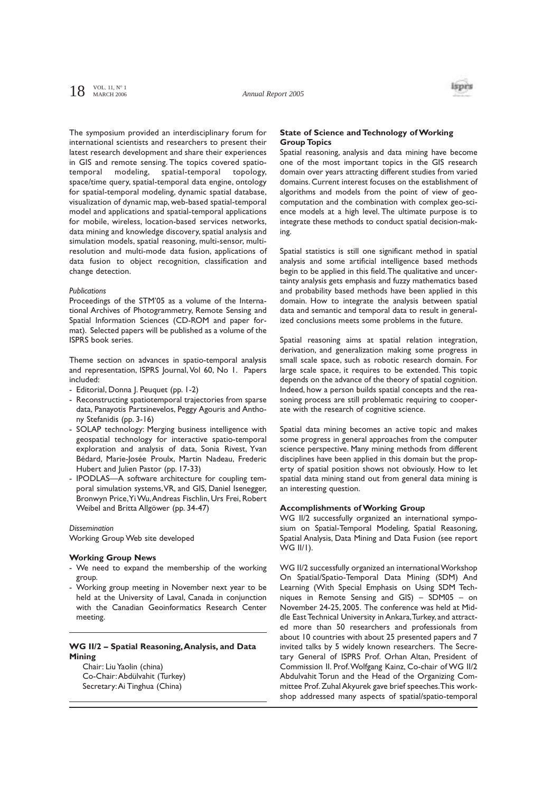# $18$  VOL. 11, N° 1



The symposium provided an interdisciplinary forum for international scientists and researchers to present their latest research development and share their experiences in GIS and remote sensing. The topics covered spatiotemporal modeling, spatial-temporal topology, space/time query, spatial-temporal data engine, ontology for spatial-temporal modeling, dynamic spatial database, visualization of dynamic map, web-based spatial-temporal model and applications and spatial-temporal applications for mobile, wireless, location-based services networks, data mining and knowledge discovery, spatial analysis and simulation models, spatial reasoning, multi-sensor, multiresolution and multi-mode data fusion, applications of data fusion to object recognition, classification and change detection.

#### *Publications*

Proceedings of the STM'05 as a volume of the International Archives of Photogrammetry, Remote Sensing and Spatial Information Sciences (CD-ROM and paper format). Selected papers will be published as a volume of the ISPRS book series.

Theme section on advances in spatio-temporal analysis and representation, ISPRS Journal, Vol 60, No 1. Papers included:

- Editorial, Donna J. Peuquet (pp. 1-2)
- Reconstructing spatiotemporal trajectories from sparse data, Panayotis Partsinevelos, Peggy Agouris and Anthony Stefanidis (pp. 3-16)
- SOLAP technology: Merging business intelligence with geospatial technology for interactive spatio-temporal exploration and analysis of data, Sonia Rivest, Yvan Bédard, Marie-Josée Proulx, Martin Nadeau, Frederic Hubert and Julien Pastor (pp. 17-33)
- IPODLAS—A software architecture for coupling temporal simulation systems,VR, and GIS, Daniel Isenegger, Bronwyn Price,Yi Wu,Andreas Fischlin, Urs Frei, Robert Weibel and Britta Allgöwer (pp. 34-47)

# *Dissemination*

Working Group Web site developed

#### **Working Group News**

- We need to expand the membership of the working group.
- Working group meeting in November next year to be held at the University of Laval, Canada in conjunction with the Canadian Geoinformatics Research Center meeting.

#### **WG II/2 – Spatial Reasoning,Analysis, and Data Mining**

Chair: Liu Yaolin (china) Co-Chair:Abdülvahit (Turkey) Secretary:Ai Tinghua (China)

## **State of Science and Technology of Working Group Topics**

Spatial reasoning, analysis and data mining have become one of the most important topics in the GIS research domain over years attracting different studies from varied domains. Current interest focuses on the establishment of algorithms and models from the point of view of geocomputation and the combination with complex geo-science models at a high level. The ultimate purpose is to integrate these methods to conduct spatial decision-making.

Spatial statistics is still one significant method in spatial analysis and some artificial intelligence based methods begin to be applied in this field.The qualitative and uncertainty analysis gets emphasis and fuzzy mathematics based and probability based methods have been applied in this domain. How to integrate the analysis between spatial data and semantic and temporal data to result in generalized conclusions meets some problems in the future.

Spatial reasoning aims at spatial relation integration, derivation, and generalization making some progress in small scale space, such as robotic research domain. For large scale space, it requires to be extended. This topic depends on the advance of the theory of spatial cognition. Indeed, how a person builds spatial concepts and the reasoning process are still problematic requiring to cooperate with the research of cognitive science.

Spatial data mining becomes an active topic and makes some progress in general approaches from the computer science perspective. Many mining methods from different disciplines have been applied in this domain but the property of spatial position shows not obviously. How to let spatial data mining stand out from general data mining is an interesting question.

# **Accomplishments of Working Group**

WG II/2 successfully organized an international symposium on Spatial-Temporal Modeling, Spatial Reasoning, Spatial Analysis, Data Mining and Data Fusion (see report WG II/1).

WG II/2 successfully organized an international Workshop On Spatial/Spatio-Temporal Data Mining (SDM) And Learning (With Special Emphasis on Using SDM Techniques in Remote Sensing and GIS) – SDM05 – on November 24-25, 2005. The conference was held at Middle East Technical University in Ankara,Turkey, and attracted more than 50 researchers and professionals from about 10 countries with about 25 presented papers and 7 invited talks by 5 widely known researchers. The Secretary General of ISPRS Prof. Orhan Altan, President of Commission II. Prof.Wolfgang Kainz, Co-chair of WG II/2 Abdulvahit Torun and the Head of the Organizing Committee Prof. Zuhal Akyurek gave brief speeches.This workshop addressed many aspects of spatial/spatio-temporal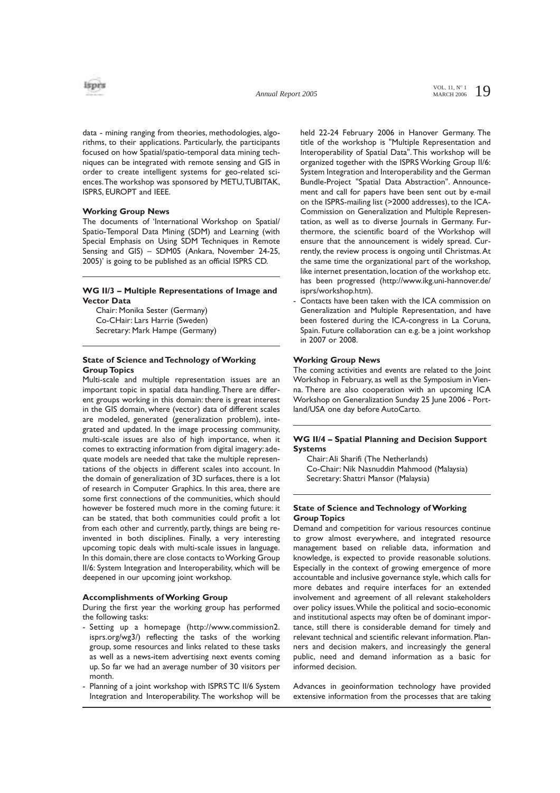

data - mining ranging from theories, methodologies, algorithms, to their applications. Particularly, the participants focused on how Spatial/spatio-temporal data mining techniques can be integrated with remote sensing and GIS in order to create intelligent systems for geo-related sciences.The workshop was sponsored by METU,TUBITAK, ISPRS, EUROPT and IEEE.

## **Working Group News**

The documents of 'International Workshop on Spatial/ Spatio-Temporal Data Mining (SDM) and Learning (with Special Emphasis on Using SDM Techniques in Remote Sensing and GIS) – SDM05 (Ankara, November 24-25, 2005)' is going to be published as an official ISPRS CD.

## **WG II/3 – Multiple Representations of Image and Vector Data**

Chair: Monika Sester (Germany) Co-CHair: Lars Harrie (Sweden) Secretary: Mark Hampe (Germany)

# **State of Science and Technology of Working Group Topics**

Multi-scale and multiple representation issues are an important topic in spatial data handling.There are different groups working in this domain: there is great interest in the GIS domain, where (vector) data of different scales are modeled, generated (generalization problem), integrated and updated. In the image processing community, multi-scale issues are also of high importance, when it comes to extracting information from digital imagery: adequate models are needed that take the multiple representations of the objects in different scales into account. In the domain of generalization of 3D surfaces, there is a lot of research in Computer Graphics. In this area, there are some first connections of the communities, which should however be fostered much more in the coming future: it can be stated, that both communities could profit a lot from each other and currently, partly, things are being reinvented in both disciplines. Finally, a very interesting upcoming topic deals with multi-scale issues in language. In this domain, there are close contacts to Working Group II/6: System Integration and Interoperability, which will be deepened in our upcoming joint workshop.

### **Accomplishments of Working Group**

During the first year the working group has performed the following tasks:

- Setting up a homepage (http://www.commission2. isprs.org/wg3/) reflecting the tasks of the working group, some resources and links related to these tasks as well as a news-item advertising next events coming up. So far we had an average number of 30 visitors per month.
- Planning of a joint workshop with ISPRS TC II/6 System Integration and Interoperability. The workshop will be

held 22-24 February 2006 in Hanover Germany. The title of the workshop is "Multiple Representation and Interoperability of Spatial Data".This workshop will be organized together with the ISPRS Working Group II/6: System Integration and Interoperability and the German Bundle-Project "Spatial Data Abstraction". Announcement and call for papers have been sent out by e-mail on the ISPRS-mailing list (>2000 addresses), to the ICA-Commission on Generalization and Multiple Representation, as well as to diverse Journals in Germany. Furthermore, the scientific board of the Workshop will ensure that the announcement is widely spread. Currently, the review process is ongoing until Christmas.At the same time the organizational part of the workshop, like internet presentation, location of the workshop etc. has been progressed (http://www.ikg.uni-hannover.de/ isprs/workshop.htm).

Contacts have been taken with the ICA commission on Generalization and Multiple Representation, and have been fostered during the ICA-congress in La Coruna, Spain. Future collaboration can e.g. be a joint workshop in 2007 or 2008.

### **Working Group News**

The coming activities and events are related to the Joint Workshop in February, as well as the Symposium in Vienna. There are also cooperation with an upcoming ICA Workshop on Generalization Sunday 25 June 2006 - Portland/USA one day before AutoCarto.

# **WG II/4 – Spatial Planning and Decision Support Systems**

Chair:Ali Sharifi (The Netherlands) Co-Chair: Nik Nasnuddin Mahmood (Malaysia) Secretary: Shattri Mansor (Malaysia)

## **State of Science and Technology of Working Group Topics**

Demand and competition for various resources continue to grow almost everywhere, and integrated resource management based on reliable data, information and knowledge, is expected to provide reasonable solutions. Especially in the context of growing emergence of more accountable and inclusive governance style, which calls for more debates and require interfaces for an extended involvement and agreement of all relevant stakeholders over policy issues.While the political and socio-economic and institutional aspects may often be of dominant importance, still there is considerable demand for timely and relevant technical and scientific relevant information. Planners and decision makers, and increasingly the general public, need and demand information as a basic for informed decision.

Advances in geoinformation technology have provided extensive information from the processes that are taking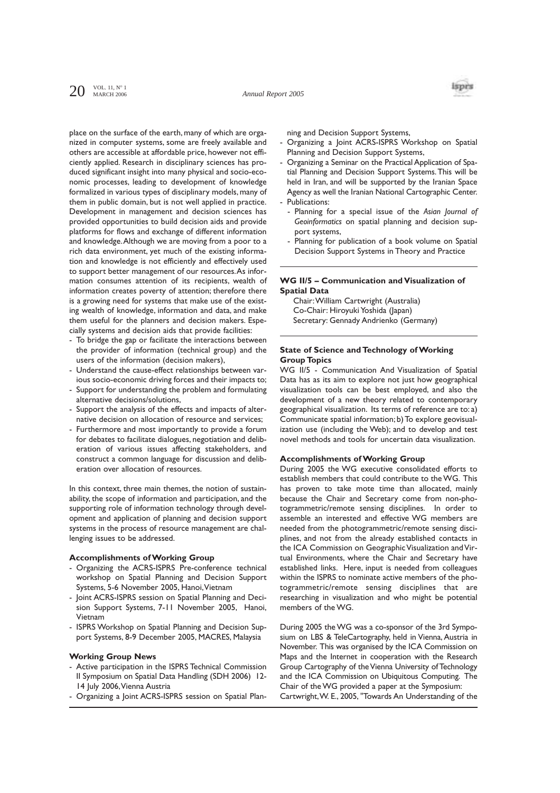

place on the surface of the earth, many of which are organized in computer systems, some are freely available and others are accessible at affordable price, however not efficiently applied. Research in disciplinary sciences has produced significant insight into many physical and socio-economic processes, leading to development of knowledge formalized in various types of disciplinary models, many of them in public domain, but is not well applied in practice. Development in management and decision sciences has provided opportunities to build decision aids and provide platforms for flows and exchange of different information and knowledge.Although we are moving from a poor to a rich data environment, yet much of the existing information and knowledge is not efficiently and effectively used to support better management of our resources.As information consumes attention of its recipients, wealth of information creates poverty of attention; therefore there is a growing need for systems that make use of the existing wealth of knowledge, information and data, and make them useful for the planners and decision makers. Especially systems and decision aids that provide facilities:

- To bridge the gap or facilitate the interactions between the provider of information (technical group) and the users of the information (decision makers),
- Understand the cause-effect relationships between various socio-economic driving forces and their impacts to;
- Support for understanding the problem and formulating alternative decisions/solutions,
- Support the analysis of the effects and impacts of alternative decision on allocation of resource and services;
- Furthermore and most importantly to provide a forum for debates to facilitate dialogues, negotiation and deliberation of various issues affecting stakeholders, and construct a common language for discussion and deliberation over allocation of resources.

In this context, three main themes, the notion of sustainability, the scope of information and participation, and the supporting role of information technology through development and application of planning and decision support systems in the process of resource management are challenging issues to be addressed.

## **Accomplishments of Working Group**

- Organizing the ACRS-ISPRS Pre-conference technical workshop on Spatial Planning and Decision Support Systems, 5-6 November 2005, Hanoi,Vietnam
- Joint ACRS-ISPRS session on Spatial Planning and Decision Support Systems, 7-11 November 2005, Hanoi, Vietnam
- ISPRS Workshop on Spatial Planning and Decision Support Systems, 8-9 December 2005, MACRES, Malaysia

#### **Working Group News**

- Active participation in the ISPRS Technical Commission II Symposium on Spatial Data Handling (SDH 2006) 12- 14 July 2006,Vienna Austria
- Organizing a Joint ACRS-ISPRS session on Spatial Plan-

ning and Decision Support Systems,

- Organizing a Joint ACRS-ISPRS Workshop on Spatial Planning and Decision Support Systems,
- Organizing a Seminar on the Practical Application of Spatial Planning and Decision Support Systems.This will be held in Iran, and will be supported by the Iranian Space Agency as well the Iranian National Cartographic Center. Publications:
- Planning for a special issue of the *Asian Journal of Geoinformatics* on spatial planning and decision support systems,
- Planning for publication of a book volume on Spatial Decision Support Systems in Theory and Practice

## **WG II/5 – Communication and Visualization of Spatial Data**

Chair:William Cartwright (Australia) Co-Chair: Hiroyuki Yoshida (Japan) Secretary: Gennady Andrienko (Germany)

## **State of Science and Technology of Working Group Topics**

WG II/5 - Communication And Visualization of Spatial Data has as its aim to explore not just how geographical visualization tools can be best employed, and also the development of a new theory related to contemporary geographical visualization. Its terms of reference are to: a) Communicate spatial information; b) To explore geovisualization use (including the Web); and to develop and test novel methods and tools for uncertain data visualization.

#### **Accomplishments of Working Group**

During 2005 the WG executive consolidated efforts to establish members that could contribute to the WG. This has proven to take mote time than allocated, mainly because the Chair and Secretary come from non-photogrammetric/remote sensing disciplines. In order to assemble an interested and effective WG members are needed from the photogrammetric/remote sensing disciplines, and not from the already established contacts in the ICA Commission on Geographic Visualization and Virtual Environments, where the Chair and Secretary have established links. Here, input is needed from colleagues within the ISPRS to nominate active members of the photogrammetric/remote sensing disciplines that are researching in visualization and who might be potential members of the WG.

During 2005 the WG was a co-sponsor of the 3rd Symposium on LBS & TeleCartography, held in Vienna, Austria in November. This was organised by the ICA Commission on Maps and the Internet in cooperation with the Research Group Cartography of the Vienna University of Technology and the ICA Commission on Ubiquitous Computing. The Chair of the WG provided a paper at the Symposium:

Cartwright,W. E., 2005, "Towards An Understanding of the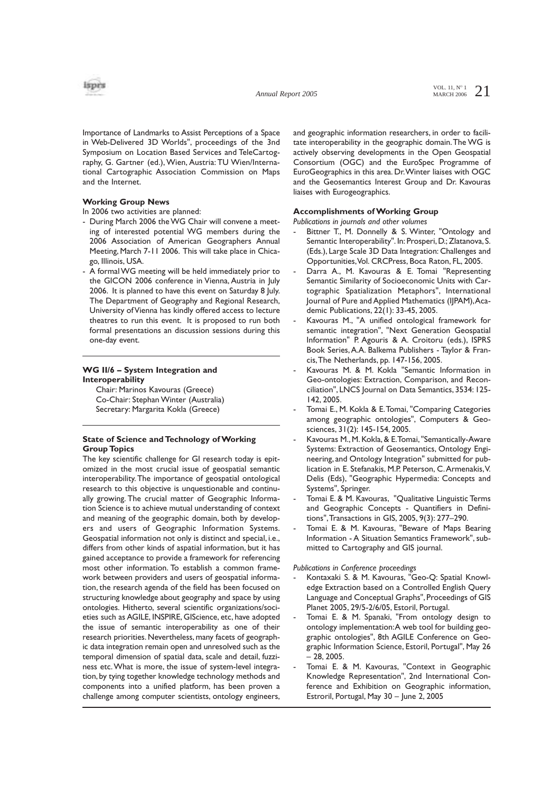

Importance of Landmarks to Assist Perceptions of a Space in Web-Delivered 3D Worlds", proceedings of the 3nd Symposium on Location Based Services and TeleCartography, G. Gartner (ed.), Wien, Austria: TU Wien/International Cartographic Association Commission on Maps and the Internet.

### **Working Group News**

- In 2006 two activities are planned:
- During March 2006 the WG Chair will convene a meeting of interested potential WG members during the 2006 Association of American Geographers Annual Meeting, March 7-11 2006. This will take place in Chicago, Illinois, USA.
- A formal WG meeting will be held immediately prior to the GICON 2006 conference in Vienna, Austria in July 2006. It is planned to have this event on Saturday 8 July. The Department of Geography and Regional Research, University of Vienna has kindly offered access to lecture theatres to run this event. It is proposed to run both formal presentations an discussion sessions during this one-day event.

# **WG II/6 – System Integration and Interoperability**

Chair: Marinos Kavouras (Greece) Co-Chair: Stephan Winter (Australia) Secretary: Margarita Kokla (Greece)

# **State of Science and Technology of Working Group Topics**

The key scientific challenge for GI research today is epitomized in the most crucial issue of geospatial semantic interoperability.The importance of geospatial ontological research to this objective is unquestionable and continually growing. The crucial matter of Geographic Information Science is to achieve mutual understanding of context and meaning of the geographic domain, both by developers and users of Geographic Information Systems. Geospatial information not only is distinct and special, i.e., differs from other kinds of aspatial information, but it has gained acceptance to provide a framework for referencing most other information. To establish a common framework between providers and users of geospatial information, the research agenda of the field has been focused on structuring knowledge about geography and space by using ontologies. Hitherto, several scientific organizations/societies such as AGILE, INSPIRE, GIScience, etc, have adopted the issue of semantic interoperability as one of their research priorities. Nevertheless, many facets of geographic data integration remain open and unresolved such as the temporal dimension of spatial data, scale and detail, fuzziness etc.What is more, the issue of system-level integration, by tying together knowledge technology methods and components into a unified platform, has been proven a challenge among computer scientists, ontology engineers,

and geographic information researchers, in order to facilitate interoperability in the geographic domain.The WG is actively observing developments in the Open Geospatial Consortium (OGC) and the EuroSpec Programme of EuroGeographics in this area. Dr.Winter liaises with OGC and the Geosemantics Interest Group and Dr. Kavouras liaises with Eurogeographics.

## **Accomplishments of Working Group**

*Publications in journals and other volumes*

- Bittner T., M. Donnelly & S. Winter, "Ontology and Semantic Interoperability". In: Prosperi, D.; Zlatanova, S. (Eds.), Large Scale 3D Data Integration: Challenges and Opportunities,Vol. CRCPress, Boca Raton, FL, 2005.
- Darra A., M. Kavouras & E. Tomai "Representing Semantic Similarity of Socioeconomic Units with Cartographic Spatialization Metaphors", International Journal of Pure and Applied Mathematics (IJPAM), Academic Publications, 22(1): 33-45, 2005.
- Kavouras M., "A unified ontological framework for semantic integration", "Next Generation Geospatial Information" P. Agouris & A. Croitoru (eds.), ISPRS Book Series,A.A. Balkema Publishers - Taylor & Francis,The Netherlands, pp. 147-156, 2005.
- Kavouras M. & M. Kokla "Semantic Information in Geo-ontologies: Extraction, Comparison, and Reconciliation", LNCS Journal on Data Semantics, 3534: 125- 142, 2005.
- Tomai E., M. Kokla & E.Tomai, "Comparing Categories among geographic ontologies", Computers & Geosciences, 31(2): 145-154, 2005.
- Kavouras M., M. Kokla, & E. Tomai, "Semantically-Aware Systems: Extraction of Geosemantics, Ontology Engineering, and Ontology Integration" submitted for publication in E. Stefanakis, M.P. Peterson, C.Armenakis,V. Delis (Eds), "Geographic Hypermedia: Concepts and Systems", Springer.
- Tomai E. & M. Kavouras, "Qualitative Linguistic Terms and Geographic Concepts - Quantifiers in Definitions",Transactions in GIS, 2005, 9(3): 277–290.
- Tomai E. & M. Kavouras, "Beware of Maps Bearing Information - A Situation Semantics Framework", submitted to Cartography and GIS journal.

#### *Publications in Conference proceedings*

- Kontaxaki S. & M. Kavouras, "Geo-Q: Spatial Knowledge Extraction based on a Controlled English Query Language and Conceptual Graphs", Proceedings of GIS Planet 2005, 29/5-2/6/05, Estoril, Portugal.
- Tomai E. & M. Spanaki, "From ontology design to ontology implementation:A web tool for building geographic ontologies", 8th AGILE Conference on Geographic Information Science, Estoril, Portugal", May 26  $-28.2005$ .
- Tomai E. & M. Kavouras, "Context in Geographic Knowledge Representation", 2nd International Conference and Exhibition on Geographic information, Estroril, Portugal, May 30 – June 2, 2005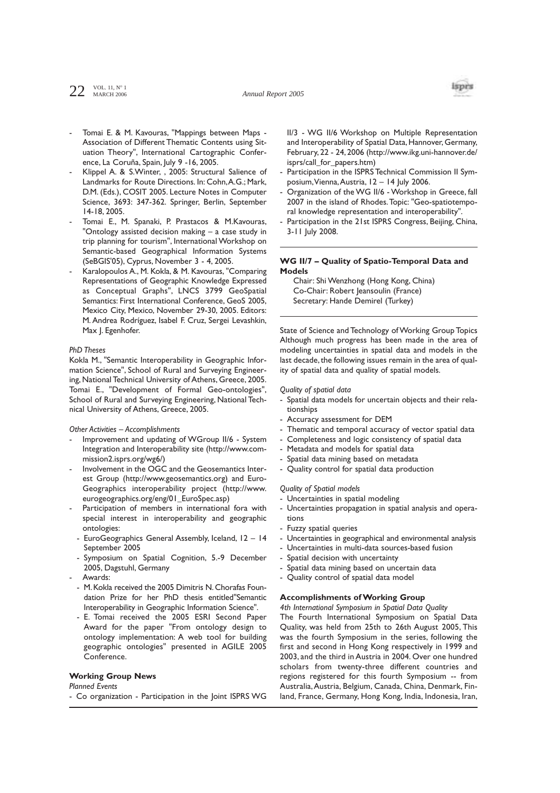$22$  VOL. 11, N° 1



- Tomai E. & M. Kavouras, "Mappings between Maps -Association of Different Thematic Contents using Situation Theory", International Cartographic Conference, La Coruña, Spain, July 9 -16, 2005.
- Klippel A. & S. Winter, , 2005: Structural Salience of Landmarks for Route Directions. In: Cohn,A.G.; Mark, D.M. (Eds.), COSIT 2005. Lecture Notes in Computer Science, 3693: 347-362. Springer, Berlin, September 14-18, 2005.
- Tomai E., M. Spanaki, P. Prastacos & M.Kavouras, "Ontology assisted decision making – a case study in trip planning for tourism", International Workshop on Semantic-based Geographical Information Systems (SeBGIS'05), Cyprus, November 3 - 4, 2005.
- Karalopoulos A., M. Kokla, & M. Kavouras, "Comparing Representations of Geographic Knowledge Expressed as Conceptual Graphs", LNCS 3799 GeoSpatial Semantics: First International Conference, GeoS 2005, Mexico City, Mexico, November 29-30, 2005. Editors: M. Andrea Rodríguez, Isabel F. Cruz, Sergei Levashkin, Max J. Egenhofer.

#### *PhD Theses*

Kokla M., "Semantic Interoperability in Geographic Information Science", School of Rural and Surveying Engineering, National Technical University of Athens, Greece, 2005. Tomai E., "Development of Formal Geo-ontologies", School of Rural and Surveying Engineering, National Technical University of Athens, Greece, 2005.

*Other Activities – Accomplishments*

- Improvement and updating of WGroup II/6 System Integration and Interoperability site (http://www.commission2.isprs.org/wg6/)
- Involvement in the OGC and the Geosemantics Interest Group (http://www.geosemantics.org) and Euro-Geographics interoperability project (http://www. eurogeographics.org/eng/01\_EuroSpec.asp)
- Participation of members in international fora with special interest in interoperability and geographic ontologies:
- EuroGeographics General Assembly, Iceland, 12 14 September 2005
- Symposium on Spatial Cognition, 5.-9 December 2005, Dagstuhl, Germany
- Awards:
- M.Kokla received the 2005 Dimitris N.Chorafas Foundation Prize for her PhD thesis entitled"Semantic Interoperability in Geographic Information Science".
- E. Tomai received the 2005 ESRI Second Paper Award for the paper "From ontology design to ontology implementation: A web tool for building geographic ontologies" presented in AGILE 2005 Conference.

#### **Working Group News**

*Planned Events*

- Co organization - Participation in the Joint ISPRS WG

II/3 - WG II/6 Workshop on Multiple Representation and Interoperability of Spatial Data, Hannover, Germany, February, 22 - 24, 2006 (http://www.ikg.uni-hannover.de/ isprs/call\_for\_papers.htm)

- Participation in the ISPRS Technical Commission II Symposium,Vienna,Austria, 12 – 14 July 2006.
- Organization of the WG II/6 Workshop in Greece, fall 2007 in the island of Rhodes.Topic: "Geo-spatiotemporal knowledge representation and interoperability".
- Participation in the 21st ISPRS Congress, Beijing, China, 3-11 July 2008.

# **WG II/7 – Quality of Spatio-Temporal Data and Models**

Chair: Shi Wenzhong (Hong Kong, China) Co-Chair: Robert Jeansoulin (France) Secretary: Hande Demirel (Turkey)

State of Science and Technology of Working Group Topics Although much progress has been made in the area of modeling uncertainties in spatial data and models in the last decade, the following issues remain in the area of quality of spatial data and quality of spatial models.

#### *Quality of spatial data*

- Spatial data models for uncertain objects and their relationships
- Accuracy assessment for DEM
- Thematic and temporal accuracy of vector spatial data
- Completeness and logic consistency of spatial data
- Metadata and models for spatial data
- Spatial data mining based on metadata
- Quality control for spatial data production

# *Quality of Spatial models*

- Uncertainties in spatial modeling
- Uncertainties propagation in spatial analysis and operations
- Fuzzy spatial queries
- Uncertainties in geographical and environmental analysis
- Uncertainties in multi-data sources-based fusion
- Spatial decision with uncertainty
- Spatial data mining based on uncertain data
- Quality control of spatial data model

#### **Accomplishments of Working Group**

*4th International Symposium in Spatial Data Quality*

The Fourth International Symposium on Spatial Data Quality, was held from 25th to 26th August 2005, This was the fourth Symposium in the series, following the first and second in Hong Kong respectively in 1999 and 2003, and the third in Austria in 2004. Over one hundred scholars from twenty-three different countries and regions registered for this fourth Symposium -- from Australia,Austria, Belgium, Canada, China, Denmark, Finland, France, Germany, Hong Kong, India, Indonesia, Iran,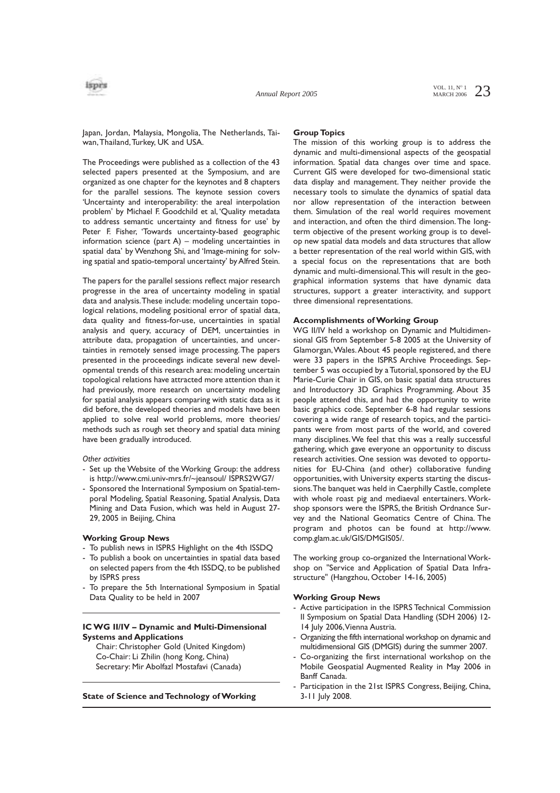

Japan, Jordan, Malaysia, Mongolia, The Netherlands, Taiwan,Thailand,Turkey, UK and USA.

#### **Group Topics**

The Proceedings were published as a collection of the 43 selected papers presented at the Symposium, and are organized as one chapter for the keynotes and 8 chapters for the parallel sessions. The keynote session covers 'Uncertainty and interoperability: the areal interpolation problem' by Michael F. Goodchild et al, 'Quality metadata to address semantic uncertainty and fitness for use' by Peter F. Fisher, 'Towards uncertainty-based geographic information science (part A) – modeling uncertainties in spatial data' by Wenzhong Shi, and 'Image-mining for solving spatial and spatio-temporal uncertainty' by Alfred Stein.

The papers for the parallel sessions reflect major research progresse in the area of uncertainty modeling in spatial data and analysis.These include: modeling uncertain topological relations, modeling positional error of spatial data, data quality and fitness-for-use, uncertainties in spatial analysis and query, accuracy of DEM, uncertainties in attribute data, propagation of uncertainties, and uncertainties in remotely sensed image processing.The papers presented in the proceedings indicate several new developmental trends of this research area: modeling uncertain topological relations have attracted more attention than it had previously, more research on uncertainty modeling for spatial analysis appears comparing with static data as it did before, the developed theories and models have been applied to solve real world problems, more theories/ methods such as rough set theory and spatial data mining have been gradually introduced.

#### *Other activities*

- Set up the Website of the Working Group: the address is http://www.cmi.univ-mrs.fr/~jeansoul/ ISPRS2WG7/
- Sponsored the International Symposium on Spatial-temporal Modeling, Spatial Reasoning, Spatial Analysis, Data Mining and Data Fusion, which was held in August 27- 29, 2005 in Beijing, China

#### **Working Group News**

- To publish news in ISPRS Highlight on the 4th ISSDQ
- To publish a book on uncertainties in spatial data based on selected papers from the 4th ISSDQ, to be published by ISPRS press
- To prepare the 5th International Symposium in Spatial Data Quality to be held in 2007

# **IC WG II/IV – Dynamic and Multi-Dimensional Systems and Applications**

Chair: Christopher Gold (United Kingdom) Co-Chair: Li Zhilin (hong Kong, China) Secretary: Mir Abolfazl Mostafavi (Canada)

#### **State of Science and Technology of Working**

The mission of this working group is to address the dynamic and multi-dimensional aspects of the geospatial information. Spatial data changes over time and space. Current GIS were developed for two-dimensional static data display and management. They neither provide the necessary tools to simulate the dynamics of spatial data nor allow representation of the interaction between them. Simulation of the real world requires movement and interaction, and often the third dimension.The longterm objective of the present working group is to develop new spatial data models and data structures that allow a better representation of the real world within GIS, with a special focus on the representations that are both dynamic and multi-dimensional.This will result in the geographical information systems that have dynamic data structures, support a greater interactivity, and support three dimensional representations.

## **Accomplishments of Working Group**

WG II/IV held a workshop on Dynamic and Multidimensional GIS from September 5-8 2005 at the University of Glamorgan,Wales.About 45 people registered, and there were 33 papers in the ISPRS Archive Proceedings. September 5 was occupied by a Tutorial, sponsored by the EU Marie-Curie Chair in GIS, on basic spatial data structures and Introductory 3D Graphics Programming. About 35 people attended this, and had the opportunity to write basic graphics code. September 6-8 had regular sessions covering a wide range of research topics, and the participants were from most parts of the world, and covered many disciplines.We feel that this was a really successful gathering, which gave everyone an opportunity to discuss research activities. One session was devoted to opportunities for EU-China (and other) collaborative funding opportunities, with University experts starting the discussions.The banquet was held in Caerphilly Castle, complete with whole roast pig and mediaeval entertainers. Workshop sponsors were the ISPRS, the British Ordnance Survey and the National Geomatics Centre of China. The program and photos can be found at http://www. comp.glam.ac.uk/GIS/DMGIS05/.

The working group co-organized the International Workshop on "Service and Application of Spatial Data Infrastructure" (Hangzhou, October 14-16, 2005)

#### **Working Group News**

- Active participation in the ISPRS Technical Commission II Symposium on Spatial Data Handling (SDH 2006) 12- 14 July 2006,Vienna Austria.
- Organizing the fifth international workshop on dynamic and multidimensional GIS (DMGIS) during the summer 2007.
- Co-organizing the first international workshop on the Mobile Geospatial Augmented Reality in May 2006 in Banff Canada.
- Participation in the 21st ISPRS Congress, Beijing, China, 3-11 July 2008.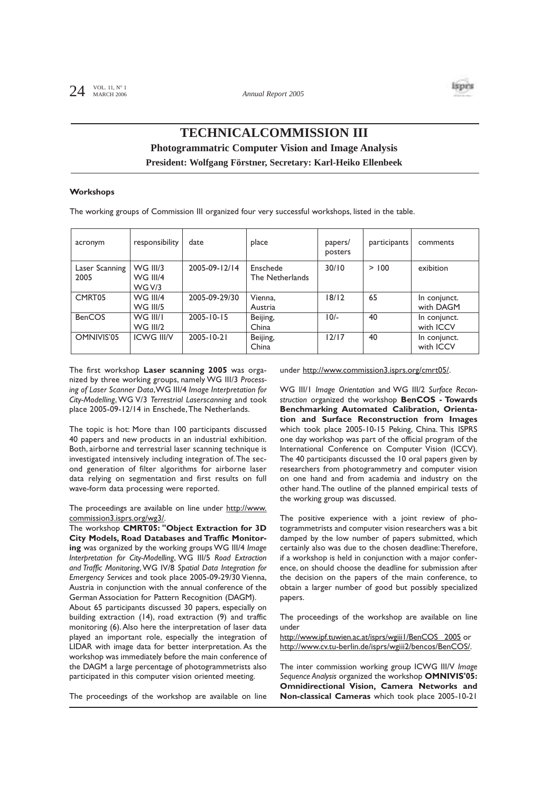

# **TECHNICALCOMMISSION III Photogrammatric Computer Vision and Image Analysis President: Wolfgang Förstner, Secretary: Karl-Heiko Ellenbeek**

### **Workshops**

The working groups of Commission III organized four very successful workshops, listed in the table.

| acronym                | responsibility                              | date          | place                       | papers/<br>posters | participants | comments                  |
|------------------------|---------------------------------------------|---------------|-----------------------------|--------------------|--------------|---------------------------|
| Laser Scanning<br>2005 | <b>WG III/3</b><br><b>WG III/4</b><br>WGV/3 | 2005-09-12/14 | Enschede<br>The Netherlands | 30/10              | > 100        | exibition                 |
| CMRT05                 | <b>WG III/4</b><br><b>WG III/5</b>          | 2005-09-29/30 | Vienna.<br>Austria          | 18/12              | 65           | In conjunct.<br>with DAGM |
| <b>BenCOS</b>          | WG III/I<br><b>WG III/2</b>                 | 2005-10-15    | Beijing,<br>China           | $10/-$             | 40           | In conjunct.<br>with ICCV |
| OMNIVIS'05             | <b>ICWG III/V</b>                           | 2005-10-21    | Beijing,<br>China           | 12/17              | 40           | In conjunct.<br>with ICCV |

The first workshop **Laser scanning 2005** was organized by three working groups, namely WG III/3 *Processing of Laser Scanner Data*,WG III/4 *Image Interpretation for City-Modelling*,WG V/3 *Terrestrial Laserscanning* and took place 2005-09-12/14 in Enschede,The Netherlands.

The topic is hot: More than 100 participants discussed 40 papers and new products in an industrial exhibition. Both, airborne and terrestrial laser scanning technique is investigated intensively including integration of.The second generation of filter algorithms for airborne laser data relying on segmentation and first results on full wave-form data processing were reported.

The proceedings are available on line under http://www. commission3.isprs.org/wg3/.

The workshop **CMRT05: "Object Extraction for 3D City Models, Road Databases and Traffic Monitoring** was organized by the working groups WG III/4 *Image Interpretation for City-Modelling*, WG III/5 *Road Extraction and Traffic Monitoring*,WG IV/8 *Spatial Data Integration for Emergency Services* and took place 2005-09-29/30 Vienna, Austria in conjunction with the annual conference of the German Association for Pattern Recognition (DAGM).

About 65 participants discussed 30 papers, especially on building extraction (14), road extraction (9) and traffic monitoring (6).Also here the interpretation of laser data played an important role, especially the integration of LIDAR with image data for better interpretation. As the workshop was immediately before the main conference of the DAGM a large percentage of photogrammetrists also participated in this computer vision oriented meeting.

The proceedings of the workshop are available on line

under http://www.commission3.isprs.org/cmrt05/.

WG III/1 *Image Orientation* and WG III/2 *Surface Reconstruction* organized the workshop **BenCOS - Towards Benchmarking Automated Calibration, Orientation and Surface Reconstruction from Images** which took place 2005-10-15 Peking, China. This ISPRS one day workshop was part of the official program of the International Conference on Computer Vision (ICCV). The 40 participants discussed the 10 oral papers given by researchers from photogrammetry and computer vision on one hand and from academia and industry on the other hand.The outline of the planned empirical tests of the working group was discussed.

The positive experience with a joint review of photogrammetrists and computer vision researchers was a bit damped by the low number of papers submitted, which certainly also was due to the chosen deadline:Therefore, if a workshop is held in conjunction with a major conference, on should choose the deadline for submission after the decision on the papers of the main conference, to obtain a larger number of good but possibly specialized papers.

The proceedings of the workshop are available on line under

http://www.ipf.tuwien.ac.at/isprs/wgiii1/BenCOS\_ 2005 or http://www.cv.tu-berlin.de/isprs/wgiii2/bencos/BenCOS/.

The inter commission working group ICWG III/V *Image Sequence Analysis* organized the workshop **OMNIVIS'05: Omnidirectional Vision, Camera Networks and Non-classical Cameras** which took place 2005-10-21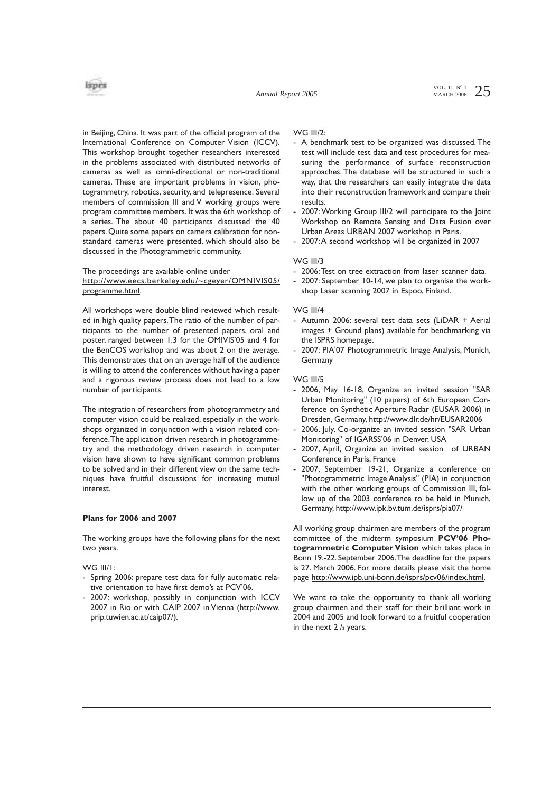*Annual Report 2005*

VOL. 11,  $N^{\circ}$  1 25 MARCH 2006



in Beijing, China. It was part of the official program of the International Conference on Computer Vision (ICCV). This workshop brought together researchers interested in the problems associated with distributed networks of cameras as well as omni-directional or non-traditional cameras. These are important problems in vision, photogrammetry, robotics, security, and telepresence. Several members of commission III and V working groups were program committee members. It was the 6th workshop of a series. The about 40 participants discussed the 40 papers. Quite some papers on camera calibration for nonstandard cameras were presented, which should also be discussed in the Photogrammetric community.

## The proceedings are available online under http://www.eecs.berkeley.edu/~cgeyer/OMNIVIS05/ programme.html.

All workshops were double blind reviewed which resulted in high quality papers.The ratio of the number of participants to the number of presented papers, oral and poster, ranged between 1.3 for the OMIVIS'05 and 4 for the BenCOS workshop and was about 2 on the average. This demonstrates that on an average half of the audience is willing to attend the conferences without having a paper and a rigorous review process does not lead to a low number of participants.

The integration of researchers from photogrammetry and computer vision could be realized, especially in the workshops organized in conjunction with a vision related conference.The application driven research in photogrammetry and the methodology driven research in computer vision have shown to have significant common problems to be solved and in their different view on the same techniques have fruitful discussions for increasing mutual interest.

# **Plans for 2006 and 2007**

The working groups have the following plans for the next two years.

### WG III/1:

- Spring 2006: prepare test data for fully automatic relative orientation to have first demo's at PCV'06.
- 2007: workshop, possibly in conjunction with ICCV 2007 in Rio or with CAIP 2007 in Vienna (http://www. prip.tuwien.ac.at/caip07/).

## WG III/2:

- A benchmark test to be organized was discussed. The test will include test data and test procedures for measuring the performance of surface reconstruction approaches. The database will be structured in such a way, that the researchers can easily integrate the data into their reconstruction framework and compare their results.
- 2007: Working Group III/2 will participate to the Joint Workshop on Remote Sensing and Data Fusion over Urban Areas URBAN 2007 workshop in Paris.
- 2007:A second workshop will be organized in 2007

## WG III/3

- 2006:Test on tree extraction from laser scanner data.
- 2007: September 10-14, we plan to organise the workshop Laser scanning 2007 in Espoo, Finland.

### WG III/4

- Autumn 2006: several test data sets (LiDAR + Aerial images + Ground plans) available for benchmarking via the ISPRS homepage.
- 2007: PIA'07 Photogrammetric Image Analysis, Munich, Germany

### WG III/5

- 2006, May 16-18, Organize an invited session "SAR Urban Monitoring" (10 papers) of 6th European Conference on Synthetic Aperture Radar (EUSAR 2006) in Dresden, Germany, http://www.dlr.de/hr/EUSAR2006
- 2006, July, Co-organize an invited session "SAR Urban Monitoring" of IGARSS'06 in Denver, USA
- 2007, April, Organize an invited session of URBAN Conference in Paris, France
- 2007, September 19-21, Organize a conference on "Photogrammetric Image Analysis" (PIA) in conjunction with the other working groups of Commission III, follow up of the 2003 conference to be held in Munich, Germany, http://www.ipk.bv.tum.de/isprs/pia07/

All working group chairmen are members of the program committee of the midterm symposium **PCV'06 Photogrammetric Computer Vision** which takes place in Bonn 19.-22. September 2006.The deadline for the papers is 27. March 2006. For more details please visit the home page http://www.ipb.uni-bonn.de/isprs/pcv06/index.html.

We want to take the opportunity to thank all working group chairmen and their staff for their brilliant work in 2004 and 2005 and look forward to a fruitful cooperation in the next 2<sup>1</sup>/<sub>2</sub> years.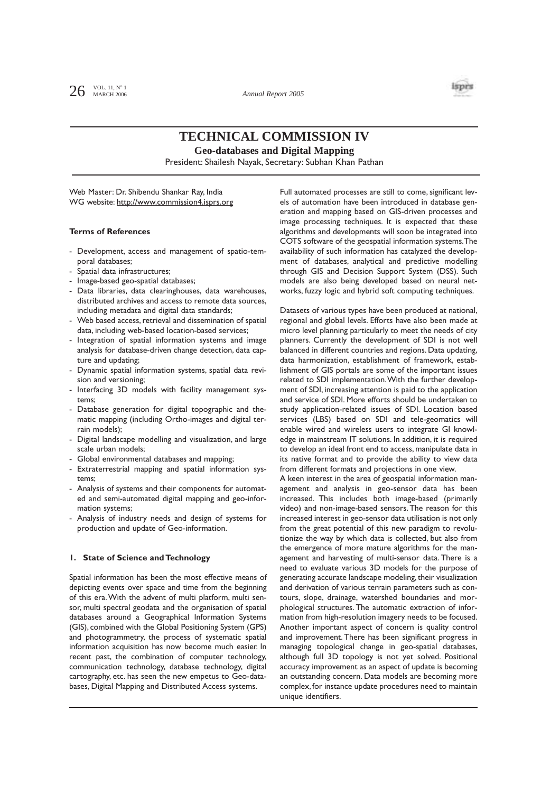

# **TECHNICAL COMMISSION IV**

**Geo-databases and Digital Mapping**

President: Shailesh Nayak, Secretary: Subhan Khan Pathan

Web Master: Dr. Shibendu Shankar Ray, India WG website: http://www.commission4.isprs.org

### **Terms of References**

- Development, access and management of spatio-temporal databases;
- Spatial data infrastructures;
- Image-based geo-spatial databases;
- Data libraries, data clearinghouses, data warehouses, distributed archives and access to remote data sources, including metadata and digital data standards;
- Web based access, retrieval and dissemination of spatial data, including web-based location-based services;
- Integration of spatial information systems and image analysis for database-driven change detection, data capture and updating;
- Dynamic spatial information systems, spatial data revision and versioning;
- Interfacing 3D models with facility management systems;
- Database generation for digital topographic and thematic mapping (including Ortho-images and digital terrain models);
- Digital landscape modelling and visualization, and large scale urban models;
- Global environmental databases and mapping;
- Extraterrestrial mapping and spatial information systems;
- Analysis of systems and their components for automated and semi-automated digital mapping and geo-information systems;
- Analysis of industry needs and design of systems for production and update of Geo-information.

### **1. State of Science and Technology**

Spatial information has been the most effective means of depicting events over space and time from the beginning of this era.With the advent of multi platform, multi sensor, multi spectral geodata and the organisation of spatial databases around a Geographical Information Systems (GIS), combined with the Global Positioning System (GPS) and photogrammetry, the process of systematic spatial information acquisition has now become much easier. In recent past, the combination of computer technology, communication technology, database technology, digital cartography, etc. has seen the new empetus to Geo-databases, Digital Mapping and Distributed Access systems.

Full automated processes are still to come, significant levels of automation have been introduced in database generation and mapping based on GIS-driven processes and image processing techniques. It is expected that these algorithms and developments will soon be integrated into COTS software of the geospatial information systems.The availability of such information has catalyzed the development of databases, analytical and predictive modelling through GIS and Decision Support System (DSS). Such models are also being developed based on neural networks, fuzzy logic and hybrid soft computing techniques.

Datasets of various types have been produced at national, regional and global levels. Efforts have also been made at micro level planning particularly to meet the needs of city planners. Currently the development of SDI is not well balanced in different countries and regions. Data updating, data harmonization, establishment of framework, establishment of GIS portals are some of the important issues related to SDI implementation.With the further development of SDI, increasing attention is paid to the application and service of SDI. More efforts should be undertaken to study application-related issues of SDI. Location based services (LBS) based on SDI and tele-geomatics will enable wired and wireless users to integrate GI knowledge in mainstream IT solutions. In addition, it is required to develop an ideal front end to access, manipulate data in its native format and to provide the ability to view data from different formats and projections in one view.

A keen interest in the area of geospatial information management and analysis in geo-sensor data has been increased. This includes both image-based (primarily video) and non-image-based sensors.The reason for this increased interest in geo-sensor data utilisation is not only from the great potential of this new paradigm to revolutionize the way by which data is collected, but also from the emergence of more mature algorithms for the management and harvesting of multi-sensor data. There is a need to evaluate various 3D models for the purpose of generating accurate landscape modeling, their visualization and derivation of various terrain parameters such as contours, slope, drainage, watershed boundaries and morphological structures. The automatic extraction of information from high-resolution imagery needs to be focused. Another important aspect of concern is quality control and improvement. There has been significant progress in managing topological change in geo-spatial databases, although full 3D topology is not yet solved. Positional accuracy improvement as an aspect of update is becoming an outstanding concern. Data models are becoming more complex, for instance update procedures need to maintain unique identifiers.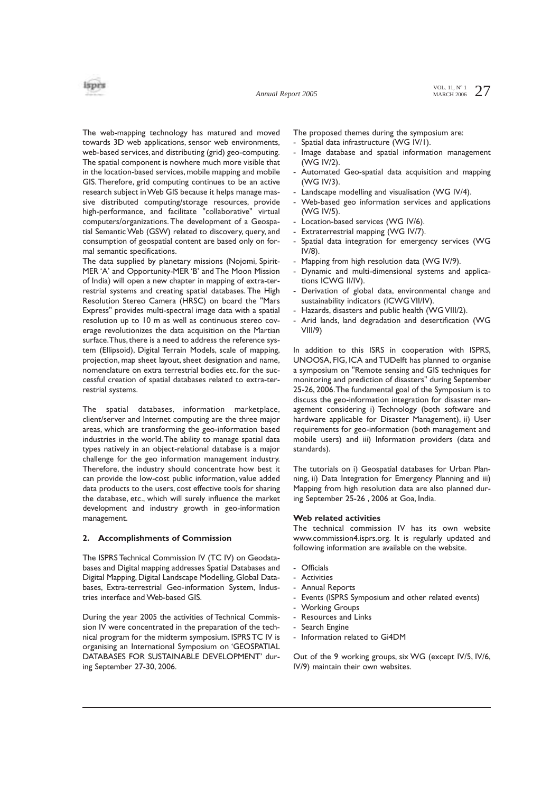*Annual Report 2005*

The web-mapping technology has matured and moved towards 3D web applications, sensor web environments, web-based services, and distributing (grid) geo-computing. The spatial component is nowhere much more visible that in the location-based services, mobile mapping and mobile GIS.Therefore, grid computing continues to be an active research subject in Web GIS because it helps manage massive distributed computing/storage resources, provide high-performance, and facilitate "collaborative" virtual computers/organizations. The development of a Geospatial Semantic Web (GSW) related to discovery, query, and consumption of geospatial content are based only on formal semantic specifications.

The data supplied by planetary missions (Nojomi, Spirit-MER 'A' and Opportunity-MER 'B' and The Moon Mission of India) will open a new chapter in mapping of extra-terrestrial systems and creating spatial databases. The High Resolution Stereo Camera (HRSC) on board the "Mars Express" provides multi-spectral image data with a spatial resolution up to 10 m as well as continuous stereo coverage revolutionizes the data acquisition on the Martian surface.Thus, there is a need to address the reference system (Ellipsoid), Digital Terrain Models, scale of mapping, projection, map sheet layout, sheet designation and name, nomenclature on extra terrestrial bodies etc. for the successful creation of spatial databases related to extra-terrestrial systems.

The spatial databases, information marketplace, client/server and Internet computing are the three major areas, which are transforming the geo-information based industries in the world.The ability to manage spatial data types natively in an object-relational database is a major challenge for the geo information management industry. Therefore, the industry should concentrate how best it can provide the low-cost public information, value added data products to the users, cost effective tools for sharing the database, etc., which will surely influence the market development and industry growth in geo-information management.

### **2. Accomplishments of Commission**

The ISPRS Technical Commission IV (TC IV) on Geodatabases and Digital mapping addresses Spatial Databases and Digital Mapping, Digital Landscape Modelling, Global Databases, Extra-terrestrial Geo-information System, Industries interface and Web-based GIS.

During the year 2005 the activities of Technical Commission IV were concentrated in the preparation of the technical program for the midterm symposium. ISPRS TC IV is organising an International Symposium on 'GEOSPATIAL DATABASES FOR SUSTAINABLE DEVELOPMENT' during September 27-30, 2006.

The proposed themes during the symposium are:

- Spatial data infrastructure (WG IV/I).
- Image database and spatial information management (WG IV/2).
- Automated Geo-spatial data acquisition and mapping (WG IV/3).
- Landscape modelling and visualisation (WG IV/4).
- Web-based geo information services and applications (WG IV/5).
- Location-based services (WG IV/6).
- Extraterrestrial mapping (WG IV/7).
- Spatial data integration for emergency services (WG IV/8).
- Mapping from high resolution data (WG IV/9).
- Dynamic and multi-dimensional systems and applications ICWG II/IV).
- Derivation of global data, environmental change and sustainability indicators (ICWG VII/IV).
- Hazards, disasters and public health (WG VIII/2).
- Arid lands, land degradation and desertification (WG VIII/9)

In addition to this ISRS in cooperation with ISPRS, UNOOSA, FIG, ICA and TUDelft has planned to organise a symposium on "Remote sensing and GIS techniques for monitoring and prediction of disasters" during September 25-26, 2006.The fundamental goal of the Symposium is to discuss the geo-information integration for disaster management considering i) Technology (both software and hardware applicable for Disaster Management), ii) User requirements for geo-information (both management and mobile users) and iii) Information providers (data and standards).

The tutorials on i) Geospatial databases for Urban Planning, ii) Data Integration for Emergency Planning and iii) Mapping from high resolution data are also planned during September 25-26 , 2006 at Goa, India.

### **Web related activities**

The technical commission IV has its own website www.commission4.isprs.org. It is regularly updated and following information are available on the website.

- Officials
- Activities
- Annual Reports
- Events (ISPRS Symposium and other related events)
- **Working Groups**
- Resources and Links
- Search Engine
- Information related to Gi4DM

Out of the 9 working groups, six WG (except IV/5, IV/6, IV/9) maintain their own websites.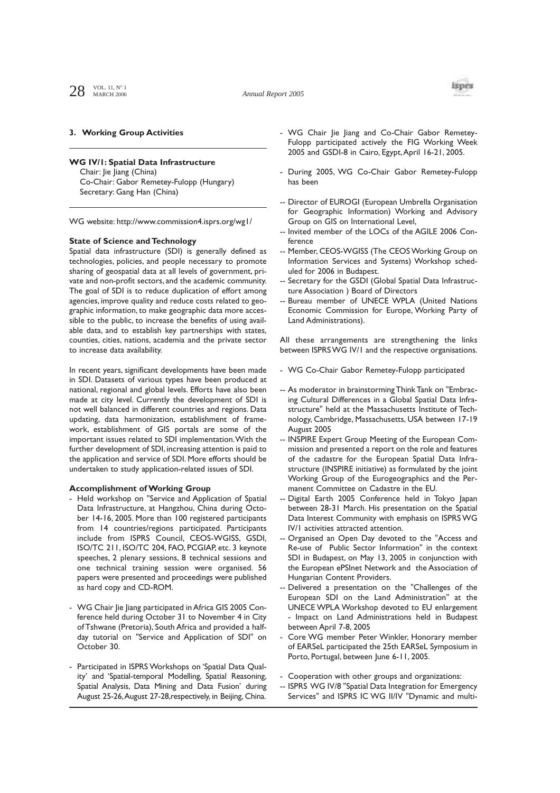

### **3. Working Group Activities**

#### **WG IV/1: Spatial Data Infrastructure**

Chair: Jie Jiang (China) Co-Chair: Gabor Remetey-Fulopp (Hungary) Secretary: Gang Han (China)

WG website: http://www.commission4.isprs.org/wg1/

#### **State of Science and Technology**

Spatial data infrastructure (SDI) is generally defined as technologies, policies, and people necessary to promote sharing of geospatial data at all levels of government, private and non-profit sectors, and the academic community. The goal of SDI is to reduce duplication of effort among agencies, improve quality and reduce costs related to geographic information, to make geographic data more accessible to the public, to increase the benefits of using available data, and to establish key partnerships with states, counties, cities, nations, academia and the private sector to increase data availability.

In recent years, significant developments have been made in SDI. Datasets of various types have been produced at national, regional and global levels. Efforts have also been made at city level. Currently the development of SDI is not well balanced in different countries and regions. Data updating, data harmonization, establishment of framework, establishment of GIS portals are some of the important issues related to SDI implementation.With the further development of SDI, increasing attention is paid to the application and service of SDI. More efforts should be undertaken to study application-related issues of SDI.

## **Accomplishment of Working Group**

- Held workshop on "Service and Application of Spatial Data Infrastructure, at Hangzhou, China during October 14-16, 2005. More than 100 registered participants from 14 countries/regions participated. Participants include from ISPRS Council, CEOS-WGISS, GSDI, ISO/TC 211, ISO/TC 204, FAO, PCGIAP, etc. 3 keynote speeches, 2 plenary sessions, 8 technical sessions and one technical training session were organised. 56 papers were presented and proceedings were published as hard copy and CD-ROM.
- WG Chair Jie Jiang participated in Africa GIS 2005 Conference held during October 31 to November 4 in City of Tshwane (Pretoria), South Africa and provided a halfday tutorial on "Service and Application of SDI" on October 30.
- Participated in ISPRS Workshops on 'Spatial Data Quality' and 'Spatial-temporal Modelling, Spatial Reasoning, Spatial Analysis, Data Mining and Data Fusion' during August 25-26,August 27-28,respectively, in Beijing, China.
- WG Chair Jie Jiang and Co-Chair Gabor Remetey-Fulopp participated actively the FIG Working Week 2005 and GSDI-8 in Cairo, Egypt,April 16-21, 2005.
- During 2005, WG Co-Chair Gabor Remetey-Fulopp has been
- -- Director of EUROGI (European Umbrella Organisation for Geographic Information) Working and Advisory Group on GIS on International Level,
- -- Invited member of the LOCs of the AGILE 2006 Conference
- Member, CEOS-WGISS (The CEOS Working Group on Information Services and Systems) Workshop scheduled for 2006 in Budapest.
- -- Secretary for the GSDI (Global Spatial Data Infrastructure Association ) Board of Directors
- Bureau member of UNECE WPLA (United Nations Economic Commission for Europe, Working Party of Land Administrations).

All these arrangements are strengthening the links between ISPRS WG IV/1 and the respective organisations.

- WG Co-Chair Gabor Remetey-Fulopp participated
- -- As moderator in brainstorming Think Tank on "Embracing Cultural Differences in a Global Spatial Data Infrastructure" held at the Massachusetts Institute of Technology, Cambridge, Massachusetts, USA between 17-19 August 2005
- INSPIRE Expert Group Meeting of the European Commission and presented a report on the role and features of the cadastre for the European Spatial Data Infrastructure (INSPIRE initiative) as formulated by the joint Working Group of the Eurogeographics and the Permanent Committee on Cadastre in the EU.
- Digital Earth 2005 Conference held in Tokyo Japan between 28-31 March. His presentation on the Spatial Data Interest Community with emphasis on ISPRS WG IV/1 activities attracted attention.
- Organised an Open Day devoted to the "Access and Re-use of Public Sector Information" in the context SDI in Budapest, on May 13, 2005 in conjunction with the European ePSInet Network and the Association of Hungarian Content Providers.
- Delivered a presentation on the "Challenges of the European SDI on the Land Administration" at the UNECE WPLA Workshop devoted to EU enlargement - Impact on Land Administrations held in Budapest between April 7-8, 2005
- Core WG member Peter Winkler, Honorary member of EARSeL participated the 25th EARSeL Symposium in Porto, Portugal, between June 6-11, 2005.
- Cooperation with other groups and organizations:
- ISPRS WG IV/8 "Spatial Data Integration for Emergency Services" and ISPRS IC WG II/IV "Dynamic and multi-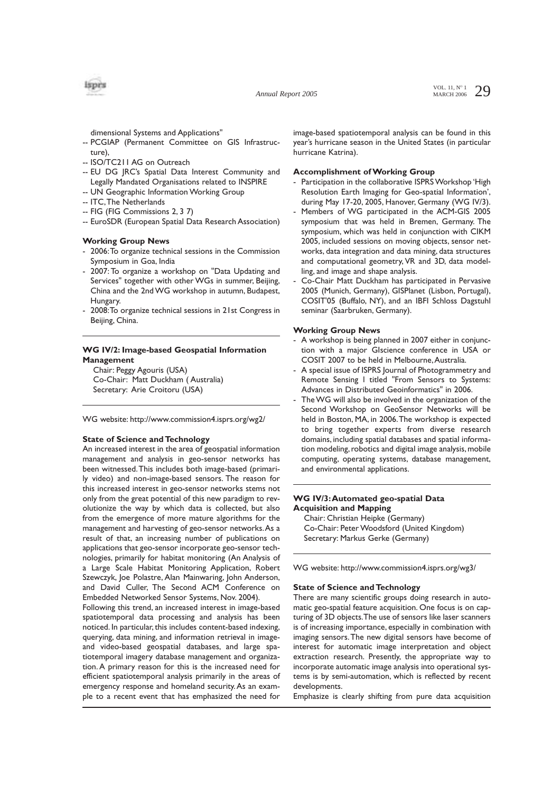*Annual Report 2005*

VOL. 11,  $N^{\circ}$  1 29 MARCH 2006

isprs

- dimensional Systems and Applications"
- -- PCGIAP (Permanent Committee on GIS Infrastructure),
- -- ISO/TC211 AG on Outreach
- -- EU DG JRC's Spatial Data Interest Community and Legally Mandated Organisations related to INSPIRE
- -- UN Geographic Information Working Group
- -- ITC,The Netherlands
- -- FIG (FIG Commissions 2, 3 7)
- -- EuroSDR (European Spatial Data Research Association)

# **Working Group News**

- 2006:To organize technical sessions in the Commission Symposium in Goa, India
- 2007: To organize a workshop on "Data Updating and Services" together with other WGs in summer, Beijing, China and the 2nd WG workshop in autumn, Budapest, Hungary.
- 2008: To organize technical sessions in 21st Congress in Beijing, China.

# **WG IV/2: Image-based Geospatial Information Management**

Chair: Peggy Agouris (USA) Co-Chair: Matt Duckham ( Australia) Secretary: Arie Croitoru (USA)

WG website: http://www.commission4.isprs.org/wg2/

## **State of Science and Technology**

An increased interest in the area of geospatial information management and analysis in geo-sensor networks has been witnessed.This includes both image-based (primarily video) and non-image-based sensors. The reason for this increased interest in geo-sensor networks stems not only from the great potential of this new paradigm to revolutionize the way by which data is collected, but also from the emergence of more mature algorithms for the management and harvesting of geo-sensor networks.As a result of that, an increasing number of publications on applications that geo-sensor incorporate geo-sensor technologies, primarily for habitat monitoring (An Analysis of a Large Scale Habitat Monitoring Application, Robert Szewczyk, Joe Polastre, Alan Mainwaring, John Anderson, and David Culler, The Second ACM Conference on Embedded Networked Sensor Systems, Nov. 2004).

Following this trend, an increased interest in image-based spatiotemporal data processing and analysis has been noticed. In particular, this includes content-based indexing, querying, data mining, and information retrieval in imageand video-based geospatial databases, and large spatiotemporal imagery database management and organization. A primary reason for this is the increased need for efficient spatiotemporal analysis primarily in the areas of emergency response and homeland security.As an example to a recent event that has emphasized the need for

image-based spatiotemporal analysis can be found in this year's hurricane season in the United States (in particular hurricane Katrina).

# **Accomplishment of Working Group**

- Participation in the collaborative ISPRS Workshop 'High Resolution Earth Imaging for Geo-spatial Information', during May 17-20, 2005, Hanover, Germany (WG IV/3).
- Members of WG participated in the ACM-GIS 2005 symposium that was held in Bremen, Germany. The symposium, which was held in conjunction with CIKM 2005, included sessions on moving objects, sensor networks, data integration and data mining, data structures and computational geometry, VR and 3D, data modelling, and image and shape analysis.
- Co-Chair Matt Duckham has participated in Pervasive 2005 (Munich, Germany), GISPlanet (Lisbon, Portugal), COSIT'05 (Buffalo, NY), and an IBFI Schloss Dagstuhl seminar (Saarbruken, Germany).

## **Working Group News**

- A workshop is being planned in 2007 either in conjunction with a major GIscience conference in USA or COSIT 2007 to be held in Melbourne,Australia.
- A special issue of ISPRS Journal of Photogrammetry and Remote Sensing l titled "From Sensors to Systems: Advances in Distributed Geoinformatics" in 2006.
- The WG will also be involved in the organization of the Second Workshop on GeoSensor Networks will be held in Boston, MA, in 2006.The workshop is expected to bring together experts from diverse research domains, including spatial databases and spatial information modeling, robotics and digital image analysis, mobile computing, operating systems, database management, and environmental applications.

# **WG IV/3:Automated geo-spatial Data Acquisition and Mapping**

Chair: Christian Heipke (Germany) Co-Chair: Peter Woodsford (United Kingdom) Secretary: Markus Gerke (Germany)

WG website: http://www.commission4.isprs.org/wg3/

### **State of Science and Technology**

There are many scientific groups doing research in automatic geo-spatial feature acquisition. One focus is on capturing of 3D objects.The use of sensors like laser scanners is of increasing importance, especially in combination with imaging sensors.The new digital sensors have become of interest for automatic image interpretation and object extraction research. Presently, the appropriate way to incorporate automatic image analysis into operational systems is by semi-automation, which is reflected by recent developments.

Emphasize is clearly shifting from pure data acquisition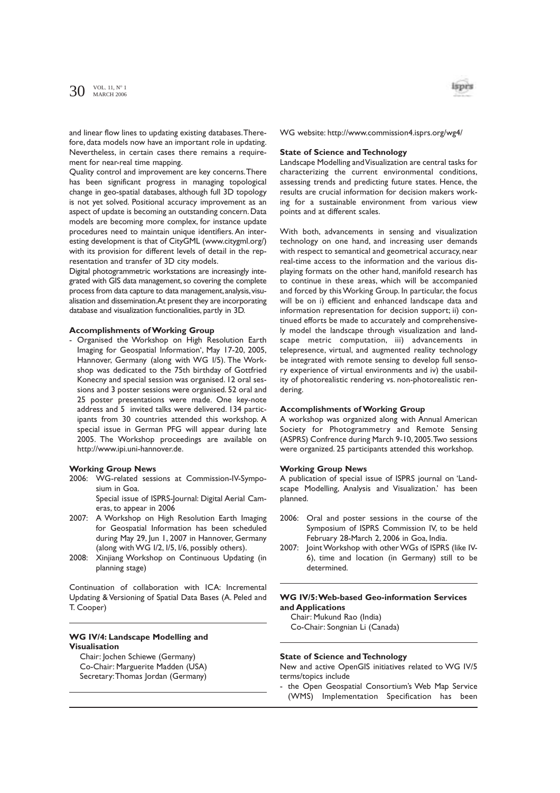and linear flow lines to updating existing databases.Therefore, data models now have an important role in updating. Nevertheless, in certain cases there remains a requirement for near-real time mapping.

Quality control and improvement are key concerns.There has been significant progress in managing topological change in geo-spatial databases, although full 3D topology is not yet solved. Positional accuracy improvement as an aspect of update is becoming an outstanding concern. Data models are becoming more complex, for instance update procedures need to maintain unique identifiers. An interesting development is that of CityGML (www.citygml.org/) with its provision for different levels of detail in the representation and transfer of 3D city models.

Digital photogrammetric workstations are increasingly integrated with GIS data management, so covering the complete process from data capture to data management, analysis, visualisation and dissemination.At present they are incorporating database and visualization functionalities, partly in 3D.

#### **Accomplishments of Working Group**

- Organised the Workshop on High Resolution Earth Imaging for Geospatial Information', May 17-20, 2005, Hannover, Germany (along with WG I/5). The Workshop was dedicated to the 75th birthday of Gottfried Konecny and special session was organised. 12 oral sessions and 3 poster sessions were organised. 52 oral and 25 poster presentations were made. One key-note address and 5 invited talks were delivered. 134 participants from 30 countries attended this workshop. A special issue in German PFG will appear during late 2005. The Workshop proceedings are available on http://www.ipi.uni-hannover.de.

## **Working Group News**

2006: WG-related sessions at Commission-IV-Symposium in Goa.

Special issue of ISPRS-Journal: Digital Aerial Cameras, to appear in 2006

- 2007: A Workshop on High Resolution Earth Imaging for Geospatial Information has been scheduled during May 29, Jun 1, 2007 in Hannover, Germany (along with WG I/2, I/5, I/6, possibly others).
- 2008: Xinjiang Workshop on Continuous Updating (in planning stage)

Continuation of collaboration with ICA: Incremental Updating & Versioning of Spatial Data Bases (A. Peled and T. Cooper)

# **WG IV/4: Landscape Modelling and Visualisation**

Chair: Jochen Schiewe (Germany) Co-Chair: Marguerite Madden (USA) Secretary:Thomas Jordan (Germany)



WG website: http://www.commission4.isprs.org/wg4/

#### **State of Science and Technology**

Landscape Modelling and Visualization are central tasks for characterizing the current environmental conditions, assessing trends and predicting future states. Hence, the results are crucial information for decision makers working for a sustainable environment from various view points and at different scales.

With both, advancements in sensing and visualization technology on one hand, and increasing user demands with respect to semantical and geometrical accuracy, near real-time access to the information and the various displaying formats on the other hand, manifold research has to continue in these areas, which will be accompanied and forced by this Working Group. In particular, the focus will be on i) efficient and enhanced landscape data and information representation for decision support; ii) continued efforts be made to accurately and comprehensively model the landscape through visualization and landscape metric computation, iii) advancements in telepresence, virtual, and augmented reality technology be integrated with remote sensing to develop full sensory experience of virtual environments and iv) the usability of photorealistic rendering vs. non-photorealistic rendering.

### **Accomplishments of Working Group**

A workshop was organized along with Annual American Society for Photogrammetry and Remote Sensing (ASPRS) Confrence during March 9-10, 2005.Two sessions were organized. 25 participants attended this workshop.

#### **Working Group News**

A publication of special issue of ISPRS journal on 'Landscape Modelling, Analysis and Visualization.' has been planned.

- 2006: Oral and poster sessions in the course of the Symposium of ISPRS Commission IV, to be held February 28-March 2, 2006 in Goa, India.
- 2007: Joint Workshop with other WGs of ISPRS (like IV-6), time and location (in Germany) still to be determined.

# **WG IV/5:Web-based Geo-information Services and Applications**

Chair: Mukund Rao (India) Co-Chair: Songnian Li (Canada)

#### **State of Science and Technology**

New and active OpenGIS initiatives related to WG IV/5 terms/topics include

the Open Geospatial Consortium's Web Map Service (WMS) Implementation Specification has been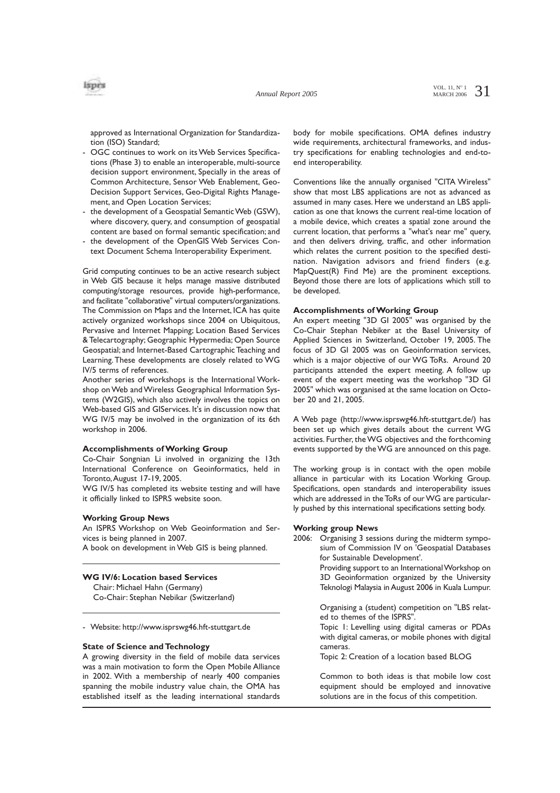approved as International Organization for Standardization (ISO) Standard;

- OGC continues to work on its Web Services Specifications (Phase 3) to enable an interoperable, multi-source decision support environment, Specially in the areas of Common Architecture, Sensor Web Enablement, Geo-Decision Support Services, Geo-Digital Rights Management, and Open Location Services;
- the development of a Geospatial Semantic Web (GSW), where discovery, query, and consumption of geospatial content are based on formal semantic specification; and
- the development of the OpenGIS Web Services Context Document Schema Interoperability Experiment.

Grid computing continues to be an active research subject in Web GIS because it helps manage massive distributed computing/storage resources, provide high-performance, and facilitate "collaborative" virtual computers/organizations. The Commission on Maps and the Internet, ICA has quite actively organized workshops since 2004 on Ubiquitous, Pervasive and Internet Mapping; Location Based Services & Telecartography; Geographic Hypermedia; Open Source Geospatial; and Internet-Based Cartographic Teaching and Learning.These developments are closely related to WG IV/5 terms of references.

Another series of workshops is the International Workshop on Web and Wireless Geographical Information Systems (W2GIS), which also actively involves the topics on Web-based GIS and GIServices. It's in discussion now that WG IV/5 may be involved in the organization of its 6th workshop in 2006.

#### **Accomplishments of Working Group**

Co-Chair Songnian Li involved in organizing the 13th International Conference on Geoinformatics, held in Toronto,August 17-19, 2005.

WG IV/5 has completed its website testing and will have it officially linked to ISPRS website soon.

### **Working Group News**

An ISPRS Workshop on Web Geoinformation and Services is being planned in 2007.

A book on development in Web GIS is being planned.

#### **WG IV/6: Location based Services**

Chair: Michael Hahn (Germany)

Co-Chair: Stephan Nebikar (Switzerland)

- Website: http://www.isprswg46.hft-stuttgart.de

#### **State of Science and Technology**

A growing diversity in the field of mobile data services was a main motivation to form the Open Mobile Alliance in 2002. With a membership of nearly 400 companies spanning the mobile industry value chain, the OMA has established itself as the leading international standards body for mobile specifications. OMA defines industry wide requirements, architectural frameworks, and industry specifications for enabling technologies and end-toend interoperability.

Conventions like the annually organised "CITA Wireless" show that most LBS applications are not as advanced as assumed in many cases. Here we understand an LBS application as one that knows the current real-time location of a mobile device, which creates a spatial zone around the current location, that performs a "what's near me" query, and then delivers driving, traffic, and other information which relates the current position to the specified destination. Navigation advisors and friend finders (e.g. MapQuest(R) Find Me) are the prominent exceptions. Beyond those there are lots of applications which still to be developed.

#### **Accomplishments of Working Group**

An expert meeting "3D GI 2005" was organised by the Co-Chair Stephan Nebiker at the Basel University of Applied Sciences in Switzerland, October 19, 2005. The focus of 3D GI 2005 was on Geoinformation services, which is a major objective of our WG ToRs. Around 20 participants attended the expert meeting. A follow up event of the expert meeting was the workshop "3D GI 2005" which was organised at the same location on October 20 and 21, 2005.

A Web page (http://www.isprswg46.hft-stuttgart.de/) has been set up which gives details about the current WG activities. Further, the WG objectives and the forthcoming events supported by the WG are announced on this page.

The working group is in contact with the open mobile alliance in particular with its Location Working Group. Specifications, open standards and interoperability issues which are addressed in the ToRs of our WG are particularly pushed by this international specifications setting body.

#### **Working group News**

2006: Organising 3 sessions during the midterm symposium of Commission IV on 'Geospatial Databases for Sustainable Development'.

> Providing support to an International Workshop on 3D Geoinformation organized by the University Teknologi Malaysia in August 2006 in Kuala Lumpur.

> Organising a (student) competition on "LBS related to themes of the ISPRS".

> Topic 1: Levelling using digital cameras or PDAs with digital cameras, or mobile phones with digital cameras.

Topic 2: Creation of a location based BLOG

Common to both ideas is that mobile low cost equipment should be employed and innovative solutions are in the focus of this competition.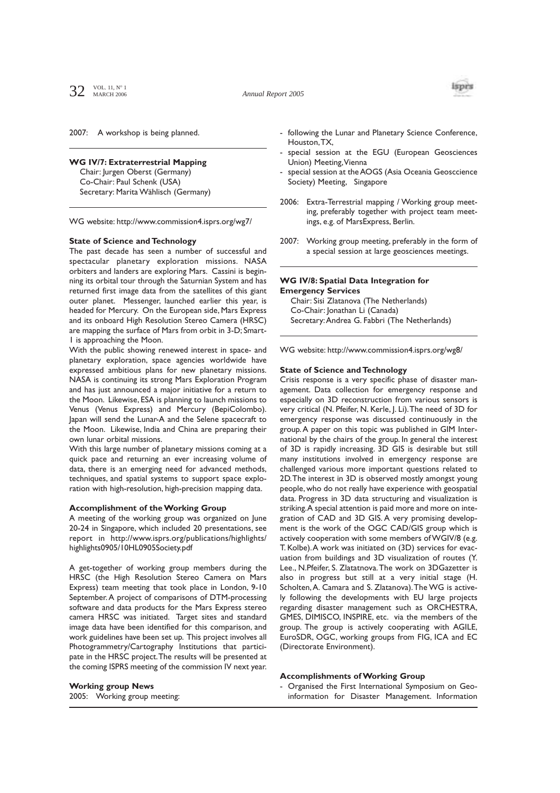

2007: A workshop is being planned.

# **WG IV/7: Extraterrestrial Mapping**

Chair: Jurgen Oberst (Germany) Co-Chair: Paul Schenk (USA) Secretary: Marita Wählisch (Germany)

WG website: http://www.commission4.isprs.org/wg7/

# **State of Science and Technology**

The past decade has seen a number of successful and spectacular planetary exploration missions. NASA orbiters and landers are exploring Mars. Cassini is beginning its orbital tour through the Saturnian System and has returned first image data from the satellites of this giant outer planet. Messenger, launched earlier this year, is headed for Mercury. On the European side, Mars Express and its onboard High Resolution Stereo Camera (HRSC) are mapping the surface of Mars from orbit in 3-D; Smart-1 is approaching the Moon.

With the public showing renewed interest in space- and planetary exploration, space agencies worldwide have expressed ambitious plans for new planetary missions. NASA is continuing its strong Mars Exploration Program and has just announced a major initiative for a return to the Moon. Likewise, ESA is planning to launch missions to Venus (Venus Express) and Mercury (BepiColombo). Japan will send the Lunar-A and the Selene spacecraft to the Moon. Likewise, India and China are preparing their own lunar orbital missions.

With this large number of planetary missions coming at a quick pace and returning an ever increasing volume of data, there is an emerging need for advanced methods, techniques, and spatial systems to support space exploration with high-resolution, high-precision mapping data.

# **Accomplishment of the Working Group**

A meeting of the working group was organized on June 20-24 in Singapore, which included 20 presentations, see report in http://www.isprs.org/publications/highlights/ highlights0905/10HL0905Society.pdf

A get-together of working group members during the HRSC (the High Resolution Stereo Camera on Mars Express) team meeting that took place in London, 9-10 September.A project of comparisons of DTM-processing software and data products for the Mars Express stereo camera HRSC was initiated. Target sites and standard image data have been identified for this comparison, and work guidelines have been set up. This project involves all Photogrammetry/Cartography Institutions that participate in the HRSC project.The results will be presented at the coming ISPRS meeting of the commission IV next year.

**Working group News** 2005: Working group meeting:

- following the Lunar and Planetary Science Conference, Houston,TX,
- special session at the EGU (European Geosciences Union) Meeting,Vienna
- special session at the AOGS (Asia Oceania Geosccience Society) Meeting, Singapore
- 2006: Extra-Terrestrial mapping / Working group meeting, preferably together with project team meetings, e.g. of MarsExpress, Berlin.
- 2007: Working group meeting, preferably in the form of a special session at large geosciences meetings.

## **WG IV/8: Spatial Data Integration for Emergency Services**

Chair: Sisi Zlatanova (The Netherlands) Co-Chair: Jonathan Li (Canada) Secretary:Andrea G. Fabbri (The Netherlands)

WG website: http://www.commission4.isprs.org/wg8/

## **State of Science and Technology**

Crisis response is a very specific phase of disaster management. Data collection for emergency response and especially on 3D reconstruction from various sensors is very critical (N. Pfeifer, N. Kerle, J. Li).The need of 3D for emergency response was discussed continuously in the group.A paper on this topic was published in GIM International by the chairs of the group. In general the interest of 3D is rapidly increasing. 3D GIS is desirable but still many institutions involved in emergency response are challenged various more important questions related to 2D.The interest in 3D is observed mostly amongst young people, who do not really have experience with geospatial data. Progress in 3D data structuring and visualization is striking.A special attention is paid more and more on integration of CAD and 3D GIS. A very promising development is the work of the OGC CAD/GIS group which is actively cooperation with some members of WGIV/8 (e.g. T. Kolbe).A work was initiated on (3D) services for evacuation from buildings and 3D visualization of routes (Y. Lee., N.Pfeifer, S. Zlatatnova.The work on 3DGazetter is also in progress but still at a very initial stage (H. Scholten,A. Camara and S. Zlatanova).The WG is actively following the developments with EU large projects regarding disaster management such as ORCHESTRA, GMES, DIMISCO, INSPIRE, etc. via the members of the group. The group is actively cooperating with AGILE, EuroSDR, OGC, working groups from FIG, ICA and EC (Directorate Environment).

## **Accomplishments of Working Group**

- Organised the First International Symposium on Geoinformation for Disaster Management. Information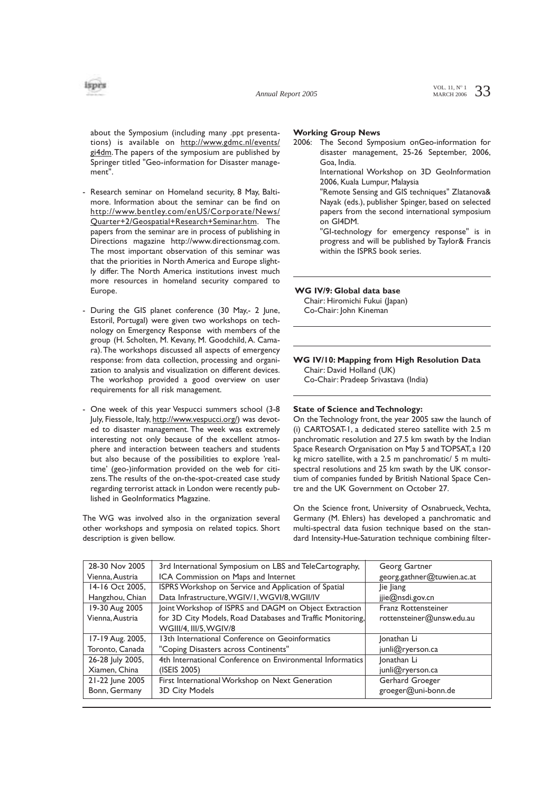

about the Symposium (including many .ppt presentations) is available on http://www.gdmc.nl/events/ gi4dm. The papers of the symposium are published by Springer titled "Geo-information for Disaster management".

- Research seminar on Homeland security, 8 May, Baltimore. Information about the seminar can be find on http://www.bentley.com/enUS/Corporate/News/ Quarter+2/Geospatial+Research+Seminar.htm. The papers from the seminar are in process of publishing in Directions magazine http://www.directionsmag.com. The most important observation of this seminar was that the priorities in North America and Europe slightly differ. The North America institutions invest much more resources in homeland security compared to Europe.
- During the GIS planet conference (30 May,- 2 June, Estoril, Portugal) were given two workshops on technology on Emergency Response with members of the group (H. Scholten, M. Kevany, M. Goodchild, A. Camara).The workshops discussed all aspects of emergency response: from data collection, processing and organization to analysis and visualization on different devices. The workshop provided a good overview on user requirements for all risk management.
- One week of this year Vespucci summers school (3-8 July, Fiessole, Italy, http://www.vespucci.org/) was devoted to disaster management. The week was extremely interesting not only because of the excellent atmosphere and interaction between teachers and students but also because of the possibilities to explore 'realtime' (geo-)information provided on the web for citizens.The results of the on-the-spot-created case study regarding terrorist attack in London were recently published in GeoInformatics Magazine.

The WG was involved also in the organization several other workshops and symposia on related topics. Short description is given bellow.

## **Working Group News**

2006: The Second Symposium onGeo-information for disaster management, 25-26 September, 2006, Goa, India.

International Workshop on 3D GeoInformation 2006, Kuala Lumpur, Malaysia

"Remote Sensing and GIS techniques" Zlatanova& Nayak (eds.), publisher Spinger, based on selected papers from the second international symposium on GI4DM.

"GI-technology for emergency response" is in progress and will be published by Taylor& Francis within the ISPRS book series.

**WG IV/9: Global data base**

Chair: Hiromichi Fukui (Japan) Co-Chair: John Kineman

**WG IV/10: Mapping from High Resolution Data** Chair: David Holland (UK)

Co-Chair: Pradeep Srivastava (India)

# **State of Science and Technology:**

On the Technology front, the year 2005 saw the launch of (i) CARTOSAT-1, a dedicated stereo satellite with 2.5 m panchromatic resolution and 27.5 km swath by the Indian Space Research Organisation on May 5 and TOPSAT, a 120 kg micro satellite, with a 2.5 m panchromatic/ 5 m multispectral resolutions and 25 km swath by the UK consortium of companies funded by British National Space Centre and the UK Government on October 27.

On the Science front, University of Osnabrueck, Vechta, Germany (M. Ehlers) has developed a panchromatic and multi-spectral data fusion technique based on the standard Intensity-Hue-Saturation technique combining filter-

| 28-30 Nov 2005   | 3rd International Symposium on LBS and TeleCartography,    | Georg Gartner              |
|------------------|------------------------------------------------------------|----------------------------|
| Vienna, Austria  | ICA Commission on Maps and Internet                        | georg.gathner@tuwien.ac.at |
| 14-16 Oct 2005.  | ISPRS Workshop on Service and Application of Spatial       | lie liang                  |
| Hangzhou, Chian  | Data Infrastructure, WGIV/I, WGVI/8, WGII/IV               | jjie@nsdi.gov.cn           |
| 19-30 Aug 2005   | Joint Workshop of ISPRS and DAGM on Object Extraction      | Franz Rottensteiner        |
| Vienna, Austria  | for 3D City Models, Road Databases and Traffic Monitoring, | rottensteiner@unsw.edu.au  |
|                  | WGIII/4, III/5, WGIV/8                                     |                            |
| 17-19 Aug. 2005, | 13th International Conference on Geoinformatics            | Jonathan Li                |
| Toronto, Canada  | "Coping Disasters across Continents"                       | junli@ryerson.ca           |
| 26-28 July 2005, | 4th International Conference on Environmental Informatics  | Jonathan Li                |
| Xiamen, China    | (ISEIS 2005)                                               | junli@ryerson.ca           |
| 21-22 June 2005  | First International Workshop on Next Generation            | Gerhard Groeger            |
| Bonn, Germany    | 3D City Models                                             | groeger@uni-bonn.de        |
|                  |                                                            |                            |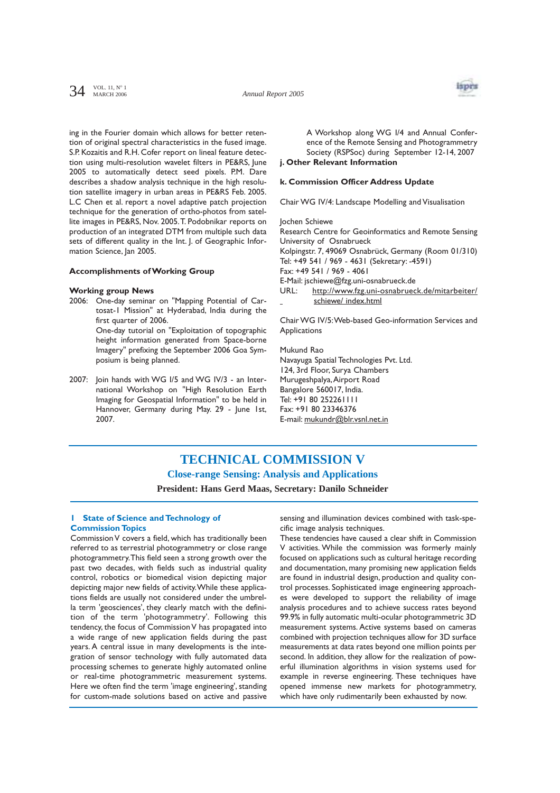*Annual Report 2005*



ing in the Fourier domain which allows for better retention of original spectral characteristics in the fused image. S.P. Kozaitis and R.H. Cofer report on lineal feature detection using multi-resolution wavelet filters in PE&RS, June 2005 to automatically detect seed pixels. P.M. Dare describes a shadow analysis technique in the high resolution satellite imagery in urban areas in PE&RS Feb. 2005. L.C Chen et al. report a novel adaptive patch projection technique for the generation of ortho-photos from satellite images in PE&RS, Nov. 2005.T. Podobnikar reports on production of an integrated DTM from multiple such data sets of different quality in the Int. J. of Geographic Information Science, Jan 2005.

### **Accomplishments of Working Group**

#### **Working group News**

2006: One-day seminar on "Mapping Potential of Cartosat-1 Mission" at Hyderabad, India during the first quarter of 2006. One-day tutorial on "Exploitation of topographic height information generated from Space-borne

Imagery" prefixing the September 2006 Goa Symposium is being planned.

2007: Join hands with WG I/5 and WG IV/3 - an International Workshop on "High Resolution Earth Imaging for Geospatial Information" to be held in Hannover, Germany during May. 29 - June 1st, 2007.

A Workshop along WG I/4 and Annual Conference of the Remote Sensing and Photogrammetry Society (RSPSoc) during September 12-14, 2007

# **j. Other Relevant Information**

## **k. Commission Officer Address Update**

Chair WG IV/4: Landscape Modelling and Visualisation

Jochen Schiewe

Research Centre for Geoinformatics and Remote Sensing University of Osnabrueck

Kolpingstr. 7, 49069 Osnabrück, Germany (Room 01/310) Tel: +49 541 / 969 - 4631 (Sekretary: -4591)

Fax: +49 541 / 969 - 4061

E-Mail: jschiewe@fzg.uni-osnabrueck.de

URL: http://www.fzg.uni-osnabrueck.de/mitarbeiter/ schiewe/ index.html

Chair WG IV/5:Web-based Geo-information Services and Applications

Mukund Rao Navayuga Spatial Technologies Pvt. Ltd. 124, 3rd Floor, Surya Chambers Murugeshpalya,Airport Road Bangalore 560017, India. Tel: +91 80 252261111 Fax: +91 80 23346376 E-mail: mukundr@blr.vsnl.net.in

# **TECHNICAL COMMISSION V Close-range Sensing: Analysis and Applications President: Hans Gerd Maas, Secretary: Danilo Schneider**

### **1 State of Science and Technology of Commission Topics**

Commission V covers a field, which has traditionally been referred to as terrestrial photogrammetry or close range photogrammetry.This field seen a strong growth over the past two decades, with fields such as industrial quality control, robotics or biomedical vision depicting major depicting major new fields of activity.While these applications fields are usually not considered under the umbrella term 'geosciences', they clearly match with the definition of the term 'photogrammetry'. Following this tendency, the focus of Commission V has propagated into a wide range of new application fields during the past years. A central issue in many developments is the integration of sensor technology with fully automated data processing schemes to generate highly automated online or real-time photogrammetric measurement systems. Here we often find the term 'image engineering', standing for custom-made solutions based on active and passive

sensing and illumination devices combined with task-specific image analysis techniques.

These tendencies have caused a clear shift in Commission V activities. While the commission was formerly mainly focused on applications such as cultural heritage recording and documentation, many promising new application fields are found in industrial design, production and quality control processes. Sophisticated image engineering approaches were developed to support the reliability of image analysis procedures and to achieve success rates beyond 99.9% in fully automatic multi-ocular photogrammetric 3D measurement systems. Active systems based on cameras combined with projection techniques allow for 3D surface measurements at data rates beyond one million points per second. In addition, they allow for the realization of powerful illumination algorithms in vision systems used for example in reverse engineering. These techniques have opened immense new markets for photogrammetry, which have only rudimentarily been exhausted by now.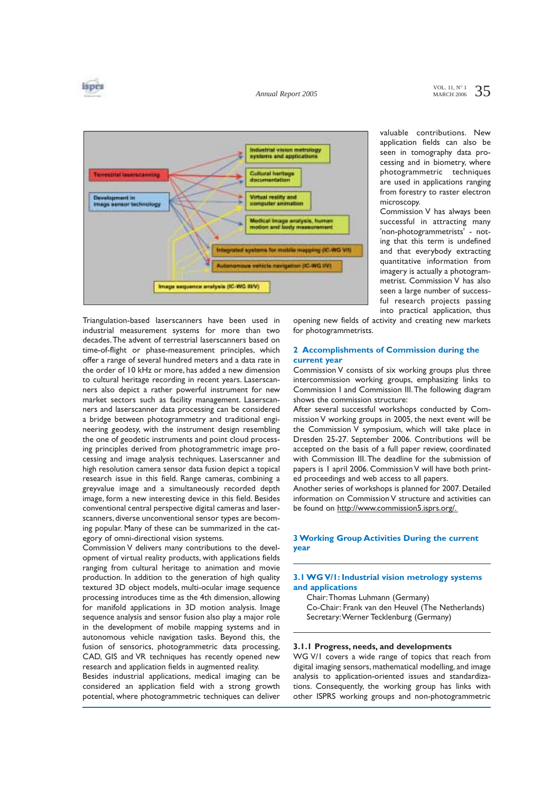

*Annual Report 2005*



valuable contributions. New application fields can also be seen in tomography data processing and in biometry, where photogrammetric techniques are used in applications ranging from forestry to raster electron microscopy.

Commission V has always been successful in attracting many 'non-photogrammetrists' - noting that this term is undefined and that everybody extracting quantitative information from imagery is actually a photogrammetrist. Commission V has also seen a large number of successful research projects passing into practical application, thus

Triangulation-based laserscanners have been used in industrial measurement systems for more than two decades.The advent of terrestrial laserscanners based on time-of-flight or phase-measurement principles, which offer a range of several hundred meters and a data rate in the order of 10 kHz or more, has added a new dimension to cultural heritage recording in recent years. Laserscanners also depict a rather powerful instrument for new market sectors such as facility management. Laserscanners and laserscanner data processing can be considered a bridge between photogrammetry and traditional engineering geodesy, with the instrument design resembling the one of geodetic instruments and point cloud processing principles derived from photogrammetric image processing and image analysis techniques. Laserscanner and high resolution camera sensor data fusion depict a topical research issue in this field. Range cameras, combining a greyvalue image and a simultaneously recorded depth image, form a new interesting device in this field. Besides conventional central perspective digital cameras and laserscanners, diverse unconventional sensor types are becoming popular. Many of these can be summarized in the category of omni-directional vision systems.

Commission V delivers many contributions to the development of virtual reality products, with applications fields ranging from cultural heritage to animation and movie production. In addition to the generation of high quality textured 3D object models, multi-ocular image sequence processing introduces time as the 4th dimension, allowing for manifold applications in 3D motion analysis. Image sequence analysis and sensor fusion also play a major role in the development of mobile mapping systems and in autonomous vehicle navigation tasks. Beyond this, the fusion of sensorics, photogrammetric data processing, CAD, GIS and VR techniques has recently opened new research and application fields in augmented reality.

Besides industrial applications, medical imaging can be considered an application field with a strong growth potential, where photogrammetric techniques can deliver

opening new fields of activity and creating new markets for photogrammetrists.

### **2 Accomplishments of Commission during the current year**

Commission V consists of six working groups plus three intercommission working groups, emphasizing links to Commission I and Commission III.The following diagram shows the commission structure:

After several successful workshops conducted by Commission V working groups in 2005, the next event will be the Commission V symposium, which will take place in Dresden 25-27. September 2006. Contributions will be accepted on the basis of a full paper review, coordinated with Commission III. The deadline for the submission of papers is 1 april 2006. Commission V will have both printed proceedings and web access to all papers.

Another series of workshops is planned for 2007. Detailed information on Commission V structure and activities can be found on http://www.commission5.isprs.org/.

# **3 Working Group Activities During the current year**

### **3.1 WG V/1: Industrial vision metrology systems and applications**

Chair:Thomas Luhmann (Germany) Co-Chair: Frank van den Heuvel (The Netherlands) Secretary:Werner Tecklenburg (Germany)

### **3.1.1 Progress, needs, and developments**

WG V/1 covers a wide range of topics that reach from digital imaging sensors, mathematical modelling, and image analysis to application-oriented issues and standardizations. Consequently, the working group has links with other ISPRS working groups and non-photogrammetric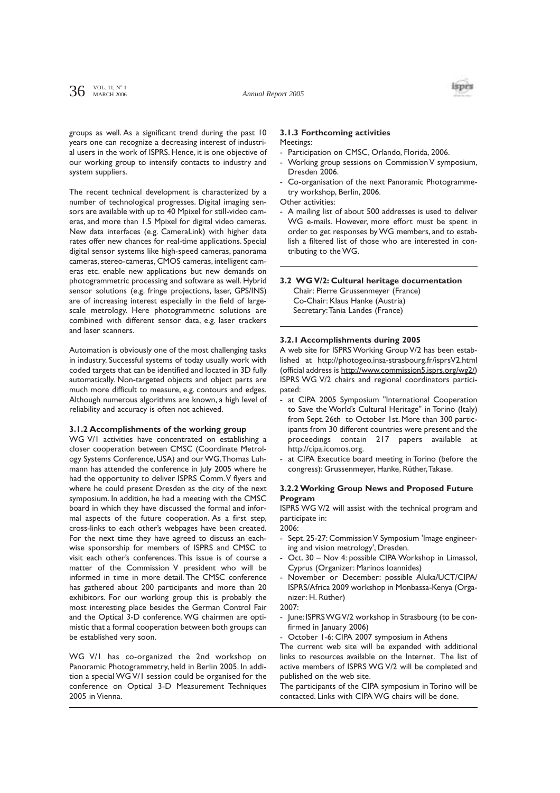

groups as well. As a significant trend during the past 10 years one can recognize a decreasing interest of industrial users in the work of ISPRS. Hence, it is one objective of our working group to intensify contacts to industry and system suppliers.

The recent technical development is characterized by a number of technological progresses. Digital imaging sensors are available with up to 40 Mpixel for still-video cameras, and more than 1.5 Mpixel for digital video cameras. New data interfaces (e.g. CameraLink) with higher data rates offer new chances for real-time applications. Special digital sensor systems like high-speed cameras, panorama cameras, stereo-cameras, CMOS cameras, intelligent cameras etc. enable new applications but new demands on photogrammetric processing and software as well. Hybrid sensor solutions (e.g. fringe projections, laser, GPS/INS) are of increasing interest especially in the field of largescale metrology. Here photogrammetric solutions are combined with different sensor data, e.g. laser trackers and laser scanners.

Automation is obviously one of the most challenging tasks in industry. Successful systems of today usually work with coded targets that can be identified and located in 3D fully automatically. Non-targeted objects and object parts are much more difficult to measure, e.g. contours and edges. Although numerous algorithms are known, a high level of reliability and accuracy is often not achieved.

#### **3.1.2 Accomplishments of the working group**

WG V/1 activities have concentrated on establishing a closer cooperation between CMSC (Coordinate Metrology Systems Conference, USA) and our WG.Thomas Luhmann has attended the conference in July 2005 where he had the opportunity to deliver ISPRS Comm.V flyers and where he could present Dresden as the city of the next symposium. In addition, he had a meeting with the CMSC board in which they have discussed the formal and informal aspects of the future cooperation. As a first step, cross-links to each other's webpages have been created. For the next time they have agreed to discuss an eachwise sponsorship for members of ISPRS and CMSC to visit each other's conferences. This issue is of course a matter of the Commission V president who will be informed in time in more detail. The CMSC conference has gathered about 200 participants and more than 20 exhibitors. For our working group this is probably the most interesting place besides the German Control Fair and the Optical 3-D conference.WG chairmen are optimistic that a formal cooperation between both groups can be established very soon.

WG V/1 has co-organized the 2nd workshop on Panoramic Photogrammetry, held in Berlin 2005. In addition a special WG V/1 session could be organised for the conference on Optical 3-D Measurement Techniques 2005 in Vienna.

#### **3.1.3 Forthcoming activities Meetings:**

- Participation on CMSC, Orlando, Florida, 2006.
- Working group sessions on Commission V symposium, Dresden 2006.
- Co-organisation of the next Panoramic Photogrammetry workshop, Berlin, 2006.
- Other activities:
- A mailing list of about 500 addresses is used to deliver WG e-mails. However, more effort must be spent in order to get responses by WG members, and to establish a filtered list of those who are interested in contributing to the WG.

#### **3.2 WG V/2: Cultural heritage documentation**

Chair: Pierre Grussenmeyer (France) Co-Chair: Klaus Hanke (Austria) Secretary:Tania Landes (France)

#### **3.2.1 Accomplishments during 2005**

A web site for ISPRS Working Group V/2 has been established at http://photogeo.insa-strasbourg.fr/isprsV2.html (official address is http://www.commission5.isprs.org/wg2/) ISPRS WG V/2 chairs and regional coordinators participated:

- at CIPA 2005 Symposium "International Cooperation to Save the World's Cultural Heritage" in Torino (Italy) from Sept. 26th to October 1st. More than 300 participants from 30 different countries were present and the proceedings contain 217 papers available at http://cipa.icomos.org.
- at CIPA Executice board meeting in Torino (before the congress): Grussenmeyer, Hanke, Rüther,Takase.

## **3.2.2 Working Group News and Proposed Future Program**

ISPRS WG V/2 will assist with the technical program and participate in:

2006:

- Sept. 25-27: Commission V Symposium 'Image engineering and vision metrology', Dresden.
- Oct. 30 Nov 4: possible CIPA Workshop in Limassol, Cyprus (Organizer: Marinos Ioannides)
- November or December: possible Aluka/UCT/CIPA/ ISPRS/Africa 2009 workshop in Monbassa-Kenya (Organizer: H. Rüther)

2007:

- June: ISPRS WG V/2 workshop in Strasbourg (to be confirmed in January 2006)
- October 1-6: CIPA 2007 symposium in Athens

The current web site will be expanded with additional links to resources available on the Internet. The list of active members of ISPRS WG V/2 will be completed and published on the web site.

The participants of the CIPA symposium in Torino will be contacted. Links with CIPA WG chairs will be done.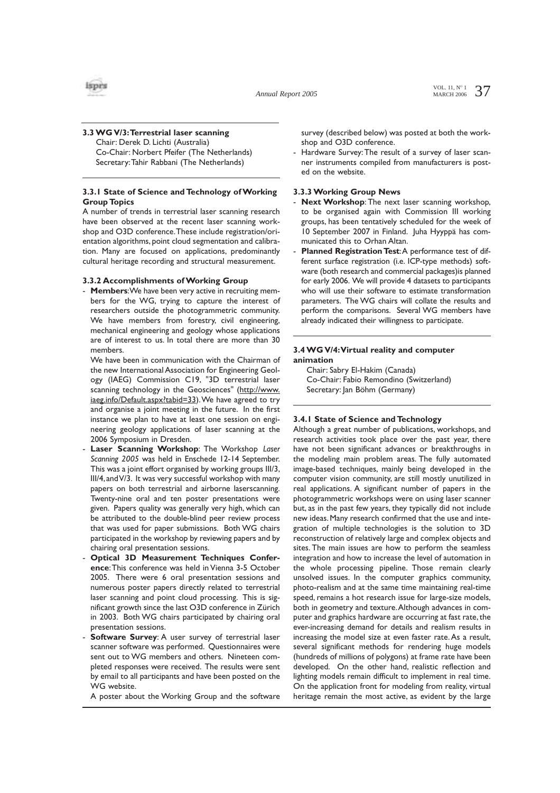## **3.3 WG V/3:Terrestrial laser scanning**  Chair: Derek D. Lichti (Australia) Co-Chair: Norbert Pfeifer (The Netherlands)

Secretary:Tahir Rabbani (The Netherlands)

# **3.3.1 State of Science and Technology of Working Group Topics**

A number of trends in terrestrial laser scanning research have been observed at the recent laser scanning workshop and O3D conference.These include registration/orientation algorithms, point cloud segmentation and calibration. Many are focused on applications, predominantly cultural heritage recording and structural measurement.

## **3.3.2 Accomplishments of Working Group**

- **Members**:We have been very active in recruiting members for the WG, trying to capture the interest of researchers outside the photogrammetric community. We have members from forestry, civil engineering, mechanical engineering and geology whose applications are of interest to us. In total there are more than 30 members.

We have been in communication with the Chairman of the new International Association for Engineering Geology (IAEG) Commission C19, "3D terrestrial laser scanning technology in the Geosciences" (http://www. iaeg.info/Default.aspx?tabid=33). We have agreed to try and organise a joint meeting in the future. In the first instance we plan to have at least one session on engineering geology applications of laser scanning at the 2006 Symposium in Dresden.

- Laser Scanning Workshop: The Workshop Laser *Scanning 2005* was held in Enschede 12-14 September. This was a joint effort organised by working groups III/3, III/4,and V/3. It was very successful workshop with many papers on both terrestrial and airborne laserscanning. Twenty-nine oral and ten poster presentations were given. Papers quality was generally very high, which can be attributed to the double-blind peer review process that was used for paper submissions. Both WG chairs participated in the workshop by reviewing papers and by chairing oral presentation sessions.
- **Optical 3D Measurement Techniques Conference**:This conference was held in Vienna 3-5 October 2005. There were 6 oral presentation sessions and numerous poster papers directly related to terrestrial laser scanning and point cloud processing. This is significant growth since the last O3D conference in Zürich in 2003. Both WG chairs participated by chairing oral presentation sessions.
- **Software Survey:** A user survey of terrestrial laser scanner software was performed. Questionnaires were sent out to WG members and others. Nineteen completed responses were received. The results were sent by email to all participants and have been posted on the WG website.

A poster about the Working Group and the software

survey (described below) was posted at both the workshop and O3D conference.

- Hardware Survey:The result of a survey of laser scanner instruments compiled from manufacturers is posted on the website.

# **3.3.3 Working Group News**

- **Next Workshop**: The next laser scanning workshop, to be organised again with Commission III working groups, has been tentatively scheduled for the week of 10 September 2007 in Finland. Juha Hyyppä has communicated this to Orhan Altan.
- Planned Registration Test: A performance test of different surface registration (i.e. ICP-type methods) software (both research and commercial packages)is planned for early 2006. We will provide 4 datasets to participants who will use their software to estimate transformation parameters. The WG chairs will collate the results and perform the comparisons. Several WG members have already indicated their willingness to participate.

# **3.4 WG V/4:Virtual reality and computer animation**

Chair: Sabry El-Hakim (Canada) Co-Chair: Fabio Remondino (Switzerland) Secretary: Jan Böhm (Germany)

# **3.4.1 State of Science and Technology**

Although a great number of publications, workshops, and research activities took place over the past year, there have not been significant advances or breakthroughs in the modeling main problem areas. The fully automated image-based techniques, mainly being developed in the computer vision community, are still mostly unutilized in real applications. A significant number of papers in the photogrammetric workshops were on using laser scanner but, as in the past few years, they typically did not include new ideas. Many research confirmed that the use and integration of multiple technologies is the solution to 3D reconstruction of relatively large and complex objects and sites. The main issues are how to perform the seamless integration and how to increase the level of automation in the whole processing pipeline. Those remain clearly unsolved issues. In the computer graphics community, photo-realism and at the same time maintaining real-time speed, remains a hot research issue for large-size models, both in geometry and texture.Although advances in computer and graphics hardware are occurring at fast rate, the ever-increasing demand for details and realism results in increasing the model size at even faster rate. As a result, several significant methods for rendering huge models (hundreds of millions of polygons) at frame rate have been developed. On the other hand, realistic reflection and lighting models remain difficult to implement in real time. On the application front for modeling from reality, virtual heritage remain the most active, as evident by the large

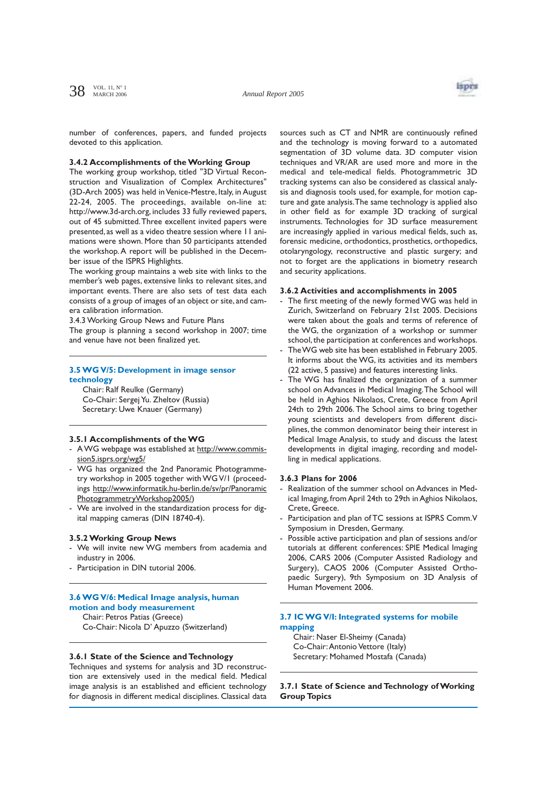

number of conferences, papers, and funded projects devoted to this application.

#### **3.4.2 Accomplishments of the Working Group**

The working group workshop, titled "3D Virtual Reconstruction and Visualization of Complex Architectures" (3D-Arch 2005) was held in Venice-Mestre, Italy, in August 22-24, 2005. The proceedings, available on-line at: http://www.3d-arch.org, includes 33 fully reviewed papers, out of 45 submitted.Three excellent invited papers were presented, as well as a video theatre session where 11 animations were shown. More than 50 participants attended the workshop. A report will be published in the December issue of the ISPRS Highlights.

The working group maintains a web site with links to the member's web pages, extensive links to relevant sites, and important events. There are also sets of test data each consists of a group of images of an object or site, and camera calibration information.

3.4.3 Working Group News and Future Plans

The group is planning a second workshop in 2007; time and venue have not been finalized yet.

## **3.5 WG V/5: Development in image sensor technology**

Chair: Ralf Reulke (Germany) Co-Chair: Sergej Yu. Zheltov (Russia) Secretary: Uwe Knauer (Germany)

## **3.5.1 Accomplishments of the WG**

- AWG webpage was established at http://www.commission5.isprs.org/wg5/
- WG has organized the 2nd Panoramic Photogrammetry workshop in 2005 together with WG V/1 (proceedings http://www.informatik.hu-berlin.de/sv/pr/Panoramic PhotogrammetryWorkshop2005/)
- We are involved in the standardization process for digital mapping cameras (DIN 18740-4).

#### **3.5.2 Working Group News**

- We will invite new WG members from academia and industry in 2006.
- Participation in DIN tutorial 2006.

## **3.6 WG V/6: Medical Image analysis, human motion and body measurement**

Chair: Petros Patias (Greece) Co-Chair: Nicola D' Apuzzo (Switzerland)

#### **3.6.1 State of the Science and Technology**

Techniques and systems for analysis and 3D reconstruction are extensively used in the medical field. Medical image analysis is an established and efficient technology for diagnosis in different medical disciplines. Classical data sources such as CT and NMR are continuously refined and the technology is moving forward to a automated segmentation of 3D volume data. 3D computer vision techniques and VR/AR are used more and more in the medical and tele-medical fields. Photogrammetric 3D tracking systems can also be considered as classical analysis and diagnosis tools used, for example, for motion capture and gate analysis.The same technology is applied also in other field as for example 3D tracking of surgical instruments. Technologies for 3D surface measurement are increasingly applied in various medical fields, such as, forensic medicine, orthodontics, prosthetics, orthopedics, otolaryngology, reconstructive and plastic surgery; and not to forget are the applications in biometry research and security applications.

#### **3.6.2 Activities and accomplishments in 2005**

- The first meeting of the newly formed WG was held in Zurich, Switzerland on February 21st 2005. Decisions were taken about the goals and terms of reference of the WG, the organization of a workshop or summer school, the participation at conferences and workshops.
- The WG web site has been established in February 2005. It informs about the WG, its activities and its members (22 active, 5 passive) and features interesting links.
- The WG has finalized the organization of a summer school on Advances in Medical Imaging.The School will be held in Aghios Nikolaos, Crete, Greece from April 24th to 29th 2006. The School aims to bring together young scientists and developers from different disciplines, the common denominator being their interest in Medical Image Analysis, to study and discuss the latest developments in digital imaging, recording and modelling in medical applications.

## **3.6.3 Plans for 2006**

- Realization of the summer school on Advances in Medical Imaging, from April 24th to 29th in Aghios Nikolaos, Crete, Greece.
- Participation and plan of TC sessions at ISPRS Comm.V Symposium in Dresden, Germany.
- Possible active participation and plan of sessions and/or tutorials at different conferences: SPIE Medical Imaging 2006, CARS 2006 (Computer Assisted Radiology and Surgery), CAOS 2006 (Computer Assisted Orthopaedic Surgery), 9th Symposium on 3D Analysis of Human Movement 2006.

# **3.7 IC WG V/I: Integrated systems for mobile mapping**

Chair: Naser El-Sheimy (Canada) Co-Chair:Antonio Vettore (Italy) Secretary: Mohamed Mostafa (Canada)

**3.7.1 State of Science and Technology of Working Group Topics**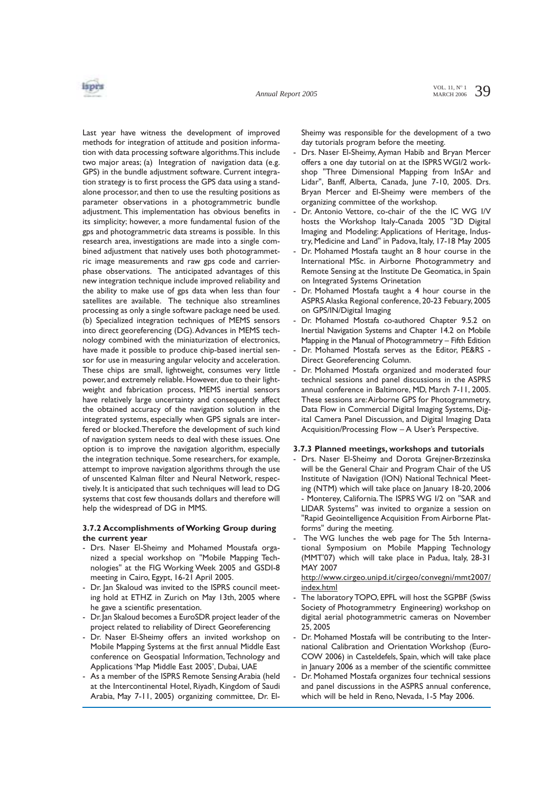

Last year have witness the development of improved methods for integration of attitude and position information with data processing software algorithms.This include two major areas; (a) Integration of navigation data (e.g. GPS) in the bundle adjustment software. Current integration strategy is to first process the GPS data using a standalone processor, and then to use the resulting positions as parameter observations in a photogrammetric bundle adjustment. This implementation has obvious benefits in its simplicity; however, a more fundamental fusion of the gps and photogrammetric data streams is possible. In this research area, investigations are made into a single combined adjustment that natively uses both photogrammetric image measurements and raw gps code and carrierphase observations. The anticipated advantages of this new integration technique include improved reliability and the ability to make use of gps data when less than four satellites are available. The technique also streamlines processing as only a single software package need be used. (b) Specialized integration techniques of MEMS sensors into direct georeferencing (DG).Advances in MEMS technology combined with the miniaturization of electronics, have made it possible to produce chip-based inertial sensor for use in measuring angular velocity and acceleration. These chips are small, lightweight, consumes very little power, and extremely reliable. However, due to their lightweight and fabrication process, MEMS inertial sensors have relatively large uncertainty and consequently affect the obtained accuracy of the navigation solution in the integrated systems, especially when GPS signals are interfered or blocked.Therefore the development of such kind of navigation system needs to deal with these issues. One option is to improve the navigation algorithm, especially the integration technique. Some researchers, for example, attempt to improve navigation algorithms through the use of unscented Kalman filter and Neural Network, respectively. It is anticipated that such techniques will lead to DG systems that cost few thousands dollars and therefore will help the widespread of DG in MMS.

## **3.7.2 Accomplishments of Working Group during the current year**

- Drs. Naser El-Sheimy and Mohamed Moustafa organized a special workshop on "Mobile Mapping Technologies" at the FIG Working Week 2005 and GSDI-8 meeting in Cairo, Egypt, 16-21 April 2005.
- Dr. Jan Skaloud was invited to the ISPRS council meeting hold at ETHZ in Zurich on May 13th, 2005 where he gave a scientific presentation.
- Dr.Jan Skaloud becomes a EuroSDR project leader of the project related to reliability of Direct Georeferencing
- Dr. Naser El-Sheimy offers an invited workshop on Mobile Mapping Systems at the first annual Middle East conference on Geospatial Information,Technology and Applications 'Map Middle East 2005', Dubai, UAE
- As a member of the ISPRS Remote Sensing Arabia (held at the Intercontinental Hotel, Riyadh, Kingdom of Saudi Arabia, May 7-11, 2005) organizing committee, Dr. El-

Sheimy was responsible for the development of a two day tutorials program before the meeting.

- Drs. Naser El-Sheimy, Ayman Habib and Bryan Mercer offers a one day tutorial on at the ISPRS WGI/2 workshop "Three Dimensional Mapping from InSAr and Lidar", Banff, Alberta, Canada, June 7-10, 2005. Drs. Bryan Mercer and El-Sheimy were members of the organizing committee of the workshop.
- Dr. Antonio Vettore, co-chair of the the IC WG I/V hosts the Workshop Italy-Canada 2005 "3D Digital Imaging and Modeling: Applications of Heritage, Industry, Medicine and Land" in Padova, Italy, 17-18 May 2005
- Dr. Mohamed Mostafa taught an 8 hour course in the International MSc. in Airborne Photogrammetry and Remote Sensing at the Institute De Geomatica, in Spain on Integrated Systems Orinetation
- Dr. Mohamed Mostafa taught a 4 hour course in the ASPRS Alaska Regional conference, 20-23 Febuary, 2005 on GPS/IN/Digital Imaging
- Dr. Mohamed Mostafa co-authored Chapter 9.5.2 on Inertial Navigation Systems and Chapter 14.2 on Mobile Mapping in the Manual of Photogrammetry – Fifth Edition
- Dr. Mohamed Mostafa serves as the Editor, PE&RS -Direct Georeferencing Column.
- Dr. Mohamed Mostafa organized and moderated four technical sessions and panel discussions in the ASPRS annual conference in Baltimore, MD, March 7-11, 2005. These sessions are:Airborne GPS for Photogrammetry, Data Flow in Commercial Digital Imaging Systems, Digital Camera Panel Discussion, and Digital Imaging Data Acquisition/Processing Flow – A User's Perspective.

## **3.7.3 Planned meetings, workshops and tutorials**

- Drs. Naser El-Sheimy and Dorota Grejner-Brzezinska will be the General Chair and Program Chair of the US Institute of Navigation (ION) National Technical Meeting (NTM) which will take place on January 18-20, 2006 - Monterey, California.The ISPRS WG I/2 on "SAR and LIDAR Systems" was invited to organize a session on "Rapid Geointelligence Acquisition From Airborne Platforms" during the meeting.
- The WG lunches the web page for The 5th International Symposium on Mobile Mapping Technology (MMT'07) which will take place in Padua, Italy, 28-31 MAY 2007

http://www.cirgeo.unipd.it/cirgeo/convegni/mmt2007/ index.html

- The laboratory TOPO, EPFL will host the SGPBF (Swiss Society of Photogrammetry Engineering) workshop on digital aerial photogrammetric cameras on November 25, 2005
- Dr. Mohamed Mostafa will be contributing to the International Calibration and Orientation Workshop (Euro-COW 2006) in Casteldefels, Spain, which will take place in January 2006 as a member of the scientific committee
- Dr. Mohamed Mostafa organizes four technical sessions and panel discussions in the ASPRS annual conference, which will be held in Reno, Nevada, 1-5 May 2006.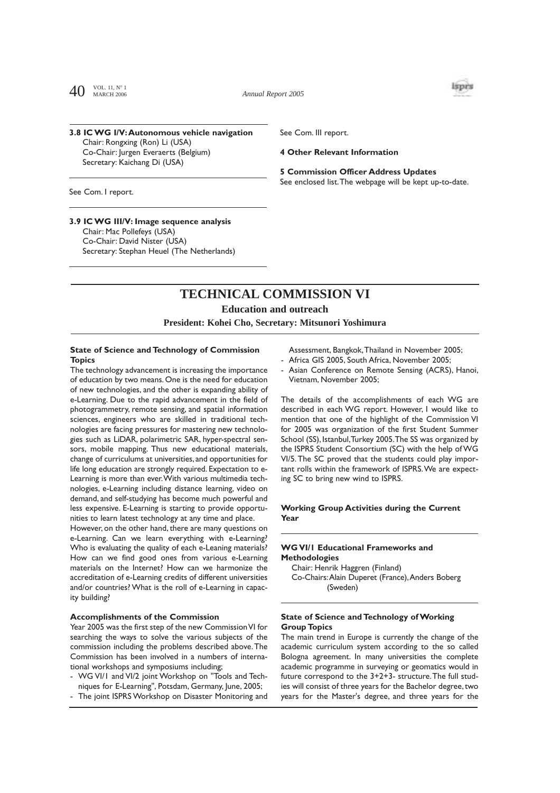$40^{~\text{VOL}.~11,~\text{N}^{\circ}~1}$ MARCH 2006

*Annual Report 2005*



## **3.8 IC WG I/V:Autonomous vehicle navigation**  Chair: Rongxing (Ron) Li (USA) Co-Chair: Jurgen Everaerts (Belgium) Secretary: Kaichang Di (USA)

See Com. III report.

#### **4 Other Relevant Information**

# **5 Commission Officer Address Updates**

See enclosed list.The webpage will be kept up-to-date.

See Com. I report.

# **3.9 IC WG III/V: Image sequence analysis**

Chair: Mac Pollefeys (USA) Co-Chair: David Nister (USA) Secretary: Stephan Heuel (The Netherlands)

# **TECHNICAL COMMISSION VI**

## **Education and outreach**

**President: Kohei Cho, Secretary: Mitsunori Yoshimura**

## **State of Science and Technology of Commission Topics**

The technology advancement is increasing the importance of education by two means. One is the need for education of new technologies, and the other is expanding ability of e-Learning. Due to the rapid advancement in the field of photogrammetry, remote sensing, and spatial information sciences, engineers who are skilled in traditional technologies are facing pressures for mastering new technologies such as LiDAR, polarimetric SAR, hyper-spectral sensors, mobile mapping. Thus new educational materials, change of curriculums at universities, and opportunities for life long education are strongly required. Expectation to e-Learning is more than ever.With various multimedia technologies, e-Learning including distance learning, video on demand, and self-studying has become much powerful and less expensive. E-Learning is starting to provide opportunities to learn latest technology at any time and place.

However, on the other hand, there are many questions on e-Learning. Can we learn everything with e-Learning? Who is evaluating the quality of each e-Leaning materials? How can we find good ones from various e-Learning materials on the Internet? How can we harmonize the accreditation of e-Learning credits of different universities and/or countries? What is the roll of e-Learning in capacity building?

#### **Accomplishments of the Commission**

Year 2005 was the first step of the new Commission VI for searching the ways to solve the various subjects of the commission including the problems described above.The Commission has been involved in a numbers of international workshops and symposiums including;

- WG VI/1 and VI/2 joint Workshop on "Tools and Techniques for E-Learning", Potsdam, Germany, June, 2005;
- The joint ISPRS Workshop on Disaster Monitoring and

Assessment, Bangkok,Thailand in November 2005; Africa GIS 2005, South Africa, November 2005;

Asian Conference on Remote Sensing (ACRS), Hanoi, Vietnam, November 2005;

The details of the accomplishments of each WG are described in each WG report. However, I would like to mention that one of the highlight of the Commission VI for 2005 was organization of the first Student Summer School (SS), Istanbul,Turkey 2005.The SS was organized by the ISPRS Student Consortium (SC) with the help of WG VI/5.The SC proved that the students could play important rolls within the framework of ISPRS.We are expecting SC to bring new wind to ISPRS.

# **Working Group Activities during the Current Year**

## **WG VI/1 Educational Frameworks and Methodologies**

Chair: Henrik Haggren (Finland) Co-Chairs:Alain Duperet (France),Anders Boberg (Sweden)

#### **State of Science and Technology of Working Group Topics**

The main trend in Europe is currently the change of the academic curriculum system according to the so called Bologna agreement. In many universities the complete academic programme in surveying or geomatics would in future correspond to the 3+2+3- structure.The full studies will consist of three years for the Bachelor degree, two years for the Master's degree, and three years for the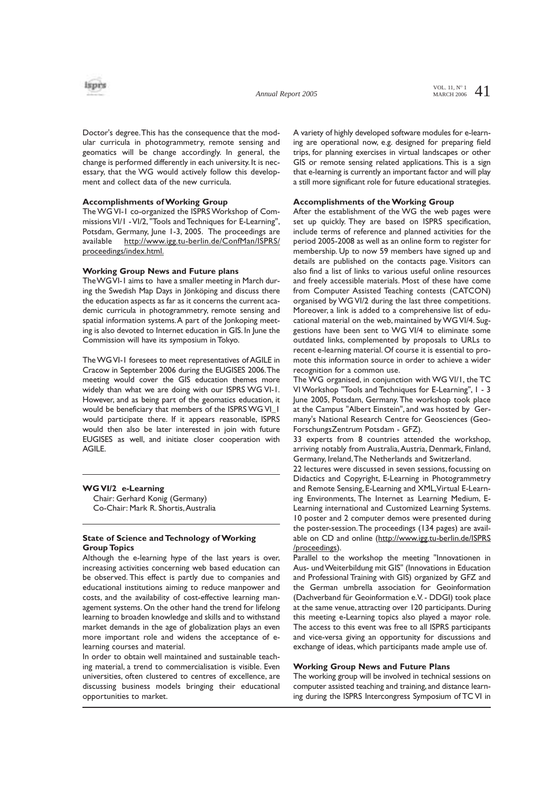

Doctor's degree.This has the consequence that the modular curricula in photogrammetry, remote sensing and geomatics will be change accordingly. In general, the change is performed differently in each university. It is necessary, that the WG would actively follow this development and collect data of the new curricula.

### **Accomplishments of Working Group**

The WG VI-1 co-organized the ISPRS Workshop of Commissions VI/1 - VI/2, "Tools and Techniques for E-Learning", Potsdam, Germany, June 1-3, 2005. The proceedings are available http://www.igg.tu-berlin.de/ConfMan/ISPRS/ proceedings/index.html.

#### **Working Group News and Future plans**

The WG VI-1 aims to have a smaller meeting in March during the Swedish Map Days in Jönköping and discuss there the education aspects as far as it concerns the current academic curricula in photogrammetry, remote sensing and spatial information systems.A part of the Jonkoping meeting is also devoted to Internet education in GIS. In June the Commission will have its symposium in Tokyo.

The WG VI-1 foresees to meet representatives of AGILE in Cracow in September 2006 during the EUGISES 2006.The meeting would cover the GIS education themes more widely than what we are doing with our ISPRS WG VI-1. However, and as being part of the geomatics education, it would be beneficiary that members of the ISPRS WG VI\_1 would participate there. If it appears reasonable, ISPRS would then also be later interested in join with future EUGISES as well, and initiate closer cooperation with AGILE.

## **WG VI/2 e-Learning**

Chair: Gerhard Konig (Germany) Co-Chair: Mark R. Shortis,Australia

## **State of Science and Technology of Working Group Topics**

Although the e-learning hype of the last years is over, increasing activities concerning web based education can be observed. This effect is partly due to companies and educational institutions aiming to reduce manpower and costs, and the availability of cost-effective learning management systems. On the other hand the trend for lifelong learning to broaden knowledge and skills and to withstand market demands in the age of globalization plays an even more important role and widens the acceptance of elearning courses and material.

In order to obtain well maintained and sustainable teaching material, a trend to commercialisation is visible. Even universities, often clustered to centres of excellence, are discussing business models bringing their educational opportunities to market.

A variety of highly developed software modules for e-learning are operational now, e.g. designed for preparing field trips, for planning exercises in virtual landscapes or other GIS or remote sensing related applications. This is a sign that e-learning is currently an important factor and will play a still more significant role for future educational strategies.

### **Accomplishments of the Working Group**

After the establishment of the WG the web pages were set up quickly. They are based on ISPRS specification, include terms of reference and planned activities for the period 2005-2008 as well as an online form to register for membership. Up to now 59 members have signed up and details are published on the contacts page. Visitors can also find a list of links to various useful online resources and freely accessible materials. Most of these have come from Computer Assisted Teaching contests (CATCON) organised by WG VI/2 during the last three competitions. Moreover, a link is added to a comprehensive list of educational material on the web, maintained by WG VI/4. Suggestions have been sent to WG VI/4 to eliminate some outdated links, complemented by proposals to URLs to recent e-learning material. Of course it is essential to promote this information source in order to achieve a wider recognition for a common use.

The WG organised, in conjunction with WG VI/1, the TC VI Workshop "Tools and Techniques for E-Learning", 1 - 3 June 2005, Potsdam, Germany. The workshop took place at the Campus "Albert Einstein", and was hosted by Germany's National Research Centre for Geosciences (Geo-ForschungsZentrum Potsdam - GFZ).

33 experts from 8 countries attended the workshop, arriving notably from Australia, Austria, Denmark, Finland, Germany, Ireland,The Netherlands and Switzerland.

22 lectures were discussed in seven sessions, focussing on Didactics and Copyright, E-Learning in Photogrammetry and Remote Sensing, E-Learning and XML,Virtual E-Learning Environments, The Internet as Learning Medium, E-Learning international and Customized Learning Systems. 10 poster and 2 computer demos were presented during the poster-session.The proceedings (134 pages) are available on CD and online (http://www.igg.tu-berlin.de/ISPRS /proceedings).

Parallel to the workshop the meeting "Innovationen in Aus- und Weiterbildung mit GIS" (Innovations in Education and Professional Training with GIS) organized by GFZ and the German umbrella association for Geoinformation (Dachverband für Geoinformation e.V. - DDGI) took place at the same venue, attracting over 120 participants. During this meeting e-Learning topics also played a mayor role. The access to this event was free to all ISPRS participants and vice-versa giving an opportunity for discussions and exchange of ideas, which participants made ample use of.

## **Working Group News and Future Plans**

The working group will be involved in technical sessions on computer assisted teaching and training, and distance learning during the ISPRS Intercongress Symposium of TC VI in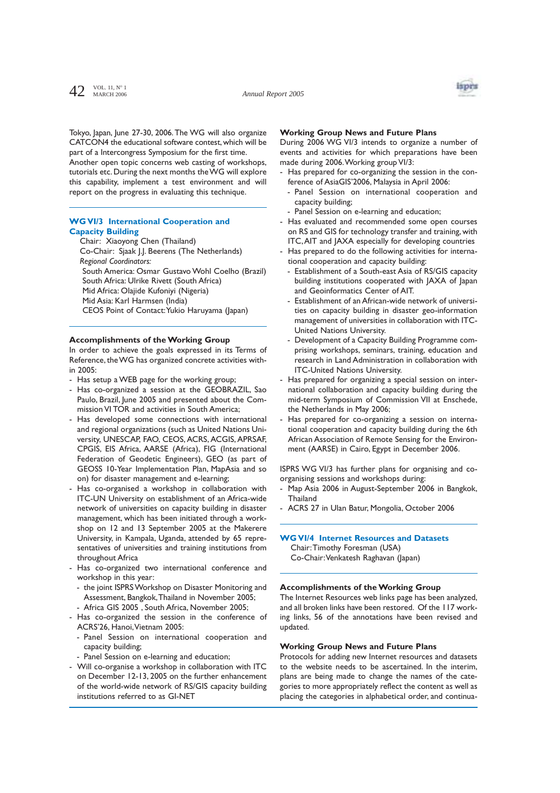

Tokyo, Japan, June 27-30, 2006. The WG will also organize CATCON4 the educational software contest, which will be part of a Intercongress Symposium for the first time. Another open topic concerns web casting of workshops, tutorials etc. During the next months the WG will explore

this capability, implement a test environment and will report on the progress in evaluating this technique.

# **WG VI/3 International Cooperation and Capacity Building**

Chair: Xiaoyong Chen (Thailand) Co-Chair: Sjaak J.J. Beerens (The Netherlands) *Regional Coordinators:* South America: Osmar Gustavo Wohl Coelho (Brazil) South Africa: Ulrike Rivett (South Africa) Mid Africa: Olajide Kufoniyi (Nigeria) Mid Asia: Karl Harmsen (India) CEOS Point of Contact:Yukio Haruyama (Japan)

### **Accomplishments of the Working Group**

In order to achieve the goals expressed in its Terms of Reference, the WG has organized concrete activities within 2005:

- Has setup a WEB page for the working group;
- Has co-organized a session at the GEOBRAZIL, Sao Paulo, Brazil, June 2005 and presented about the Commission VI TOR and activities in South America;
- Has developed some connections with international and regional organizations (such as United Nations University, UNESCAP, FAO, CEOS, ACRS, ACGIS, APRSAF, CPGIS, EIS Africa, AARSE (Africa), FIG (International Federation of Geodetic Engineers), GEO (as part of GEOSS 10-Year Implementation Plan, MapAsia and so on) for disaster management and e-learning;
- Has co-organised a workshop in collaboration with ITC-UN University on establishment of an Africa-wide network of universities on capacity building in disaster management, which has been initiated through a workshop on 12 and 13 September 2005 at the Makerere University, in Kampala, Uganda, attended by 65 representatives of universities and training institutions from throughout Africa
- Has co-organized two international conference and workshop in this year:
- the joint ISPRS Workshop on Disaster Monitoring and Assessment, Bangkok,Thailand in November 2005;
- Africa GIS 2005 , South Africa, November 2005;
- Has co-organized the session in the conference of ACRS'26, Hanoi,Vietnam 2005:
	- Panel Session on international cooperation and capacity building;
	- Panel Session on e-learning and education;
- Will co-organise a workshop in collaboration with ITC on December 12-13, 2005 on the further enhancement of the world-wide network of RS/GIS capacity building institutions referred to as GI-NET

### **Working Group News and Future Plans**

During 2006 WG VI/3 intends to organize a number of events and activities for which preparations have been made during 2006.Working group VI/3:

- Has prepared for co-organizing the session in the conference of AsiaGIS'2006, Malaysia in April 2006:
- Panel Session on international cooperation and capacity building;
- Panel Session on e-learning and education;
- Has evaluated and recommended some open courses on RS and GIS for technology transfer and training, with ITC,AIT and JAXA especially for developing countries
- Has prepared to do the following activities for international cooperation and capacity building:
	- Establishment of a South-east Asia of RS/GIS capacity building institutions cooperated with JAXA of Japan and Geoinformatics Center of AIT.
	- Establishment of an African-wide network of universities on capacity building in disaster geo-information management of universities in collaboration with ITC-United Nations University.
	- Development of a Capacity Building Programme comprising workshops, seminars, training, education and research in Land Administration in collaboration with ITC-United Nations University.
- Has prepared for organizing a special session on international collaboration and capacity building during the mid-term Symposium of Commission VII at Enschede, the Netherlands in May 2006;
- Has prepared for co-organizing a session on international cooperation and capacity building during the 6th African Association of Remote Sensing for the Environment (AARSE) in Cairo, Egypt in December 2006.

ISPRS WG VI/3 has further plans for organising and coorganising sessions and workshops during:

- Map Asia 2006 in August-September 2006 in Bangkok, **Thailand**
- ACRS 27 in Ulan Batur, Mongolia, October 2006

# **WG VI/4 Internet Resources and Datasets**

Chair:Timothy Foresman (USA) Co-Chair:Venkatesh Raghavan (Japan)

### **Accomplishments of the Working Group**

The Internet Resources web links page has been analyzed, and all broken links have been restored. Of the 117 working links, 56 of the annotations have been revised and updated.

#### **Working Group News and Future Plans**

Protocols for adding new Internet resources and datasets to the website needs to be ascertained. In the interim, plans are being made to change the names of the categories to more appropriately reflect the content as well as placing the categories in alphabetical order, and continua-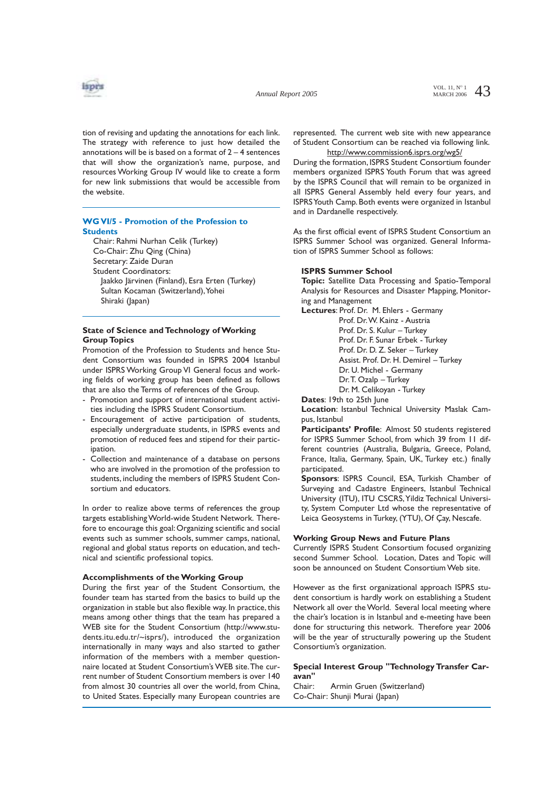

tion of revising and updating the annotations for each link. The strategy with reference to just how detailed the annotations will be is based on a format of  $2 - 4$  sentences that will show the organization's name, purpose, and resources Working Group IV would like to create a form for new link submissions that would be accessible from the website.

# **WG VI/5 - Promotion of the Profession to Students**

Chair: Rahmi Nurhan Celik (Turkey) Co-Chair: Zhu Qing (China) Secretary: Zaide Duran Student Coordinators: Jaakko Järvinen (Finland), Esra Erten (Turkey) Sultan Kocaman (Switzerland), Yohei Shiraki (Japan)

# **State of Science and Technology of Working Group Topics**

Promotion of the Profession to Students and hence Student Consortium was founded in ISPRS 2004 Istanbul under ISPRS Working Group VI General focus and working fields of working group has been defined as follows that are also the Terms of references of the Group.

- Promotion and support of international student activities including the ISPRS Student Consortium.
- Encouragement of active participation of students, especially undergraduate students, in ISPRS events and promotion of reduced fees and stipend for their participation.
- Collection and maintenance of a database on persons who are involved in the promotion of the profession to students, including the members of ISPRS Student Consortium and educators.

In order to realize above terms of references the group targets establishing World-wide Student Network. Therefore to encourage this goal:Organizing scientific and social events such as summer schools, summer camps, national, regional and global status reports on education, and technical and scientific professional topics.

### **Accomplishments of the Working Group**

During the first year of the Student Consortium, the founder team has started from the basics to build up the organization in stable but also flexible way. In practice, this means among other things that the team has prepared a WEB site for the Student Consortium (http://www.students.itu.edu.tr/~isprs/), introduced the organization internationally in many ways and also started to gather information of the members with a member questionnaire located at Student Consortium's WEB site.The current number of Student Consortium members is over 140 from almost 30 countries all over the world, from China, to United States. Especially many European countries are represented. The current web site with new appearance of Student Consortium can be reached via following link. http://www.commission6.isprs.org/wg5/

During the formation, ISPRS Student Consortium founder members organized ISPRS Youth Forum that was agreed by the ISPRS Council that will remain to be organized in all ISPRS General Assembly held every four years, and ISPRS Youth Camp. Both events were organized in Istanbul and in Dardanelle respectively.

As the first official event of ISPRS Student Consortium an ISPRS Summer School was organized. General Information of ISPRS Summer School as follows:

#### **ISPRS Summer School**

**Topic:** Satellite Data Processing and Spatio-Temporal Analysis for Resources and Disaster Mapping, Monitoring and Management

**Lectures**: Prof. Dr. M. Ehlers - Germany

Prof. Dr.W. Kainz - Austria Prof. Dr. S. Kulur – Turkey Prof. Dr. F. Sunar Erbek - Turkey Prof. Dr. D. Z. Seker – Turkey Assist. Prof. Dr. H. Demirel – Turkey Dr. U. Michel - Germany Dr.T. Ozalp – Turkey Dr. M. Celikoyan - Turkey

**Dates**: 19th to 25th June

**Location**: Istanbul Technical University Maslak Campus, Istanbul

Participants' Profile: Almost 50 students registered for ISPRS Summer School, from which 39 from 11 different countries (Australia, Bulgaria, Greece, Poland, France, Italia, Germany, Spain, UK, Turkey etc.) finally participated.

**Sponsors**: ISPRS Council, ESA, Turkish Chamber of Surveying and Cadastre Engineers, Istanbul Technical University (ITU), ITU CSCRS,Yildiz Technical University, System Computer Ltd whose the representative of Leica Geosystems in Turkey, (YTU), Of Çay, Nescafe.

### **Working Group News and Future Plans**

Currently ISPRS Student Consortium focused organizing second Summer School. Location, Dates and Topic will soon be announced on Student Consortium Web site.

However as the first organizational approach ISPRS student consortium is hardly work on establishing a Student Network all over the World. Several local meeting where the chair's location is in Istanbul and e-meeting have been done for structuring this network. Therefore year 2006 will be the year of structurally powering up the Student Consortium's organization.

# **Special Interest Group "Technology Transfer Caravan"**

Chair: Armin Gruen (Switzerland) Co-Chair: Shunji Murai (Japan)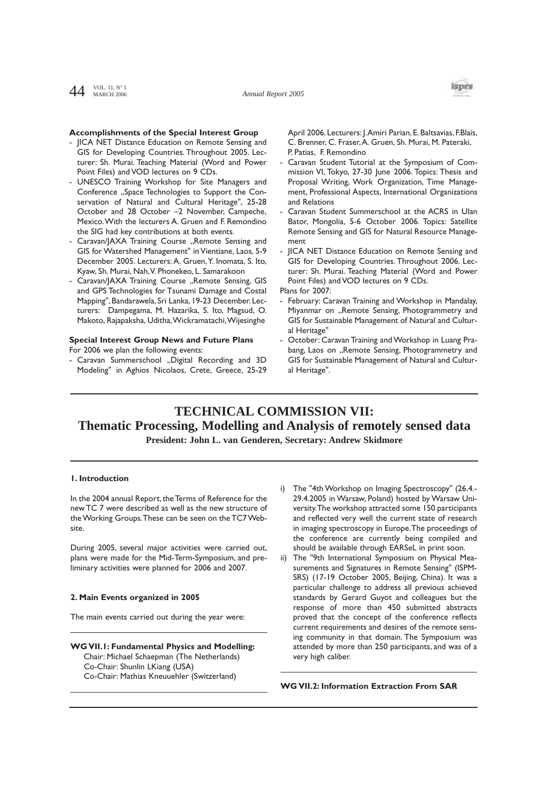$AA$  VOL. 11, N° 1 MARCH 2006



# **Accomplishments of the Special Interest Group**

- JICA NET Distance Education on Remote Sensing and GIS for Developing Countries. Throughout 2005. Lecturer: Sh. Murai. Teaching Material (Word and Power Point Files) and VOD lectures on 9 CDs.
- UNESCO Training Workshop for Site Managers and Conference "Space Technologies to Support the Conservation of Natural and Cultural Heritage", 25-28 October and 28 October –2 November, Campeche, Mexico.With the lecturers A. Gruen and F. Remondino the SIG had key contributions at both events.
- Caravan/JAXA Training Course "Remote Sensing and GIS for Watershed Management" in Vientiane, Laos, 5-9 December 2005. Lecturers: A. Gruen, Y. Inomata, S. Ito, Kyaw, Sh. Murai, Nah,V. Phonekeo, L. Samarakoon
- Caravan/JAXA Training Course "Remote Sensing, GIS and GPS Technologies for Tsunami Damage and Costal Mapping", Bandarawela, Sri Lanka, 19-23 December. Lecturers: Dampegama, M. Hazarika, S. Ito, Magsud, O. Makoto, Rajapaksha, Uditha,Wickramatachi,Wijesinghe

## **Special Interest Group News and Future Plans** For 2006 we plan the following events:

- Caravan Summerschool "Digital Recording and 3D Modeling" in Aghios Nicolaos, Crete, Greece, 25-29 April 2006. Lecturers: J.Amiri Parian, E. Baltsavias, F.Blais, C. Brenner, C. Fraser,A. Gruen, Sh. Murai, M. Pateraki, P. Patias, F. Remondino

- Caravan Student Tutorial at the Symposium of Commission VI, Tokyo, 27-30 June 2006. Topics: Thesis and Proposal Writing, Work Organization, Time Management, Professional Aspects, International Organizations and Relations
- Caravan Student Summerschool at the ACRS in Ulan Bator, Mongolia, 5-6 October 2006. Topics: Satellite Remote Sensing and GIS for Natural Resource Management
- JICA NET Distance Education on Remote Sensing and GIS for Developing Countries. Throughout 2006. Lecturer: Sh. Murai. Teaching Material (Word and Power Point Files) and VOD lectures on 9 CDs.

Plans for 2007:

- February: Caravan Training and Workshop in Mandalay, Miyanmar on "Remote Sensing, Photogrammetry and GIS for Sustainable Management of Natural and Cultural Heritage"
- October: Caravan Training and Workshop in Luang Prabang, Laos on "Remote Sensing, Photogrammetry and GIS for Sustainable Management of Natural and Cultural Heritage".

# **TECHNICAL COMMISSION VII: Thematic Processing, Modelling and Analysis of remotely sensed data**

**President: John L. van Genderen, Secretary: Andrew Skidmore** 

## **1. Introduction**

In the 2004 annual Report, the Terms of Reference for the new TC 7 were described as well as the new structure of the Working Groups.These can be seen on the TC7 Website.

During 2005, several major activities were carried out, plans were made for the Mid-Term-Symposium, and preliminary activities were planned for 2006 and 2007.

#### **2. Main Events organized in 2005**

The main events carried out during the year were:

**WG VII.1: Fundamental Physics and Modelling:** Chair: Michael Schaepman (The Netherlands) Co-Chair: Shunlin LKiang (USA) Co-Chair: Mathias Kneuuehler (Switzerland)

- The "4th Workshop on Imaging Spectroscopy" (26.4.-29.4.2005 in Warsaw, Poland) hosted by Warsaw University.The workshop attracted some 150 participants and reflected very well the current state of research in imaging spectroscopy in Europe.The proceedings of the conference are currently being compiled and should be available through EARSeL in print soon.
- ii) The "9th International Symposium on Physical Measurements and Signatures in Remote Sensing" (ISPM-SRS) (17-19 October 2005, Beijing, China). It was a particular challenge to address all previous achieved standards by Gerard Guyot and colleagues but the response of more than 450 submitted abstracts proved that the concept of the conference reflects current requirements and desires of the remote sensing community in that domain. The Symposium was attended by more than 250 participants, and was of a very high caliber.

**WG VII.2: Information Extraction From SAR**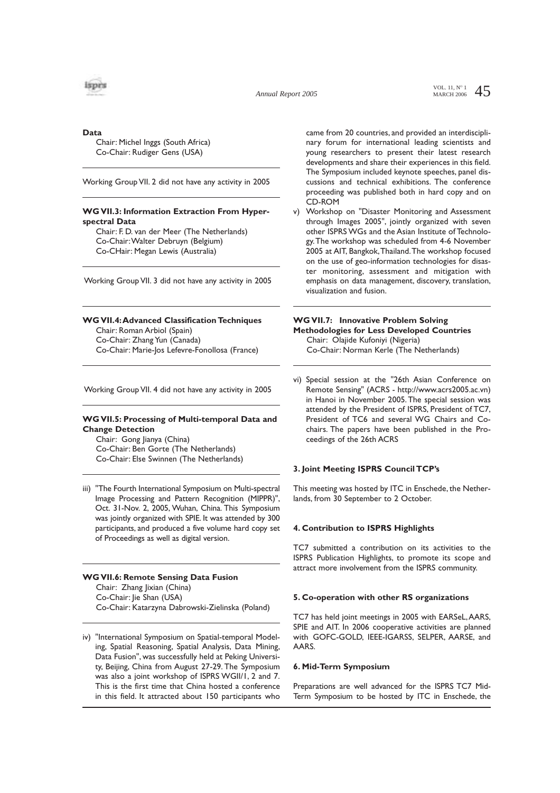

*Annual Report 2005*

VOL. 11,  $N^{\circ}$  1 45 MARCH 2006

**Data**

Chair: Michel Inggs (South Africa) Co-Chair: Rudiger Gens (USA)

Working Group VII. 2 did not have any activity in 2005

# **WG VII.3: Information Extraction From Hyperspectral Data**

Chair: F. D. van der Meer (The Netherlands) Co-Chair:Walter Debruyn (Belgium) Co-CHair: Megan Lewis (Australia)

Working Group VII. 3 did not have any activity in 2005

## **WG VII.4:Advanced Classification Techniques**

Chair: Roman Arbiol (Spain) Co-Chair: Zhang Yun (Canada) Co-Chair: Marie-Jos Lefevre-Fonollosa (France)

Working Group VII. 4 did not have any activity in 2005

## **WG VII.5: Processing of Multi-temporal Data and Change Detection**

Chair: Gong Jianya (China) Co-Chair: Ben Gorte (The Netherlands) Co-Chair: Else Swinnen (The Netherlands)

iii) "The Fourth International Symposium on Multi-spectral Image Processing and Pattern Recognition (MIPPR)", Oct. 31-Nov. 2, 2005, Wuhan, China. This Symposium was jointly organized with SPIE. It was attended by 300 participants, and produced a five volume hard copy set of Proceedings as well as digital version.

## **WG VII.6: Remote Sensing Data Fusion** Chair: Zhang Jixian (China) Co-Chair: Jie Shan (USA) Co-Chair: Katarzyna Dabrowski-Zielinska (Poland)

iv) "International Symposium on Spatial-temporal Modeling, Spatial Reasoning, Spatial Analysis, Data Mining, Data Fusion", was successfully held at Peking University, Beijing, China from August 27-29. The Symposium was also a joint workshop of ISPRS WGII/1, 2 and 7. This is the first time that China hosted a conference in this field. It attracted about 150 participants who came from 20 countries, and provided an interdisciplinary forum for international leading scientists and young researchers to present their latest research developments and share their experiences in this field. The Symposium included keynote speeches, panel discussions and technical exhibitions. The conference proceeding was published both in hard copy and on CD-ROM

v) Workshop on "Disaster Monitoring and Assessment through Images 2005", jointly organized with seven other ISPRS WGs and the Asian Institute of Technology.The workshop was scheduled from 4-6 November 2005 at AIT, Bangkok,Thailand.The workshop focused on the use of geo-information technologies for disaster monitoring, assessment and mitigation with emphasis on data management, discovery, translation, visualization and fusion.

# **WG VII.7: Innovative Problem Solving Methodologies for Less Developed Countries** Chair: Olajide Kufoniyi (Nigeria) Co-Chair: Norman Kerle (The Netherlands)

vi) Special session at the "26th Asian Conference on Remote Sensing" (ACRS - http://www.acrs2005.ac.vn) in Hanoi in November 2005.The special session was attended by the President of ISPRS, President of TC7, President of TC6 and several WG Chairs and Cochairs. The papers have been published in the Proceedings of the 26th ACRS

# **3. Joint Meeting ISPRS Council TCP's**

This meeting was hosted by ITC in Enschede, the Netherlands, from 30 September to 2 October.

### **4. Contribution to ISPRS Highlights**

TC7 submitted a contribution on its activities to the ISPRS Publication Highlights, to promote its scope and attract more involvement from the ISPRS community.

### **5. Co-operation with other RS organizations**

TC7 has held joint meetings in 2005 with EARSeL,AARS, SPIE and AIT. In 2006 cooperative activities are planned with GOFC-GOLD, IEEE-IGARSS, SELPER, AARSE, and AARS.

### **6. Mid-Term Symposium**

Preparations are well advanced for the ISPRS TC7 Mid-Term Symposium to be hosted by ITC in Enschede, the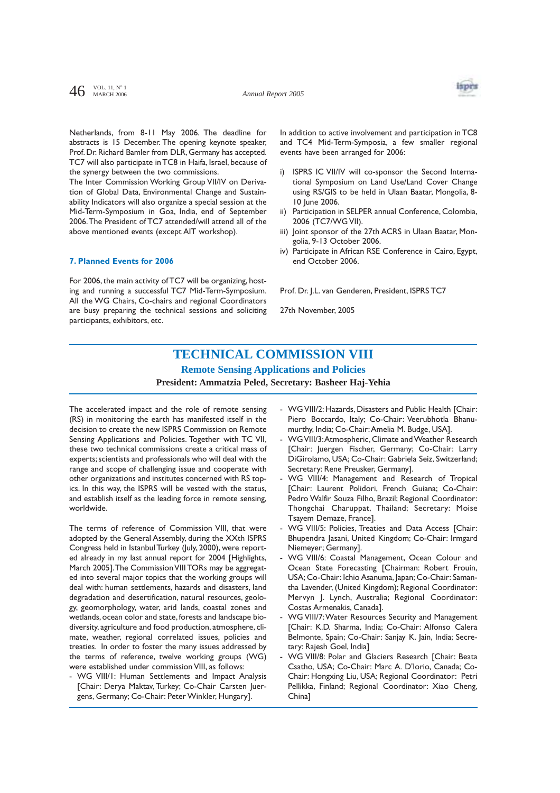

Netherlands, from 8-11 May 2006. The deadline for abstracts is 15 December. The opening keynote speaker, Prof. Dr. Richard Bamler from DLR, Germany has accepted. TC7 will also participate in TC8 in Haifa, Israel, because of the synergy between the two commissions.

The Inter Commission Working Group VII/IV on Derivation of Global Data, Environmental Change and Sustainability Indicators will also organize a special session at the Mid-Term-Symposium in Goa, India, end of September 2006.The President of TC7 attended/will attend all of the above mentioned events (except AIT workshop).

## **7. Planned Events for 2006**

For 2006, the main activity of TC7 will be organizing, hosting and running a successful TC7 Mid-Term-Symposium. All the WG Chairs, Co-chairs and regional Coordinators are busy preparing the technical sessions and soliciting participants, exhibitors, etc.

In addition to active involvement and participation in TC8 and TC4 Mid-Term-Symposia, a few smaller regional events have been arranged for 2006:

- i) ISPRS IC VII/IV will co-sponsor the Second International Symposium on Land Use/Land Cover Change using RS/GIS to be held in Ulaan Baatar, Mongolia, 8- 10 June 2006.
- ii) Participation in SELPER annual Conference, Colombia, 2006 (TC7/WG VII).
- iii) Joint sponsor of the 27th ACRS in Ulaan Baatar, Mongolia, 9-13 October 2006.
- iv) Participate in African RSE Conference in Cairo, Egypt, end October 2006.

Prof. Dr. J.L. van Genderen, President, ISPRS TC7

27th November, 2005

# **TECHNICAL COMMISSION VIII Remote Sensing Applications and Policies**

# **President: Ammatzia Peled, Secretary: Basheer Haj-Yehia**

The accelerated impact and the role of remote sensing (RS) in monitoring the earth has manifested itself in the decision to create the new ISPRS Commission on Remote Sensing Applications and Policies. Together with TC VII, these two technical commissions create a critical mass of experts; scientists and professionals who will deal with the range and scope of challenging issue and cooperate with other organizations and institutes concerned with RS topics. In this way, the ISPRS will be vested with the status, and establish itself as the leading force in remote sensing, worldwide.

The terms of reference of Commission VIII, that were adopted by the General Assembly, during the XXth ISPRS Congress held in Istanbul Turkey (July, 2000), were reported already in my last annual report for 2004 [Highlights, March 2005].The Commission VIII TORs may be aggregated into several major topics that the working groups will deal with: human settlements, hazards and disasters, land degradation and desertification, natural resources, geology, geomorphology, water, arid lands, coastal zones and wetlands, ocean color and state, forests and landscape biodiversity, agriculture and food production, atmosphere, climate, weather, regional correlated issues, policies and treaties. In order to foster the many issues addressed by the terms of reference, twelve working groups (WG) were established under commission VIII, as follows:

- WG VIII/1: Human Settlements and Impact Analysis [Chair: Derya Maktav, Turkey; Co-Chair Carsten Juergens, Germany; Co-Chair: Peter Winkler, Hungary].

- WG VIII/2: Hazards, Disasters and Public Health [Chair: Piero Boccardo, Italy; Co-Chair: Veerubhotla Bhanumurthy, India; Co-Chair:Amelia M. Budge, USA].
- WG VIII/3: Atmospheric, Climate and Weather Research [Chair: Juergen Fischer, Germany; Co-Chair: Larry DiGirolamo, USA; Co-Chair: Gabriela Seiz, Switzerland; Secretary: Rene Preusker, Germany].
- WG VIII/4: Management and Research of Tropical [Chair: Laurent Polidori, French Guiana; Co-Chair: Pedro Walfir Souza Filho, Brazil; Regional Coordinator: Thongchai Charuppat, Thailand; Secretary: Moise Tsayem Demaze, France].
- WG VIII/5: Policies, Treaties and Data Access [Chair: Bhupendra Jasani, United Kingdom; Co-Chair: Irmgard Niemeyer; Germany].
- WG VIII/6: Coastal Management, Ocean Colour and Ocean State Forecasting [Chairman: Robert Frouin, USA; Co-Chair: Ichio Asanuma, Japan; Co-Chair: Samantha Lavender, (United Kingdom); Regional Coordinator: Mervyn J. Lynch, Australia; Regional Coordinator: Costas Armenakis, Canada].
- WG VIII/7:Water Resources Security and Management [Chair: K.D. Sharma, India; Co-Chair: Alfonso Calera Belmonte, Spain; Co-Chair: Sanjay K. Jain, India; Secretary: Rajesh Goel, India]
- WG VIII/8: Polar and Glaciers Research [Chair: Beata Csatho, USA; Co-Chair: Marc A. D'Iorio, Canada; Co-Chair: Hongxing Liu, USA; Regional Coordinator: Petri Pellikka, Finland; Regional Coordinator: Xiao Cheng, China]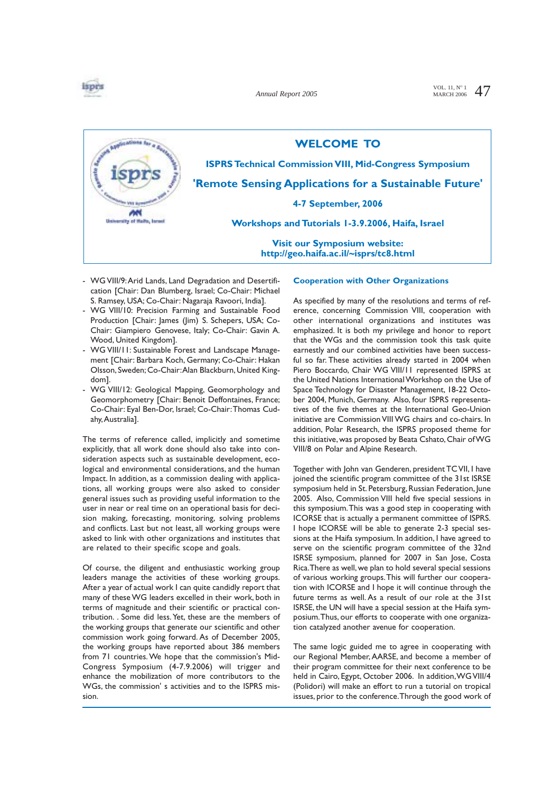

*Annual Report 2005*

VOL. 11,  $N^{\circ}$  1 47 MARCH 2006



- WG VIII/9:Arid Lands, Land Degradation and Desertification [Chair: Dan Blumberg, Israel; Co-Chair: Michael S. Ramsey, USA; Co-Chair: Nagaraja Ravoori, India].
- WG VIII/10: Precision Farming and Sustainable Food Production [Chair: James (Jim) S. Schepers, USA; Co-Chair: Giampiero Genovese, Italy; Co-Chair: Gavin A. Wood, United Kingdom].
- WG VIII/11: Sustainable Forest and Landscape Management [Chair: Barbara Koch, Germany; Co-Chair: Hakan Olsson,Sweden;Co-Chair:Alan Blackburn,United Kingdom].
- WG VIII/12: Geological Mapping, Geomorphology and Geomorphometry [Chair: Benoit Deffontaines, France; Co-Chair: Eyal Ben-Dor, Israel; Co-Chair:Thomas Cudahy,Australia].

The terms of reference called, implicitly and sometime explicitly, that all work done should also take into consideration aspects such as sustainable development, ecological and environmental considerations, and the human Impact. In addition, as a commission dealing with applications, all working groups were also asked to consider general issues such as providing useful information to the user in near or real time on an operational basis for decision making, forecasting, monitoring, solving problems and conflicts. Last but not least, all working groups were asked to link with other organizations and institutes that are related to their specific scope and goals.

Of course, the diligent and enthusiastic working group leaders manage the activities of these working groups. After a year of actual work I can quite candidly report that many of these WG leaders excelled in their work, both in terms of magnitude and their scientific or practical contribution. . Some did less.Yet, these are the members of the working groups that generate our scientific and other commission work going forward. As of December 2005, the working groups have reported about 386 members from 71 countries. We hope that the commission's Mid-Congress Symposium (4-7.9.2006) will trigger and enhance the mobilization of more contributors to the WGs, the commission' s activities and to the ISPRS mission.

#### **Cooperation with Other Organizations**

As specified by many of the resolutions and terms of reference, concerning Commission VIII, cooperation with other international organizations and institutes was emphasized. It is both my privilege and honor to report that the WGs and the commission took this task quite earnestly and our combined activities have been successful so far. These activities already started in 2004 when Piero Boccardo, Chair WG VIII/11 represented ISPRS at the United Nations International Workshop on the Use of Space Technology for Disaster Management, 18-22 October 2004, Munich, Germany. Also, four ISPRS representatives of the five themes at the International Geo-Union initiative are Commission VIII WG chairs and co-chairs. In addition, Polar Research, the ISPRS proposed theme for this initiative,was proposed by Beata Cshato,Chair of WG VIII/8 on Polar and Alpine Research.

Together with John van Genderen, president TC VII, I have joined the scientific program committee of the 31st ISRSE symposium held in St. Petersburg, Russian Federation, June 2005. Also, Commission VIII held five special sessions in this symposium.This was a good step in cooperating with ICORSE that is actually a permanent committee of ISPRS. I hope ICORSE will be able to generate 2-3 special sessions at the Haifa symposium. In addition, I have agreed to serve on the scientific program committee of the 32nd ISRSE symposium, planned for 2007 in San Jose, Costa Rica.There as well, we plan to hold several special sessions of various working groups.This will further our cooperation with ICORSE and I hope it will continue through the future terms as well. As a result of our role at the 31st ISRSE, the UN will have a special session at the Haifa symposium.Thus, our efforts to cooperate with one organization catalyzed another avenue for cooperation.

The same logic guided me to agree in cooperating with our Regional Member, AARSE, and become a member of their program committee for their next conference to be held in Cairo, Egypt, October 2006. In addition,WG VIII/4 (Polidori) will make an effort to run a tutorial on tropical issues, prior to the conference.Through the good work of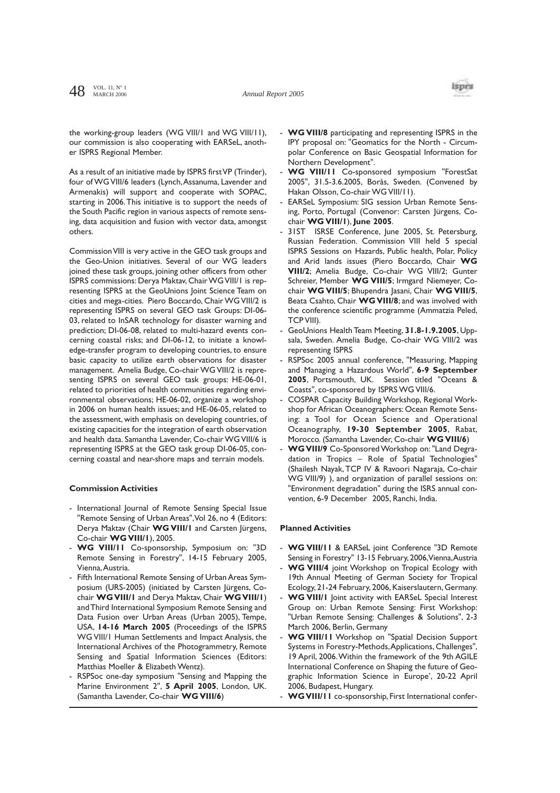

the working-group leaders (WG VIII/1 and WG VIII/11), our commission is also cooperating with EARSeL, another ISPRS Regional Member.

As a result of an initiative made by ISPRS first VP (Trinder), four of WG VIII/6 leaders (Lynch, Assanuma, Lavender and Armenakis) will support and cooperate with SOPAC, starting in 2006.This initiative is to support the needs of the South Pacific region in various aspects of remote sensing, data acquisition and fusion with vector data, amongst others.

Commission VIII is very active in the GEO task groups and the Geo-Union initiatives. Several of our WG leaders joined these task groups, joining other officers from other ISPRS commissions: Derya Maktav, Chair WG VIII/1 is representing ISPRS at the GeoUnions Joint Science Team on cities and mega-cities. Piero Boccardo, Chair WG VIII/2 is representing ISPRS on several GEO task Groups: DI-06- 03, related to InSAR technology for disaster warning and prediction; DI-06-08, related to multi-hazard events concerning coastal risks; and DI-06-12, to initiate a knowledge-transfer program to developing countries, to ensure basic capacity to utilize earth observations for disaster management. Amelia Budge, Co-chair WG VIII/2 is representing ISPRS on several GEO task groups: HE-06-01, related to priorities of health communities regarding environmental observations; HE-06-02, organize a workshop in 2006 on human health issues; and HE-06-05, related to the assessment, with emphasis on developing countries, of existing capacities for the integration of earth observation and health data. Samantha Lavender, Co-chair WG VIII/6 is representing ISPRS at the GEO task group DI-06-05, concerning coastal and near-shore maps and terrain models.

#### **Commission Activities**

- International Journal of Remote Sensing Special Issue "Remote Sensing of Urban Areas",Vol 26, no 4 (Editors: Derya Maktav (Chair **WG VIII/1** and Carsten Jürgens, Co-chair **WG VIII/1**), 2005.
- **WG VIII/11** Co-sponsorship, Symposium on: "3D Remote Sensing in Forestry", 14-15 February 2005, Vienna,Austria.
- Fifth International Remote Sensing of Urban Areas Symposium (URS-2005) (initiated by Carsten Jürgens, Cochair **WG VIII/1** and Derya Maktav, Chair **WG VIII/1**) and Third International Symposium Remote Sensing and Data Fusion over Urban Areas (Urban 2005), Tempe, USA, **14-16 March 2005** (Proceedings of the ISPRS WG VIII/1 Human Settlements and Impact Analysis, the International Archives of the Photogrammetry, Remote Sensing and Spatial Information Sciences (Editors: Matthias Moeller & Elizabeth Wentz).
- RSPSoc one-day symposium "Sensing and Mapping the Marine Environment 2", **5 April 2005**, London, UK. (Samantha Lavender, Co-chair **WG VIII/6**)
- **WG VIII/8** participating and representing ISPRS in the IPY proposal on: "Geomatics for the North - Circumpolar Conference on Basic Geospatial Information for Northern Development".
- WG VIII/11 Co-sponsored symposium "ForestSat 2005", 31.5-3.6.2005, Borås, Sweden. (Convened by Hakan Olsson, Co-chair WG VIII/11).
- EARSeL Symposium: SIG session Urban Remote Sensing, Porto, Portugal (Convenor: Carsten Jürgens, Cochair **WG VIII/1**), **June 2005**.
- 31ST ISRSE Conference, June 2005, St. Petersburg, Russian Federation. Commission VIII held 5 special ISPRS Sessions on Hazards, Public health, Polar, Policy and Arid lands issues (Piero Boccardo, Chair **WG VIII/2**; Amelia Budge, Co-chair WG VIII/2; Gunter Schreier, Member **WG VIII/5**; Irmgard Niemeyer, Cochair **WG VIII/5**; Bhupendra Jasani, Chair **WG VIII/5**, Beata Csahto, Chair **WG VIII/8**; and was involved with the conference scientific programme (Ammatzia Peled, TCP VIII).
- GeoUnions Health Team Meeting, **31.8-1.9.2005**, Uppsala, Sweden. Amelia Budge, Co-chair WG VIII/2 was representing ISPRS
- RSPSoc 2005 annual conference, "Measuring, Mapping and Managing a Hazardous World", **6-9 September 2005**, Portsmouth, UK. Session titled "Oceans & Coasts", co-sponsored by ISPRS WG VIII/6.
- COSPAR Capacity Building Workshop, Regional Workshop for African Oceanographers: Ocean Remote Sensing: a Tool for Ocean Science and Operational Oceanography, **19-30 September 2005**, Rabat, Morocco. (Samantha Lavender, Co-chair **WG VIII/6**)
- WG VIII/9 Co-Sponsored Workshop on: "Land Degradation in Tropics – Role of Spatial Technologies" (Shailesh Nayak, TCP IV & Ravoori Nagaraja, Co-chair WG VIII/9) ), and organization of parallel sessions on: "Environment degradation" during the ISRS annual convention, 6-9 December 2005, Ranchi, India.

#### **Planned Activities**

- WG VIII/11 & EARSeL joint Conference "3D Remote Sensing in Forestry" 13-15 February, 2006,Vienna,Austria
- WG VIII/4 joint Workshop on Tropical Ecology with 19th Annual Meeting of German Society for Tropical Ecology, 21-24 February, 2006, Kaiserslautern, Germany.
- WG VIII/I Joint activity with EARSeL Special Interest Group on: Urban Remote Sensing: First Workshop: "Urban Remote Sensing: Challenges & Solutions", 2-3 March 2006, Berlin, Germany
- **WG VIII/11** Workshop on "Spatial Decision Support Systems in Forestry-Methods,Applications, Challenges", 19 April, 2006.Within the framework of the 9th AGILE International Conference on Shaping the future of Geographic Information Science in Europe', 20-22 April 2006, Budapest, Hungary.
- **WG VIII/11** co-sponsorship, First International confer-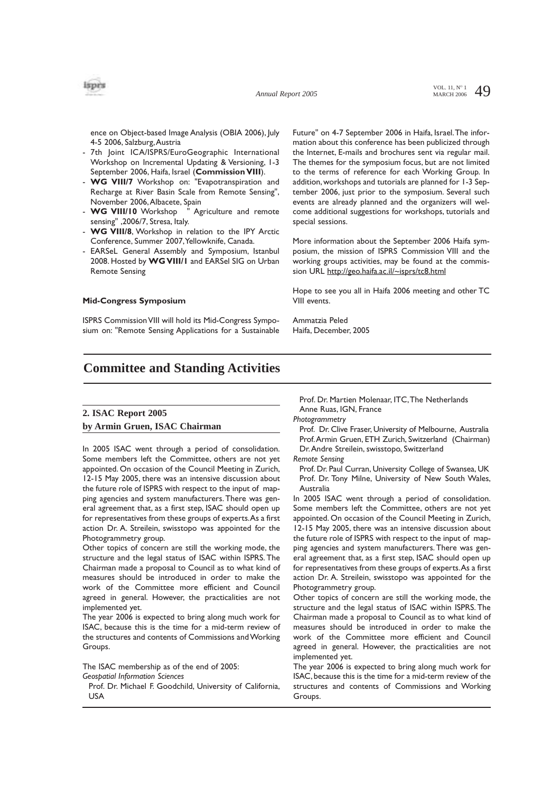

ence on Object-based Image Analysis (OBIA 2006), July 4-5 2006, Salzburg,Austria

- 7th Joint ICA/ISPRS/EuroGeographic International Workshop on Incremental Updating & Versioning, 1-3 September 2006, Haifa, Israel (**Commission VIII**).
- **WG VIII/7** Workshop on: "Evapotranspiration and Recharge at River Basin Scale from Remote Sensing", November 2006,Albacete, Spain
- **WG VIII/10** Workshop " Agriculture and remote sensing" ,2006/7, Stresa, Italy.
- WG VIII/8, Workshop in relation to the IPY Arctic Conference, Summer 2007,Yellowknife, Canada.
- EARSeL General Assembly and Symposium, Istanbul 2008. Hosted by **WG VIII/1** and EARSel SIG on Urban Remote Sensing

#### **Mid-Congress Symposium**

ISPRS Commission VIII will hold its Mid-Congress Symposium on: "Remote Sensing Applications for a Sustainable Future" on 4-7 September 2006 in Haifa, Israel.The information about this conference has been publicized through the Internet, E-mails and brochures sent via regular mail. The themes for the symposium focus, but are not limited to the terms of reference for each Working Group. In addition, workshops and tutorials are planned for 1-3 September 2006, just prior to the symposium. Several such events are already planned and the organizers will welcome additional suggestions for workshops, tutorials and special sessions.

More information about the September 2006 Haifa symposium, the mission of ISPRS Commission VIII and the working groups activities, may be found at the commission URL http://geo.haifa.ac.il/~isprs/tc8.html

Hope to see you all in Haifa 2006 meeting and other TC VIII events.

Ammatzia Peled Haifa, December, 2005

# **Committee and Standing Activities**

# **2. ISAC Report 2005 by Armin Gruen, ISAC Chairman**

In 2005 ISAC went through a period of consolidation. Some members left the Committee, others are not yet appointed. On occasion of the Council Meeting in Zurich, 12-15 May 2005, there was an intensive discussion about the future role of ISPRS with respect to the input of mapping agencies and system manufacturers. There was general agreement that, as a first step, ISAC should open up for representatives from these groups of experts.As a first action Dr. A. Streilein, swisstopo was appointed for the Photogrammetry group.

Other topics of concern are still the working mode, the structure and the legal status of ISAC within ISPRS. The Chairman made a proposal to Council as to what kind of measures should be introduced in order to make the work of the Committee more efficient and Council agreed in general. However, the practicalities are not implemented yet.

The year 2006 is expected to bring along much work for ISAC, because this is the time for a mid-term review of the structures and contents of Commissions and Working Groups.

The ISAC membership as of the end of 2005: *Geospatial Information Sciences*

Prof. Dr. Michael F. Goodchild, University of California, **USA** 

Prof. Dr. Martien Molenaar, ITC,The Netherlands Anne Ruas, IGN, France

*Photogrammetry*

Prof. Dr. Clive Fraser, University of Melbourne, Australia Prof.Armin Gruen, ETH Zurich, Switzerland (Chairman) Dr.Andre Streilein, swisstopo, Switzerland

*Remote Sensing*

Prof. Dr. Paul Curran, University College of Swansea, UK Prof. Dr. Tony Milne, University of New South Wales, Australia

In 2005 ISAC went through a period of consolidation. Some members left the Committee, others are not yet appointed. On occasion of the Council Meeting in Zurich, 12-15 May 2005, there was an intensive discussion about the future role of ISPRS with respect to the input of mapping agencies and system manufacturers. There was general agreement that, as a first step, ISAC should open up for representatives from these groups of experts.As a first action Dr. A. Streilein, swisstopo was appointed for the Photogrammetry group.

Other topics of concern are still the working mode, the structure and the legal status of ISAC within ISPRS. The Chairman made a proposal to Council as to what kind of measures should be introduced in order to make the work of the Committee more efficient and Council agreed in general. However, the practicalities are not implemented yet.

The year 2006 is expected to bring along much work for ISAC, because this is the time for a mid-term review of the structures and contents of Commissions and Working Groups.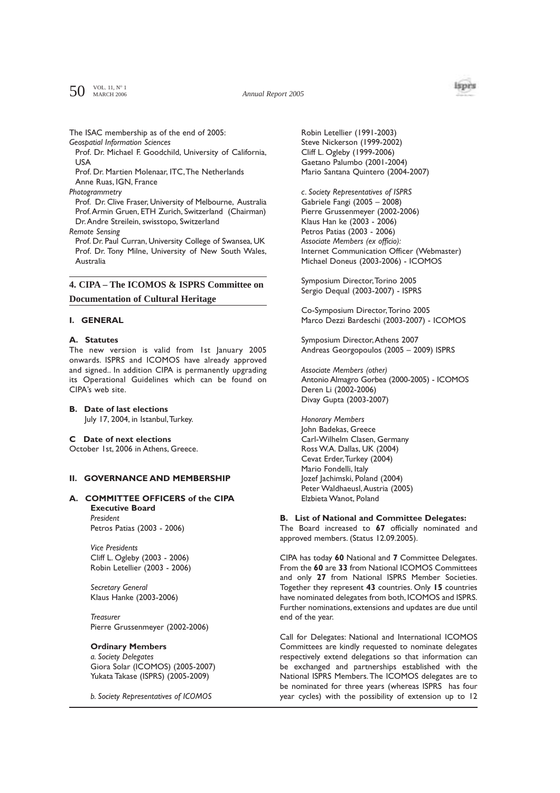$50$  VOL. 11, N° 1

*Annual Report 2005*



### The ISAC membership as of the end of 2005:

*Geospatial Information Sciences*

Prof. Dr. Michael F. Goodchild, University of California, USA

Prof. Dr. Martien Molenaar, ITC,The Netherlands

Anne Ruas, IGN, France

# *Photogrammetry*

Prof. Dr. Clive Fraser, University of Melbourne, Australia Prof.Armin Gruen, ETH Zurich, Switzerland (Chairman) Dr.Andre Streilein, swisstopo, Switzerland

*Remote Sensing*

Prof. Dr. Paul Curran, University College of Swansea, UK Prof. Dr. Tony Milne, University of New South Wales, Australia

# **4. CIPA – The ICOMOS & ISPRS Committee on**

**Documentation of Cultural Heritage**

## **I. GENERAL**

### **A. Statutes**

The new version is valid from 1st January 2005 onwards. ISPRS and ICOMOS have already approved and signed.. In addition CIPA is permanently upgrading its Operational Guidelines which can be found on CIPA's web site.

**B. Date of last elections** July 17, 2004, in Istanbul,Turkey.

## **C Date of next elections**

October 1st, 2006 in Athens, Greece.

# **II. GOVERNANCE AND MEMBERSHIP**

# **A. COMMITTEE OFFICERS of the CIPA**

**Executive Board** *President* Petros Patias (2003 - 2006)

*Vice Presidents* Cliff L. Ogleby (2003 - 2006) Robin Letellier (2003 - 2006)

*Secretary General* Klaus Hanke (2003-2006)

*Treasurer* Pierre Grussenmeyer (2002-2006)

## **Ordinary Members**

*a. Society Delegates* Giora Solar (ICOMOS) (2005-2007) Yukata Takase (ISPRS) (2005-2009)

*b. Society Representatives of ICOMOS*

Robin Letellier (1991-2003) Steve Nickerson (1999-2002) Cliff L. Ogleby (1999-2006) Gaetano Palumbo (2001-2004) Mario Santana Quintero (2004-2007)

*c. Society Representatives of ISPRS* Gabriele Fangi (2005 – 2008) Pierre Grussenmeyer (2002-2006) Klaus Han ke (2003 - 2006) Petros Patias (2003 - 2006) *Associate Members (ex officio):* Internet Communication Officer (Webmaster) Michael Doneus (2003-2006) - ICOMOS

Symposium Director,Torino 2005 Sergio Dequal (2003-2007) - ISPRS

Co-Symposium Director,Torino 2005 Marco Dezzi Bardeschi (2003-2007) - ICOMOS

Symposium Director,Athens 2007 Andreas Georgopoulos (2005 – 2009) ISPRS

*Associate Members (other)* Antonio Almagro Gorbea (2000-2005) - ICOMOS Deren Li (2002-2006) Divay Gupta (2003-2007)

*Honorary Members* John Badekas, Greece Carl-Wilhelm Clasen, Germany Ross W.A. Dallas, UK (2004) Cevat Erder,Turkey (2004) Mario Fondelli, Italy Jozef Jachimski, Poland (2004) Peter Waldhaeusl,Austria (2005) Elzbieta Wanot, Poland

### **B. List of National and Committee Delegates:**

The Board increased to **67** officially nominated and approved members. (Status 12.09.2005).

CIPA has today **60** National and **7** Committee Delegates. From the **60** are **33** from National ICOMOS Committees and only **27** from National ISPRS Member Societies. Together they represent **43** countries. Only **15** countries have nominated delegates from both, ICOMOS and ISPRS. Further nominations, extensions and updates are due until end of the year.

Call for Delegates: National and International ICOMOS Committees are kindly requested to nominate delegates respectively extend delegations so that information can be exchanged and partnerships established with the National ISPRS Members.The ICOMOS delegates are to be nominated for three years (whereas ISPRS has four year cycles) with the possibility of extension up to 12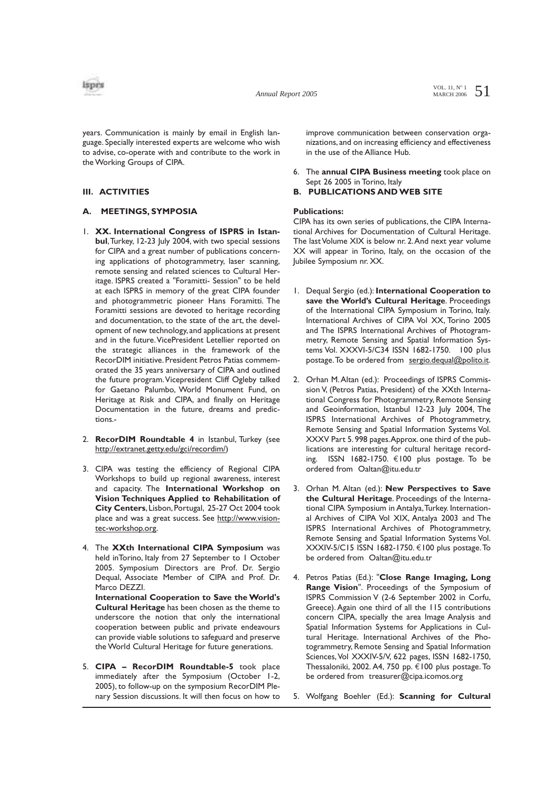

years. Communication is mainly by email in English language. Specially interested experts are welcome who wish to advise, co-operate with and contribute to the work in the Working Groups of CIPA.

## **III. ACTIVITIES**

# **A. MEETINGS, SYMPOSIA**

- 1. **XX. International Congress of ISPRS in Istanbul**,Turkey, 12-23 July 2004, with two special sessions for CIPA and a great number of publications concerning applications of photogrammetry, laser scanning, remote sensing and related sciences to Cultural Heritage. ISPRS created a "Foramitti- Session" to be held at each ISPRS in memory of the great CIPA founder and photogrammetric pioneer Hans Foramitti. The Foramitti sessions are devoted to heritage recording and documentation, to the state of the art, the development of new technology, and applications at present and in the future. VicePresident Letellier reported on the strategic alliances in the framework of the RecorDIM initiative. President Petros Patias commemorated the 35 years anniversary of CIPA and outlined the future program.Vicepresident Cliff Ogleby talked for Gaetano Palumbo, World Monument Fund, on Heritage at Risk and CIPA, and finally on Heritage Documentation in the future, dreams and predictions.-
- 2. **RecorDIM Roundtable 4** in Istanbul, Turkey (see http://extranet.getty.edu/gci/recordim/)
- 3. CIPA was testing the efficiency of Regional CIPA Workshops to build up regional awareness, interest and capacity. The **International Workshop on Vision Techniques Applied to Rehabilitation of City Centers**, Lisbon, Portugal, 25-27 Oct 2004 took place and was a great success. See http://www.visiontec-workshop.org.
- 4. The **XXth International CIPA Symposium** was held inTorino, Italy from 27 September to 1 October 2005. Symposium Directors are Prof. Dr. Sergio Dequal, Associate Member of CIPA and Prof. Dr. Marco DEZZI. **International Cooperation to Save the World's Cultural Heritage** has been chosen as the theme to underscore the notion that only the international

cooperation between public and private endeavours can provide viable solutions to safeguard and preserve the World Cultural Heritage for future generations.

5. **CIPA – RecorDIM Roundtable-5** took place immediately after the Symposium (October 1-2, 2005), to follow-up on the symposium RecorDIM Plenary Session discussions. It will then focus on how to improve communication between conservation organizations, and on increasing efficiency and effectiveness in the use of the Alliance Hub.

6. The **annual CIPA Business meeting** took place on Sept 26 2005 in Torino, Italy

# **B. PUBLICATIONS AND WEB SITE**

# **Publications:**

CIPA has its own series of publications, the CIPA International Archives for Documentation of Cultural Heritage. The last Volume XIX is below nr. 2.And next year volume XX will appear in Torino, Italy, on the occasion of the Jubilee Symposium nr. XX.

- 1. Dequal Sergio (ed.): **International Cooperation to save the World's Cultural Heritage**. Proceedings of the International CIPA Symposium in Torino, Italy. International Archives of CIPA Vol XX, Torino 2005 and The ISPRS International Archives of Photogrammetry, Remote Sensing and Spatial Information Systems Vol. XXXVI-5/C34 ISSN 1682-1750. 100 plus postage. To be ordered from sergio.dequal@polito.it.
- 2. Orhan M.Altan (ed.): Proceedings of ISPRS Commission V, (Petros Patias, President) of the XXth International Congress for Photogrammetry, Remote Sensing and Geoinformation, Istanbul 12-23 July 2004, The ISPRS International Archives of Photogrammetry, Remote Sensing and Spatial Information Systems Vol. XXXV Part 5. 998 pages.Approx. one third of the publications are interesting for cultural heritage recording. ISSN 1682-1750. €100 plus postage. To be ordered from Oaltan@itu.edu.tr
- 3. Orhan M. Altan (ed.): **New Perspectives to Save the Cultural Heritage**. Proceedings of the International CIPA Symposium in Antalya,Turkey. International Archives of CIPA Vol XIX, Antalya 2003 and The ISPRS International Archives of Photogrammetry, Remote Sensing and Spatial Information Systems Vol. XXXIV-5/C15 ISSN 1682-1750. €100 plus postage.To be ordered from Oaltan@itu.edu.tr
- 4. Petros Patias (Ed.): "**Close Range Imaging, Long Range Vision**". Proceedings of the Symposium of ISPRS Commission V (2-6 September 2002 in Corfu, Greece). Again one third of all the 115 contributions concern CIPA, specially the area Image Analysis and Spatial Information Systems for Applications in Cultural Heritage. International Archives of the Photogrammetry, Remote Sensing and Spatial Information Sciences,Vol XXXIV-5/V, 622 pages, ISSN 1682-1750, Thessaloniki, 2002. A4, 750 pp. €100 plus postage. To be ordered from treasurer@cipa.icomos.org
- 5. Wolfgang Boehler (Ed.): **Scanning for Cultural**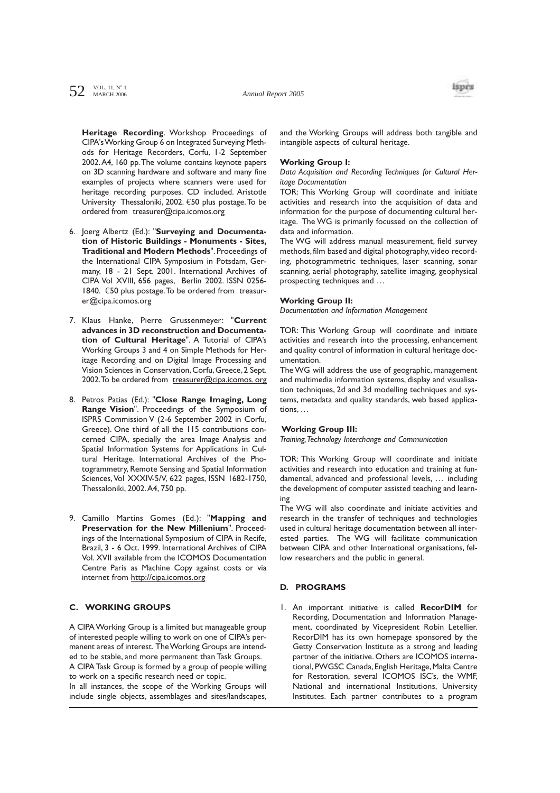

**Heritage Recording**. Workshop Proceedings of CIPA's Working Group 6 on Integrated Surveying Methods for Heritage Recorders, Corfu, 1-2 September 2002.A4, 160 pp.The volume contains keynote papers on 3D scanning hardware and software and many fine examples of projects where scanners were used for heritage recording purposes. CD included. Aristotle University Thessaloniki, 2002. €50 plus postage.To be ordered from treasurer@cipa.icomos.org

- 6. Joerg Albertz (Ed.): "**Surveying and Documentation of Historic Buildings - Monuments - Sites, Traditional and Modern Methods**". Proceedings of the International CIPA Symposium in Potsdam, Germany, 18 - 21 Sept. 2001. International Archives of CIPA Vol XVIII, 656 pages, Berlin 2002. ISSN 0256- 1840. €50 plus postage.To be ordered from treasurer@cipa.icomos.org
- 7. Klaus Hanke, Pierre Grussenmeyer: "**Current advances in 3D reconstruction and Documentation of Cultural Heritage**". A Tutorial of CIPA's Working Groups 3 and 4 on Simple Methods for Heritage Recording and on Digital Image Processing and Vision Sciences in Conservation,Corfu,Greece,2 Sept. 2002. To be ordered from treasurer@cipa.icomos. org
- 8. Petros Patias (Ed.): "**Close Range Imaging, Long Range Vision**". Proceedings of the Symposium of ISPRS Commission V (2-6 September 2002 in Corfu, Greece). One third of all the 115 contributions concerned CIPA, specially the area Image Analysis and Spatial Information Systems for Applications in Cultural Heritage. International Archives of the Photogrammetry, Remote Sensing and Spatial Information Sciences,Vol XXXIV-5/V, 622 pages, ISSN 1682-1750, Thessaloniki, 2002.A4, 750 pp.
- 9. Camillo Martins Gomes (Ed.): "**Mapping and Preservation for the New Millenium**". Proceedings of the International Symposium of CIPA in Recife, Brazil, 3 - 6 Oct. 1999. International Archives of CIPA Vol. XVII available from the ICOMOS Documentation Centre Paris as Machine Copy against costs or via internet from http://cipa.icomos.org

# **C. WORKING GROUPS**

A CIPA Working Group is a limited but manageable group of interested people willing to work on one of CIPA's permanent areas of interest. The Working Groups are intended to be stable, and more permanent than Task Groups. A CIPA Task Group is formed by a group of people willing

to work on a specific research need or topic. In all instances, the scope of the Working Groups will include single objects, assemblages and sites/landscapes, and the Working Groups will address both tangible and intangible aspects of cultural heritage.

## **Working Group I:**

*Data Acquisition and Recording Techniques for Cultural Heritage Documentation* 

TOR: This Working Group will coordinate and initiate activities and research into the acquisition of data and information for the purpose of documenting cultural heritage. The WG is primarily focussed on the collection of data and information.

The WG will address manual measurement, field survey methods, film based and digital photography, video recording, photogrammetric techniques, laser scanning, sonar scanning, aerial photography, satellite imaging, geophysical prospecting techniques and …

#### **Working Group II:**

*Documentation and Information Management* 

TOR: This Working Group will coordinate and initiate activities and research into the processing, enhancement and quality control of information in cultural heritage documentation.

The WG will address the use of geographic, management and multimedia information systems, display and visualisation techniques, 2d and 3d modelling techniques and systems, metadata and quality standards, web based applications, …

## **Working Group III:**

*Training,Technology Interchange and Communication*

TOR: This Working Group will coordinate and initiate activities and research into education and training at fundamental, advanced and professional levels, … including the development of computer assisted teaching and learning

The WG will also coordinate and initiate activities and research in the transfer of techniques and technologies used in cultural heritage documentation between all interested parties. The WG will facilitate communication between CIPA and other International organisations, fellow researchers and the public in general.

## **D. PROGRAMS**

1. An important initiative is called **RecorDIM** for Recording, Documentation and Information Management, coordinated by Vicepresident Robin Letellier. RecorDIM has its own homepage sponsored by the Getty Conservation Institute as a strong and leading partner of the initiative. Others are ICOMOS international, PWGSC Canada, English Heritage, Malta Centre for Restoration, several ICOMOS ISC's, the WMF, National and international Institutions, University Institutes. Each partner contributes to a program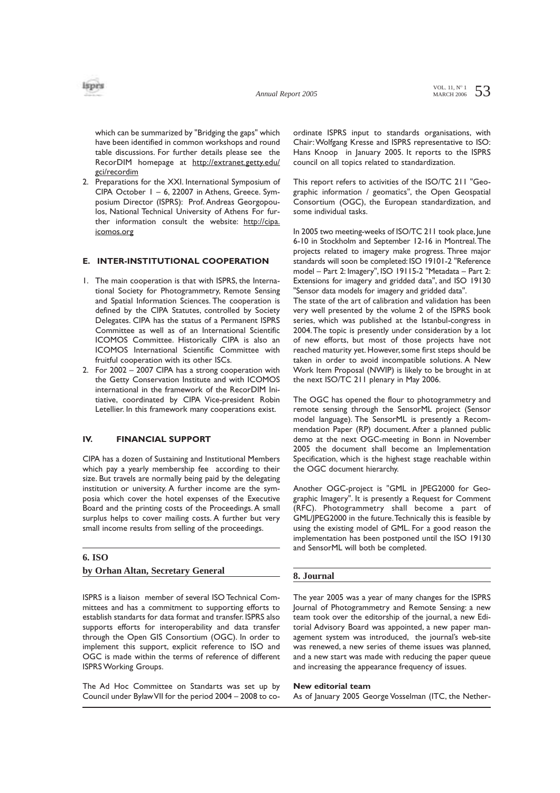

which can be summarized by "Bridging the gaps" which have been identified in common workshops and round table discussions. For further details please see the RecorDIM homepage at http://extranet.getty.edu/ gci/recordim

2. Preparations for the XXI. International Symposium of CIPA October 1 – 6, 22007 in Athens, Greece. Symposium Director (ISPRS): Prof. Andreas Georgopoulos, National Technical University of Athens For further information consult the website: http://cipa. icomos.org

## **E. INTER-INSTITUTIONAL COOPERATION**

- 1. The main cooperation is that with ISPRS, the International Society for Photogrammetry, Remote Sensing and Spatial Information Sciences. The cooperation is defined by the CIPA Statutes, controlled by Society Delegates. CIPA has the status of a Permanent ISPRS Committee as well as of an International Scientific ICOMOS Committee. Historically CIPA is also an ICOMOS International Scientific Committee with fruitful cooperation with its other ISCs.
- 2. For 2002 2007 CIPA has a strong cooperation with the Getty Conservation Institute and with ICOMOS international in the framework of the RecorDIM Initiative, coordinated by CIPA Vice-president Robin Letellier. In this framework many cooperations exist.

# **IV. FINANCIAL SUPPORT**

CIPA has a dozen of Sustaining and Institutional Members which pay a yearly membership fee according to their size. But travels are normally being paid by the delegating institution or university. A further income are the symposia which cover the hotel expenses of the Executive Board and the printing costs of the Proceedings. A small surplus helps to cover mailing costs. A further but very small income results from selling of the proceedings.

#### **6. ISO**

#### **by Orhan Altan, Secretary General**

ISPRS is a liaison member of several ISO Technical Committees and has a commitment to supporting efforts to establish standarts for data format and transfer. ISPRS also supports efforts for interoperability and data transfer through the Open GIS Consortium (OGC). In order to implement this support, explicit reference to ISO and OGC is made within the terms of reference of different ISPRS Working Groups.

The Ad Hoc Committee on Standarts was set up by Council under Bylaw VII for the period 2004 – 2008 to coordinate ISPRS input to standards organisations, with Chair:Wolfgang Kresse and ISPRS representative to ISO: Hans Knoop in January 2005. It reports to the ISPRS council on all topics related to standardization.

This report refers to activities of the ISO/TC 211 "Geographic information / geomatics", the Open Geospatial Consortium (OGC), the European standardization, and some individual tasks.

In 2005 two meeting-weeks of ISO/TC 211 took place, June 6-10 in Stockholm and September 12-16 in Montreal.The projects related to imagery make progress. Three major standards will soon be completed: ISO 19101-2 "Reference model – Part 2: Imagery", ISO 19115-2 "Metadata – Part 2: Extensions for imagery and gridded data", and ISO 19130 "Sensor data models for imagery and gridded data".

The state of the art of calibration and validation has been very well presented by the volume 2 of the ISPRS book series, which was published at the Istanbul-congress in 2004.The topic is presently under consideration by a lot of new efforts, but most of those projects have not reached maturity yet. However, some first steps should be taken in order to avoid incompatible solutions. A New Work Item Proposal (NWIP) is likely to be brought in at the next ISO/TC 211 plenary in May 2006.

The OGC has opened the flour to photogrammetry and remote sensing through the SensorML project (Sensor model language). The SensorML is presently a Recommendation Paper (RP) document. After a planned public demo at the next OGC-meeting in Bonn in November 2005 the document shall become an Implementation Specification, which is the highest stage reachable within the OGC document hierarchy.

Another OGC-project is "GML in JPEG2000 for Geographic Imagery". It is presently a Request for Comment (RFC). Photogrammetry shall become a part of GML/JPEG2000 in the future.Technically this is feasible by using the existing model of GML. For a good reason the implementation has been postponed until the ISO 19130 and SensorML will both be completed.

### **8. Journal**

The year 2005 was a year of many changes for the ISPRS Journal of Photogrammetry and Remote Sensing: a new team took over the editorship of the journal, a new Editorial Advisory Board was appointed, a new paper management system was introduced, the journal's web-site was renewed, a new series of theme issues was planned, and a new start was made with reducing the paper queue and increasing the appearance frequency of issues.

#### **New editorial team**

As of January 2005 George Vosselman (ITC, the Nether-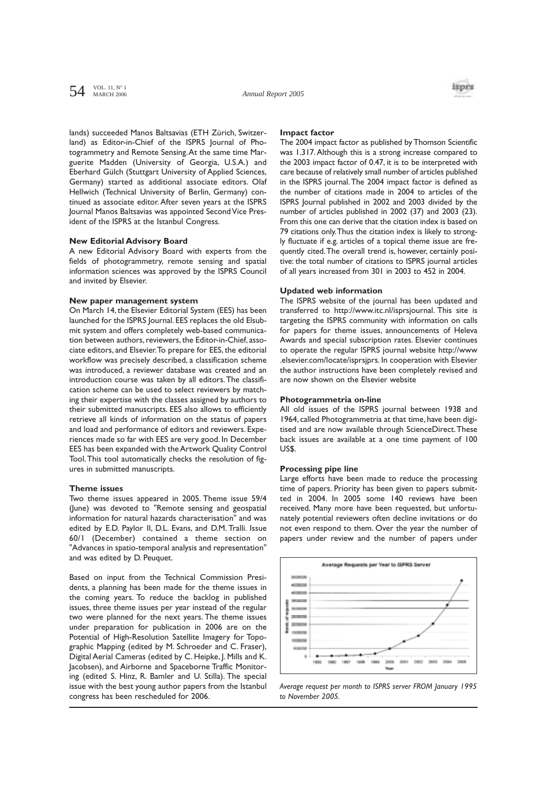# $54$  VOL. 11, N° 1



lands) succeeded Manos Baltsavias (ETH Zürich, Switzerland) as Editor-in-Chief of the ISPRS Journal of Photogrammetry and Remote Sensing.At the same time Marguerite Madden (University of Georgia, U.S.A.) and Eberhard Gülch (Stuttgart University of Applied Sciences, Germany) started as additional associate editors. Olaf Hellwich (Technical University of Berlin, Germany) continued as associate editor. After seven years at the ISPRS Journal Manos Baltsavias was appointed Second Vice President of the ISPRS at the Istanbul Congress.

### **New Editorial Advisory Board**

A new Editorial Advisory Board with experts from the fields of photogrammetry, remote sensing and spatial information sciences was approved by the ISPRS Council and invited by Elsevier.

#### **New paper management system**

On March 14, the Elsevier Editorial System (EES) has been launched for the ISPRS Journal. EES replaces the old Elsubmit system and offers completely web-based communication between authors, reviewers, the Editor-in-Chief, associate editors, and Elsevier.To prepare for EES, the editorial workflow was precisely described, a classification scheme was introduced, a reviewer database was created and an introduction course was taken by all editors.The classification scheme can be used to select reviewers by matching their expertise with the classes assigned by authors to their submitted manuscripts. EES also allows to efficiently retrieve all kinds of information on the status of papers and load and performance of editors and reviewers. Experiences made so far with EES are very good. In December EES has been expanded with the Artwork Quality Control Tool.This tool automatically checks the resolution of figures in submitted manuscripts.

#### **Theme issues**

Two theme issues appeared in 2005. Theme issue 59/4 (June) was devoted to "Remote sensing and geospatial information for natural hazards characterisation" and was edited by E.D. Paylor II, D.L. Evans, and D.M. Tralli. Issue 60/1 (December) contained a theme section on "Advances in spatio-temporal analysis and representation" and was edited by D. Peuquet.

Based on input from the Technical Commission Presidents, a planning has been made for the theme issues in the coming years. To reduce the backlog in published issues, three theme issues per year instead of the regular two were planned for the next years. The theme issues under preparation for publication in 2006 are on the Potential of High-Resolution Satellite Imagery for Topographic Mapping (edited by M. Schroeder and C. Fraser), Digital Aerial Cameras (edited by C. Heipke, J. Mills and K. Jacobsen), and Airborne and Spaceborne Traffic Monitoring (edited S. Hinz, R. Bamler and U. Stilla). The special issue with the best young author papers from the Istanbul congress has been rescheduled for 2006.

#### **Impact factor**

The 2004 impact factor as published by Thomson Scientific was 1.317.Although this is a strong increase compared to the 2003 impact factor of 0.47, it is to be interpreted with care because of relatively small number of articles published in the ISPRS journal.The 2004 impact factor is defined as the number of citations made in 2004 to articles of the ISPRS Journal published in 2002 and 2003 divided by the number of articles published in 2002 (37) and 2003 (23). From this one can derive that the citation index is based on 79 citations only.Thus the citation index is likely to strongly fluctuate if e.g. articles of a topical theme issue are frequently cited.The overall trend is, however, certainly positive: the total number of citations to ISPRS journal articles of all years increased from 301 in 2003 to 452 in 2004.

#### **Updated web information**

The ISPRS website of the journal has been updated and transferred to http://www.itc.nl/isprsjournal. This site is targeting the ISPRS community with information on calls for papers for theme issues, announcements of Heleva Awards and special subscription rates. Elsevier continues to operate the regular ISPRS journal website http://www .elsevier.com/locate/isprsjprs. In cooperation with Elsevier the author instructions have been completely revised and are now shown on the Elsevier website

## **Photogrammetria on-line**

All old issues of the ISPRS journal between 1938 and 1964, called Photogrammetria at that time, have been digitised and are now available through ScienceDirect.These back issues are available at a one time payment of 100 US\$.

#### **Processing pipe line**

Large efforts have been made to reduce the processing time of papers. Priority has been given to papers submitted in 2004. In 2005 some 140 reviews have been received. Many more have been requested, but unfortunately potential reviewers often decline invitations or do not even respond to them. Over the year the number of papers under review and the number of papers under



*Average request per month to ISPRS server FROM January 1995 to November 2005.*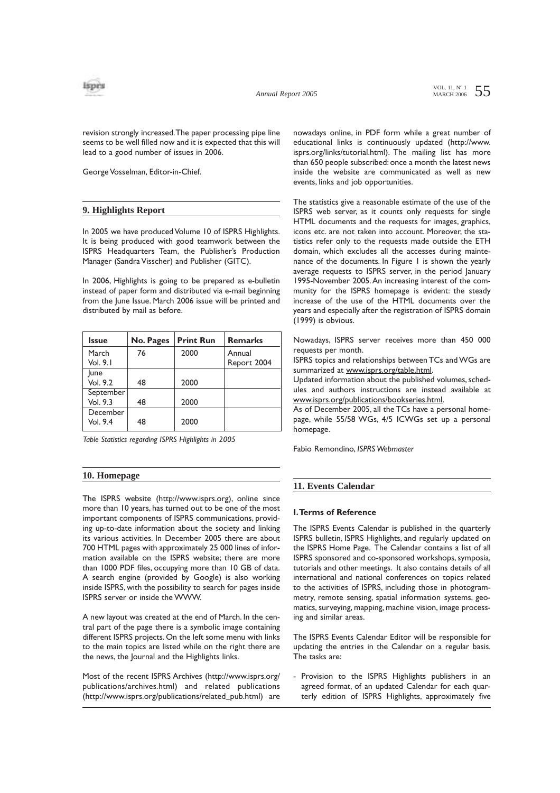

VOL. 11,  $N^{\circ}$  1 55

revision strongly increased.The paper processing pipe line seems to be well filled now and it is expected that this will lead to a good number of issues in 2006.

George Vosselman, Editor-in-Chief.

# **9. Highlights Report**

In 2005 we have produced Volume 10 of ISPRS Highlights. It is being produced with good teamwork between the ISPRS Headquarters Team, the Publisher's Production Manager (Sandra Visscher) and Publisher (GITC).

In 2006, Highlights is going to be prepared as e-bulletin instead of paper form and distributed via e-mail beginning from the June Issue. March 2006 issue will be printed and distributed by mail as before.

| <b>Issue</b> | No. Pages | <b>Print Run</b> | <b>Remarks</b> |
|--------------|-----------|------------------|----------------|
| March        | 76        | 2000             | Annual         |
| Vol. 9.1     |           |                  | Report 2004    |
| June         |           |                  |                |
| Vol. 9.2     | 48        | 2000             |                |
| September    |           |                  |                |
| Vol. 9.3     | 48        | 2000             |                |
| December     |           |                  |                |
| Vol. 9.4     | 48        | 2000             |                |

*Table Statistics regarding ISPRS Highlights in 2005*

# **10. Homepage**

The ISPRS website (http://www.isprs.org), online since more than 10 years, has turned out to be one of the most important components of ISPRS communications, providing up-to-date information about the society and linking its various activities. In December 2005 there are about 700 HTML pages with approximately 25 000 lines of information available on the ISPRS website; there are more than 1000 PDF files, occupying more than 10 GB of data. A search engine (provided by Google) is also working inside ISPRS, with the possibility to search for pages inside ISPRS server or inside the WWW.

A new layout was created at the end of March. In the central part of the page there is a symbolic image containing different ISPRS projects. On the left some menu with links to the main topics are listed while on the right there are the news, the Journal and the Highlights links.

Most of the recent ISPRS Archives (http://www.isprs.org/ publications/archives.html) and related publications (http://www.isprs.org/publications/related\_pub.html) are nowadays online, in PDF form while a great number of educational links is continuously updated (http://www. isprs.org/links/tutorial.html). The mailing list has more than 650 people subscribed: once a month the latest news inside the website are communicated as well as new events, links and job opportunities.

The statistics give a reasonable estimate of the use of the ISPRS web server, as it counts only requests for single HTML documents and the requests for images, graphics, icons etc. are not taken into account. Moreover, the statistics refer only to the requests made outside the ETH domain, which excludes all the accesses during maintenance of the documents. In Figure 1 is shown the yearly average requests to ISPRS server, in the period January 1995-November 2005.An increasing interest of the community for the ISPRS homepage is evident: the steady increase of the use of the HTML documents over the years and especially after the registration of ISPRS domain (1999) is obvious.

Nowadays, ISPRS server receives more than 450 000 requests per month.

ISPRS topics and relationships between TCs and WGs are summarized at www.isprs.org/table.html.

Updated information about the published volumes, schedules and authors instructions are instead available at www.isprs.org/publications/bookseries.html.

As of December 2005, all the TCs have a personal homepage, while 55/58 WGs, 4/5 ICWGs set up a personal homepage.

Fabio Remondino, *ISPRS Webmaster*

# **11. Events Calendar**

### **I.Terms of Reference**

The ISPRS Events Calendar is published in the quarterly ISPRS bulletin, ISPRS Highlights, and regularly updated on the ISPRS Home Page. The Calendar contains a list of all ISPRS sponsored and co-sponsored workshops, symposia, tutorials and other meetings. It also contains details of all international and national conferences on topics related to the activities of ISPRS, including those in photogrammetry, remote sensing, spatial information systems, geomatics, surveying, mapping, machine vision, image processing and similar areas.

The ISPRS Events Calendar Editor will be responsible for updating the entries in the Calendar on a regular basis. The tasks are:

Provision to the ISPRS Highlights publishers in an agreed format, of an updated Calendar for each quarterly edition of ISPRS Highlights, approximately five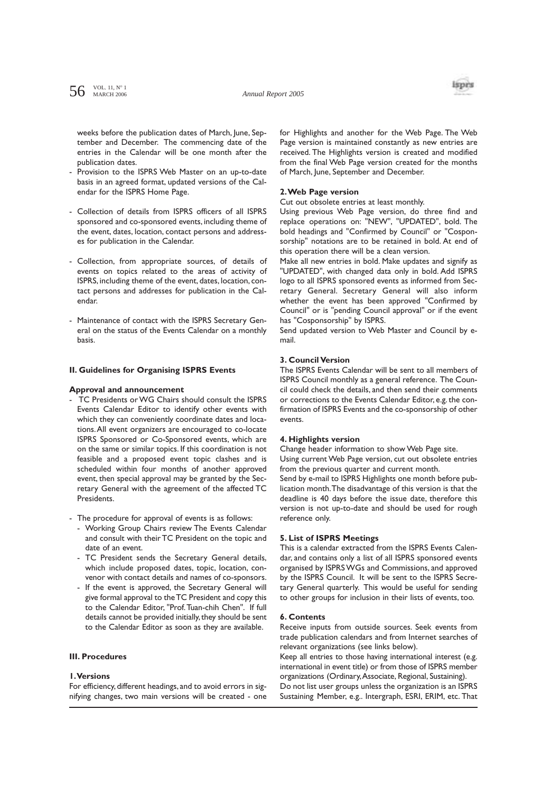*Annual Report 2005*



weeks before the publication dates of March, June, September and December. The commencing date of the entries in the Calendar will be one month after the publication dates.

- Provision to the ISPRS Web Master on an up-to-date basis in an agreed format, updated versions of the Calendar for the ISPRS Home Page.
- Collection of details from ISPRS officers of all ISPRS sponsored and co-sponsored events, including theme of the event, dates, location, contact persons and addresses for publication in the Calendar.
- Collection, from appropriate sources, of details of events on topics related to the areas of activity of ISPRS, including theme of the event, dates, location, contact persons and addresses for publication in the Calendar.
- Maintenance of contact with the ISPRS Secretary General on the status of the Events Calendar on a monthly basis.

#### **II. Guidelines for Organising ISPRS Events**

#### **Approval and announcement**

- TC Presidents or WG Chairs should consult the ISPRS Events Calendar Editor to identify other events with which they can conveniently coordinate dates and locations.All event organizers are encouraged to co-locate ISPRS Sponsored or Co-Sponsored events, which are on the same or similar topics. If this coordination is not feasible and a proposed event topic clashes and is scheduled within four months of another approved event, then special approval may be granted by the Secretary General with the agreement of the affected TC Presidents.
- The procedure for approval of events is as follows:
	- Working Group Chairs review The Events Calendar and consult with their TC President on the topic and date of an event.
	- TC President sends the Secretary General details, which include proposed dates, topic, location, convenor with contact details and names of co-sponsors.
	- If the event is approved, the Secretary General will give formal approval to the TC President and copy this to the Calendar Editor, "Prof.Tuan-chih Chen". If full details cannot be provided initially, they should be sent to the Calendar Editor as soon as they are available.

# **III. Procedures**

# **1.Versions**

For efficiency, different headings, and to avoid errors in signifying changes, two main versions will be created - one for Highlights and another for the Web Page. The Web Page version is maintained constantly as new entries are received. The Highlights version is created and modified from the final Web Page version created for the months of March, June, September and December.

#### **2.Web Page version**

Cut out obsolete entries at least monthly.

Using previous Web Page version, do three find and replace operations on: "NEW", "UPDATED", bold. The bold headings and "Confirmed by Council" or "Cosponsorship" notations are to be retained in bold. At end of this operation there will be a clean version.

Make all new entries in bold. Make updates and signify as "UPDATED", with changed data only in bold. Add ISPRS logo to all ISPRS sponsored events as informed from Secretary General. Secretary General will also inform whether the event has been approved "Confirmed by Council" or is "pending Council approval" or if the event has "Cosponsorship" by ISPRS.

Send updated version to Web Master and Council by email.

## **3. Council Version**

The ISPRS Events Calendar will be sent to all members of ISPRS Council monthly as a general reference. The Council could check the details, and then send their comments or corrections to the Events Calendar Editor, e.g. the confirmation of ISPRS Events and the co-sponsorship of other events.

## **4. Highlights version**

Change header information to show Web Page site.

Using current Web Page version, cut out obsolete entries from the previous quarter and current month.

Send by e-mail to ISPRS Highlights one month before publication month.The disadvantage of this version is that the deadline is 40 days before the issue date, therefore this version is not up-to-date and should be used for rough reference only.

#### **5. List of ISPRS Meetings**

This is a calendar extracted from the ISPRS Events Calendar, and contains only a list of all ISPRS sponsored events organised by ISPRS WGs and Commissions, and approved by the ISPRS Council. It will be sent to the ISPRS Secretary General quarterly. This would be useful for sending to other groups for inclusion in their lists of events, too.

#### **6. Contents**

Receive inputs from outside sources. Seek events from trade publication calendars and from Internet searches of relevant organizations (see links below).

Keep all entries to those having international interest (e.g. international in event title) or from those of ISPRS member organizations (Ordinary,Associate, Regional, Sustaining). Do not list user groups unless the organization is an ISPRS Sustaining Member, e.g.. Intergraph, ESRI, ERIM, etc. That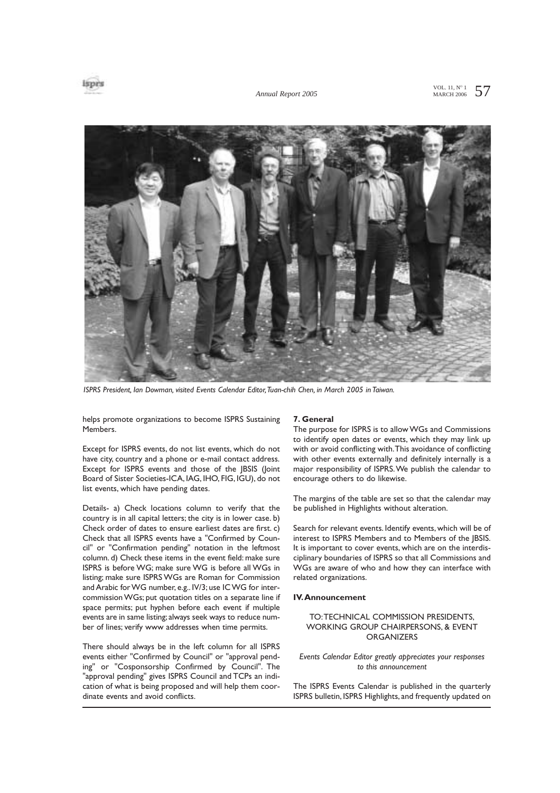



*ISPRS President, Ian Dowman, visited Events Calendar Editor,Tuan-chih Chen, in March 2005 in Taiwan.*

helps promote organizations to become ISPRS Sustaining Members.

Except for ISPRS events, do not list events, which do not have city, country and a phone or e-mail contact address. Except for ISPRS events and those of the JBSIS (Joint Board of Sister Societies-ICA, IAG, IHO, FIG, IGU), do not list events, which have pending dates.

Details- a) Check locations column to verify that the country is in all capital letters; the city is in lower case. b) Check order of dates to ensure earliest dates are first. c) Check that all ISPRS events have a "Confirmed by Council" or "Confirmation pending" notation in the leftmost column. d) Check these items in the event field: make sure ISPRS is before WG; make sure WG is before all WGs in listing; make sure ISPRS WGs are Roman for Commission and Arabic for WG number, e.g.. IV/3; use IC WG for intercommission WGs; put quotation titles on a separate line if space permits; put hyphen before each event if multiple events are in same listing;always seek ways to reduce number of lines; verify www addresses when time permits.

There should always be in the left column for all ISPRS events either "Confirmed by Council" or "approval pending" or "Cosponsorship Confirmed by Council". The "approval pending" gives ISPRS Council and TCPs an indication of what is being proposed and will help them coordinate events and avoid conflicts.

#### **7. General**

The purpose for ISPRS is to allow WGs and Commissions to identify open dates or events, which they may link up with or avoid conflicting with.This avoidance of conflicting with other events externally and definitely internally is a major responsibility of ISPRS.We publish the calendar to encourage others to do likewise.

The margins of the table are set so that the calendar may be published in Highlights without alteration.

Search for relevant events. Identify events, which will be of interest to ISPRS Members and to Members of the JBSIS. It is important to cover events, which are on the interdisciplinary boundaries of ISPRS so that all Commissions and WGs are aware of who and how they can interface with related organizations.

#### **IV.Announcement**

## TO:TECHNICAL COMMISSION PRESIDENTS, WORKING GROUP CHAIRPERSONS, & EVENT **ORGANIZERS**

*Events Calendar Editor greatly appreciates your responses to this announcement*

The ISPRS Events Calendar is published in the quarterly ISPRS bulletin, ISPRS Highlights, and frequently updated on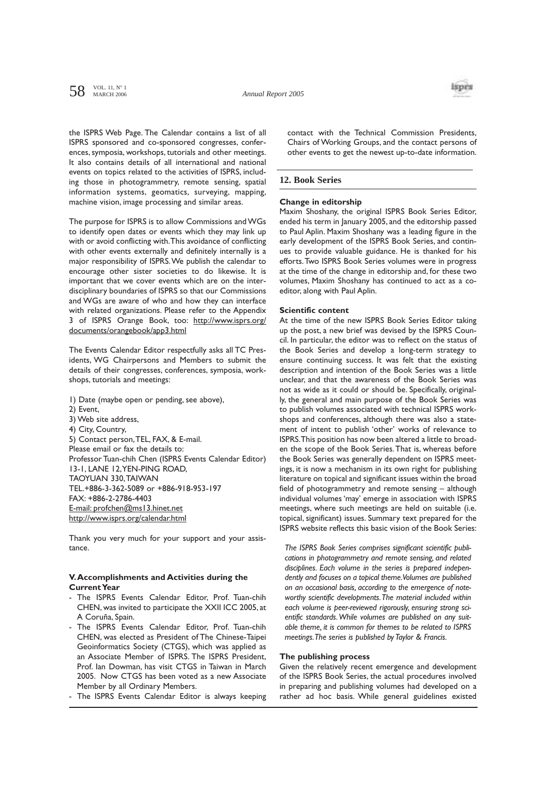

the ISPRS Web Page. The Calendar contains a list of all ISPRS sponsored and co-sponsored congresses, conferences, symposia, workshops, tutorials and other meetings. It also contains details of all international and national events on topics related to the activities of ISPRS, including those in photogrammetry, remote sensing, spatial information systems, geomatics, surveying, mapping, machine vision, image processing and similar areas.

The purpose for ISPRS is to allow Commissions and WGs to identify open dates or events which they may link up with or avoid conflicting with.This avoidance of conflicting with other events externally and definitely internally is a major responsibility of ISPRS.We publish the calendar to encourage other sister societies to do likewise. It is important that we cover events which are on the interdisciplinary boundaries of ISPRS so that our Commissions and WGs are aware of who and how they can interface with related organizations. Please refer to the Appendix 3 of ISPRS Orange Book, too: http://www.isprs.org/ documents/orangebook/app3.html

The Events Calendar Editor respectfully asks all TC Presidents, WG Chairpersons and Members to submit the details of their congresses, conferences, symposia, workshops, tutorials and meetings:

- 1) Date (maybe open or pending, see above),
- 2) Event,
- 3) Web site address,
- 4) City, Country,

5) Contact person,TEL, FAX, & E-mail. Please email or fax the details to: Professor Tuan-chih Chen (ISPRS Events Calendar Editor) 13-1, LANE 12,YEN-PING ROAD, TAOYUAN 330,TAIWAN TEL.+886-3-362-5089 or +886-918-953-197 FAX: +886-2-2786-4403 E-mail: profchen@ms13.hinet.net http://www.isprs.org/calendar.html

Thank you very much for your support and your assistance.

## **V.Accomplishments and Activities during the Current Year**

- The ISPRS Events Calendar Editor, Prof. Tuan-chih CHEN, was invited to participate the XXII ICC 2005, at A Coruña, Spain.
- The ISPRS Events Calendar Editor, Prof. Tuan-chih CHEN, was elected as President of The Chinese-Taipei Geoinformatics Society (CTGS), which was applied as an Associate Member of ISPRS. The ISPRS President, Prof. Ian Dowman, has visit CTGS in Taiwan in March 2005. Now CTGS has been voted as a new Associate Member by all Ordinary Members.
- The ISPRS Events Calendar Editor is always keeping

contact with the Technical Commission Presidents, Chairs of Working Groups, and the contact persons of other events to get the newest up-to-date information.

## **12. Book Series**

#### **Change in editorship**

Maxim Shoshany, the original ISPRS Book Series Editor, ended his term in January 2005, and the editorship passed to Paul Aplin. Maxim Shoshany was a leading figure in the early development of the ISPRS Book Series, and continues to provide valuable guidance. He is thanked for his efforts.Two ISPRS Book Series volumes were in progress at the time of the change in editorship and, for these two volumes, Maxim Shoshany has continued to act as a coeditor, along with Paul Aplin.

# **Scientific content**

At the time of the new ISPRS Book Series Editor taking up the post, a new brief was devised by the ISPRS Council. In particular, the editor was to reflect on the status of the Book Series and develop a long-term strategy to ensure continuing success. It was felt that the existing description and intention of the Book Series was a little unclear, and that the awareness of the Book Series was not as wide as it could or should be. Specifically, originally, the general and main purpose of the Book Series was to publish volumes associated with technical ISPRS workshops and conferences, although there was also a statement of intent to publish 'other' works of relevance to ISPRS.This position has now been altered a little to broaden the scope of the Book Series.That is, whereas before the Book Series was generally dependent on ISPRS meetings, it is now a mechanism in its own right for publishing literature on topical and significant issues within the broad field of photogrammetry and remote sensing – although individual volumes 'may' emerge in association with ISPRS meetings, where such meetings are held on suitable (i.e. topical, significant) issues. Summary text prepared for the ISPRS website reflects this basic vision of the Book Series:

*The ISPRS Book Series comprises significant scientific publications in photogrammetry and remote sensing, and related disciplines. Each volume in the series is prepared independently and focuses on a topical theme.Volumes are published on an occasional basis, according to the emergence of noteworthy scientific developments.The material included within each volume is peer-reviewed rigorously, ensuring strong scientific standards.While volumes are published on any suitable theme, it is common for themes to be related to ISPRS meetings.The series is published by Taylor & Francis.*

# **The publishing process**

Given the relatively recent emergence and development of the ISPRS Book Series, the actual procedures involved in preparing and publishing volumes had developed on a rather ad hoc basis. While general guidelines existed